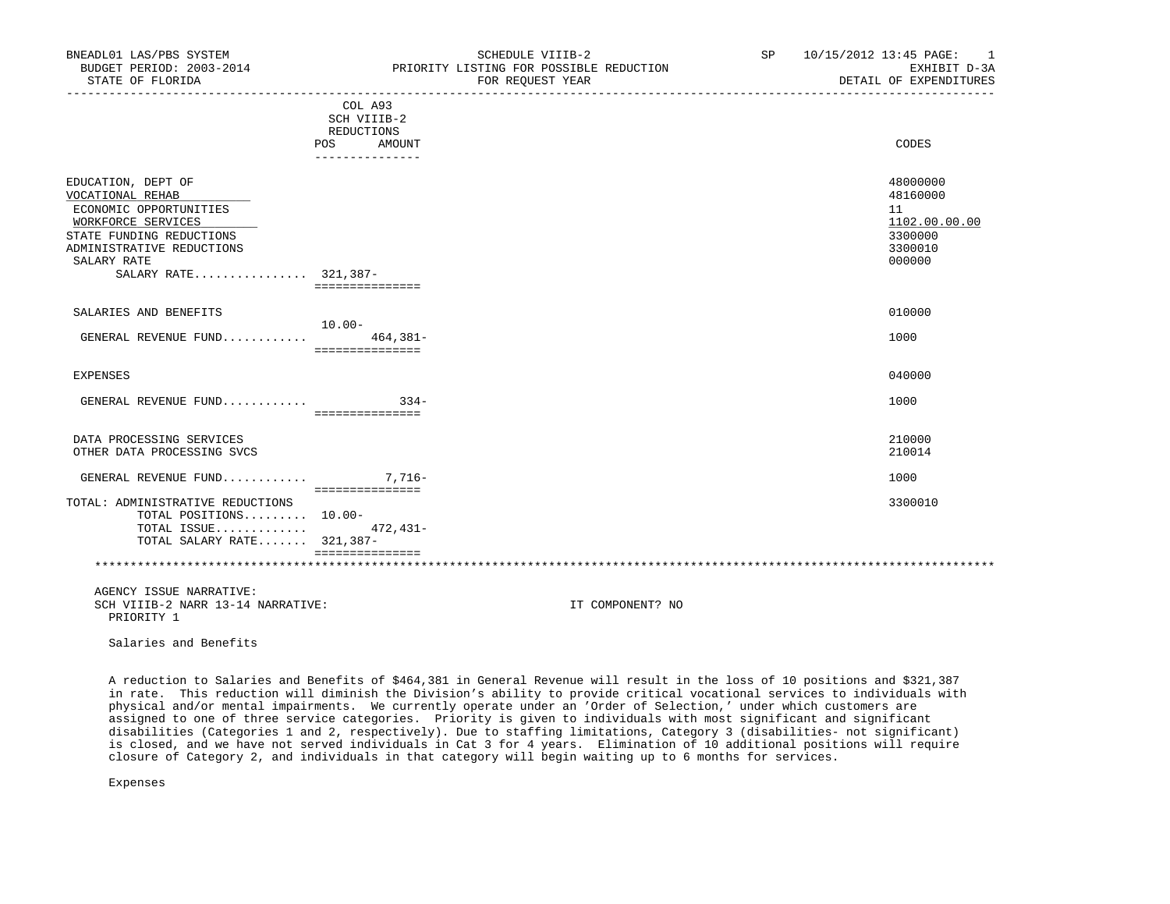| BNEADL01 LAS/PBS SYSTEM<br>BUDGET PERIOD: 2003-2014<br>STATE OF FLORIDA                                                                                                                |                                                    | SCHEDULE VIIIB-2<br>PRIORITY LISTING FOR POSSIBLE REDUCTION<br>FOR REQUEST YEAR | SP <sub>2</sub> | 10/15/2012 13:45 PAGE: 1<br>EXHIBIT D-3A<br>DETAIL OF EXPENDITURES          |
|----------------------------------------------------------------------------------------------------------------------------------------------------------------------------------------|----------------------------------------------------|---------------------------------------------------------------------------------|-----------------|-----------------------------------------------------------------------------|
|                                                                                                                                                                                        | COL A93<br>SCH VIIIB-2<br>REDUCTIONS<br>POS AMOUNT |                                                                                 |                 | CODES                                                                       |
| EDUCATION, DEPT OF<br>VOCATIONAL REHAB<br>ECONOMIC OPPORTUNITIES<br>WORKFORCE SERVICES<br>STATE FUNDING REDUCTIONS<br>ADMINISTRATIVE REDUCTIONS<br>SALARY RATE<br>SALARY RATE 321,387- | ---------------<br>===============                 |                                                                                 |                 | 48000000<br>48160000<br>11<br>1102.00.00.00<br>3300000<br>3300010<br>000000 |
| SALARIES AND BENEFITS<br>GENERAL REVENUE FUND                                                                                                                                          | $10.00-$<br>464,381-<br>===============            |                                                                                 |                 | 010000<br>1000                                                              |
| EXPENSES                                                                                                                                                                               |                                                    |                                                                                 |                 | 040000                                                                      |
| GENERAL REVENUE FUND $334-$                                                                                                                                                            | ===============                                    |                                                                                 |                 | 1000                                                                        |
| DATA PROCESSING SERVICES<br>OTHER DATA PROCESSING SVCS                                                                                                                                 |                                                    |                                                                                 |                 | 210000<br>210014                                                            |
| GENERAL REVENUE FUND $7,716-$                                                                                                                                                          |                                                    |                                                                                 |                 | 1000                                                                        |
| TOTAL: ADMINISTRATIVE REDUCTIONS<br>TOTAL POSITIONS 10.00-<br>TOTAL ISSUE $472.431-$<br>TOTAL SALARY RATE 321,387-                                                                     | ===============                                    |                                                                                 |                 | 3300010                                                                     |
|                                                                                                                                                                                        | ===============                                    |                                                                                 |                 |                                                                             |
| AGENCY ISSUE NARRATIVE:<br>SCH VIIIB-2 NARR 13-14 NARRATIVE:<br>PRIORITY 1                                                                                                             |                                                    | IT COMPONENT? NO                                                                |                 |                                                                             |

 A reduction to Salaries and Benefits of \$464,381 in General Revenue will result in the loss of 10 positions and \$321,387 in rate. This reduction will diminish the Division's ability to provide critical vocational services to individuals with physical and/or mental impairments. We currently operate under an 'Order of Selection,' under which customers are assigned to one of three service categories. Priority is given to individuals with most significant and significant disabilities (Categories 1 and 2, respectively). Due to staffing limitations, Category 3 (disabilities- not significant) is closed, and we have not served individuals in Cat 3 for 4 years. Elimination of 10 additional positions will require

closure of Category 2, and individuals in that category will begin waiting up to 6 months for services.

Salaries and Benefits

Expenses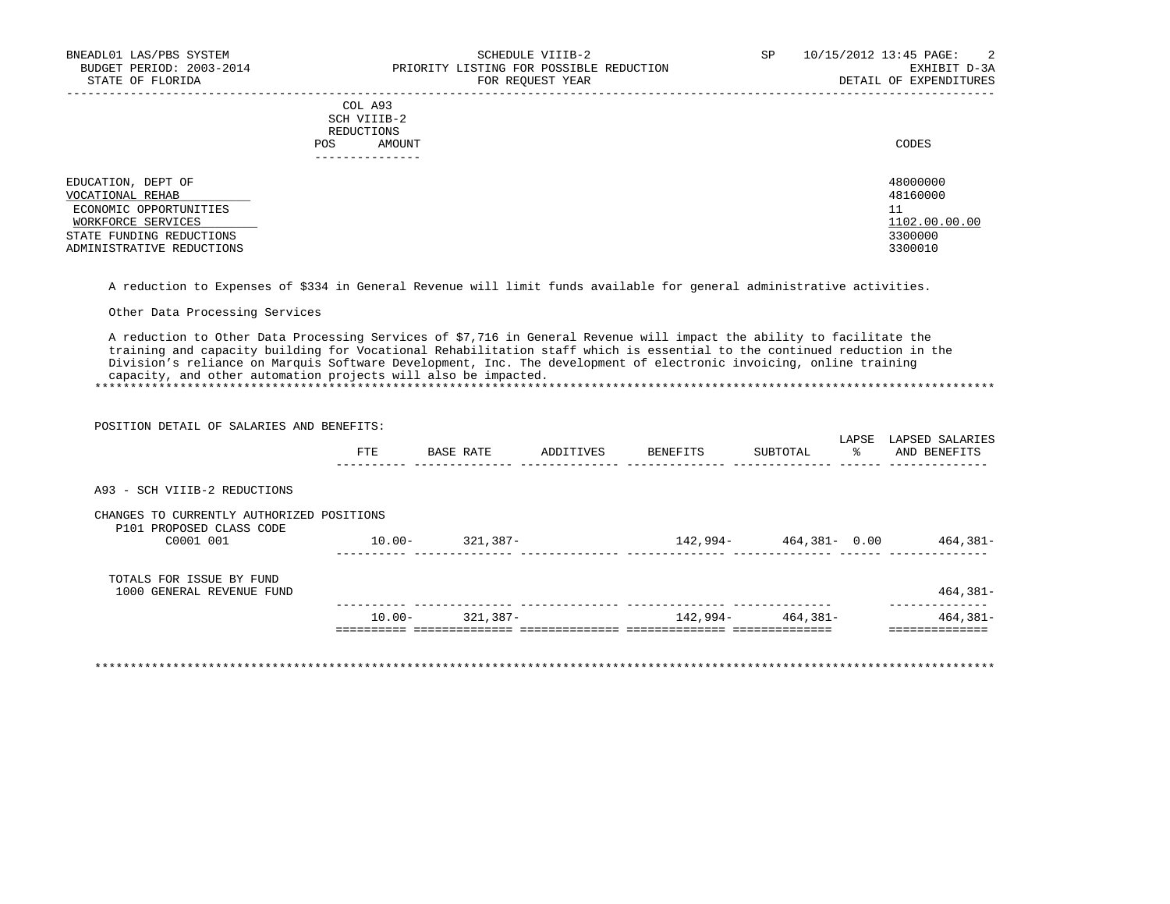| SIAIE OF FLORIDA                                                 |            |                                                | FOR REQUEST IEAR | DETAIL OF EXPENDITURES     |
|------------------------------------------------------------------|------------|------------------------------------------------|------------------|----------------------------|
|                                                                  | <b>POS</b> | COL A93<br>SCH VIIIB-2<br>REDUCTIONS<br>AMOUNT |                  | CODES                      |
|                                                                  |            |                                                |                  |                            |
| EDUCATION, DEPT OF<br>VOCATIONAL REHAB<br>ECONOMIC OPPORTUNITIES |            |                                                |                  | 48000000<br>48160000<br>11 |
| WORKFORCE SERVICES                                               |            |                                                |                  | 1102.00.00.00<br>3300000   |
| STATE FUNDING REDUCTIONS<br>ADMINISTRATIVE REDUCTIONS            |            |                                                |                  | 3300010                    |

A reduction to Expenses of \$334 in General Revenue will limit funds available for general administrative activities.

Other Data Processing Services

POSITION DETAIL OF SALARIES AND BENEFITS:

 A reduction to Other Data Processing Services of \$7,716 in General Revenue will impact the ability to facilitate the training and capacity building for Vocational Rehabilitation staff which is essential to the continued reduction in the Division's reliance on Marquis Software Development, Inc. The development of electronic invoicing, online training capacity, and other automation projects will also be impacted.

\*\*\*\*\*\*\*\*\*\*\*\*\*\*\*\*\*\*\*\*\*\*\*\*\*\*\*\*\*\*\*\*\*\*\*\*\*\*\*\*\*\*\*\*\*\*\*\*\*\*\*\*\*\*\*\*\*\*\*\*\*\*\*\*\*\*\*\*\*\*\*\*\*\*\*\*\*\*\*\*\*\*\*\*\*\*\*\*\*\*\*\*\*\*\*\*\*\*\*\*\*\*\*\*\*\*\*\*\*\*\*\*\*\*\*\*\*\*\*\*\*\*\*\*\*\*\*

|                                                                       | PUSIIIUN DEIAIL UP SALAKIES AND BENEPIIS. |           |           |          |              | LAPSE | LAPSED SALARIES |
|-----------------------------------------------------------------------|-------------------------------------------|-----------|-----------|----------|--------------|-------|-----------------|
|                                                                       | FTE                                       | BASE RATE | ADDITIVES | BENEFITS | SUBTOTAL     | ႜၟ    | AND BENEFITS    |
| A93 - SCH VIIIB-2 REDUCTIONS                                          |                                           |           |           |          |              |       |                 |
| CHANGES TO CURRENTLY AUTHORIZED POSITIONS<br>P101 PROPOSED CLASS CODE |                                           |           |           |          |              |       |                 |
| C0001 001                                                             | $10.00 -$                                 | 321,387-  |           | 142,994- | 464,381-0.00 |       | 464,381-        |
| TOTALS FOR ISSUE BY FUND<br>1000 GENERAL REVENUE FUND                 |                                           |           |           |          |              |       | $464,381-$      |
|                                                                       | $10.00 -$                                 | 321,387-  |           | 142,994- | 464,381-     |       | $464,381-$      |

\*\*\*\*\*\*\*\*\*\*\*\*\*\*\*\*\*\*\*\*\*\*\*\*\*\*\*\*\*\*\*\*\*\*\*\*\*\*\*\*\*\*\*\*\*\*\*\*\*\*\*\*\*\*\*\*\*\*\*\*\*\*\*\*\*\*\*\*\*\*\*\*\*\*\*\*\*\*\*\*\*\*\*\*\*\*\*\*\*\*\*\*\*\*\*\*\*\*\*\*\*\*\*\*\*\*\*\*\*\*\*\*\*\*\*\*\*\*\*\*\*\*\*\*\*\*\*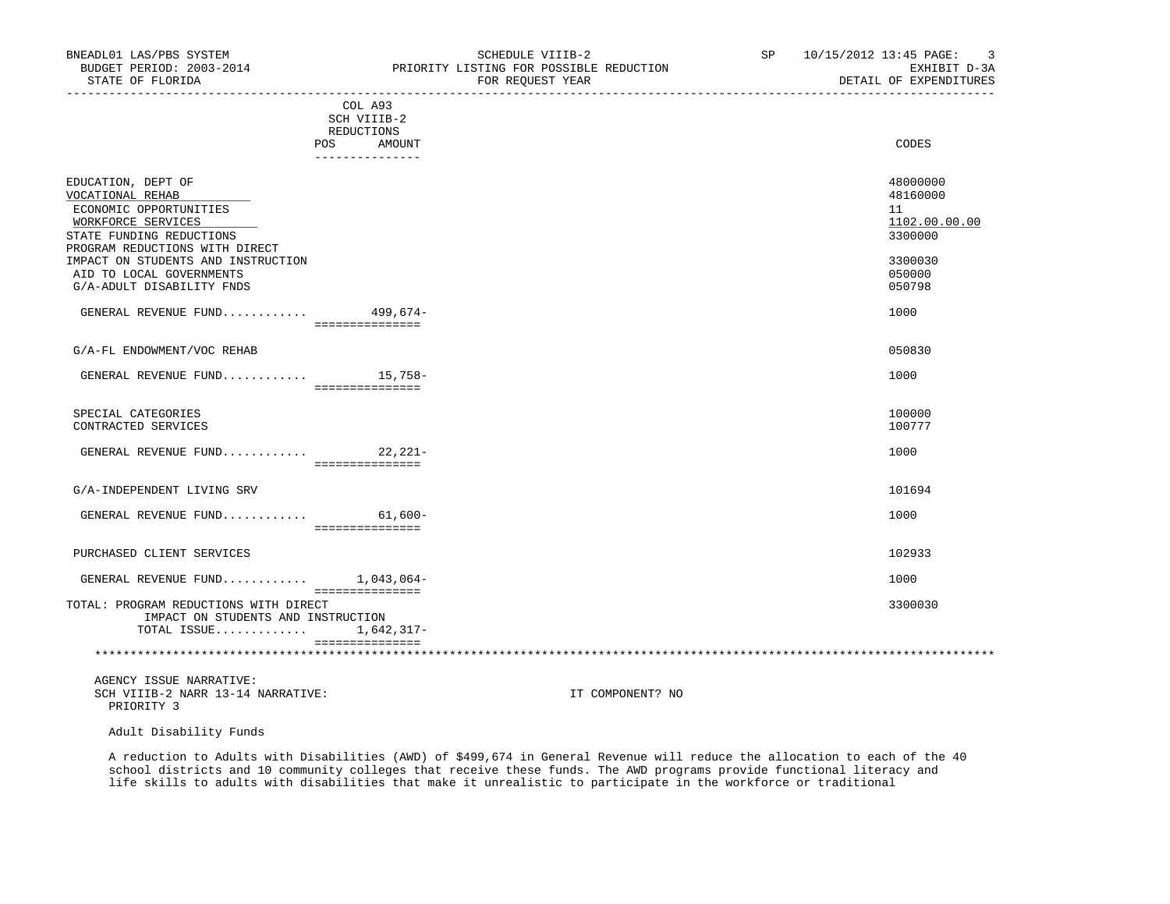| BNEADL01 LAS/PBS SYSTEM<br>STATE OF FLORIDA                                                                                                                                                                                                         | SCHEDULE VIIIB-2<br>BUDGET PERIOD: 2003-2014 PRIORITY LISTING FOR POSSIBLE REDUCTION<br>FOR REQUEST YEAR | SP 10/15/2012 13:45 PAGE: 3<br>EXHIBIT D-3A<br>DETAIL OF EXPENDITURES                 |
|-----------------------------------------------------------------------------------------------------------------------------------------------------------------------------------------------------------------------------------------------------|----------------------------------------------------------------------------------------------------------|---------------------------------------------------------------------------------------|
|                                                                                                                                                                                                                                                     | COL A93<br>SCH VIIIB-2<br>REDUCTIONS<br>POS AMOUNT<br>_______________                                    | CODES                                                                                 |
| EDUCATION, DEPT OF<br>VOCATIONAL REHAB<br>ECONOMIC OPPORTUNITIES<br>WORKFORCE SERVICES<br>STATE FUNDING REDUCTIONS<br>PROGRAM REDUCTIONS WITH DIRECT<br>IMPACT ON STUDENTS AND INSTRUCTION<br>AID TO LOCAL GOVERNMENTS<br>G/A-ADULT DISABILITY FNDS |                                                                                                          | 48000000<br>48160000<br>11<br>1102.00.00.00<br>3300000<br>3300030<br>050000<br>050798 |
| GENERAL REVENUE FUND 499,674-                                                                                                                                                                                                                       | ===============                                                                                          | 1000                                                                                  |
| G/A-FL ENDOWMENT/VOC REHAB                                                                                                                                                                                                                          |                                                                                                          | 050830                                                                                |
| GENERAL REVENUE FUND $15,758-$                                                                                                                                                                                                                      | ================                                                                                         | 1000                                                                                  |
| SPECIAL CATEGORIES<br>CONTRACTED SERVICES                                                                                                                                                                                                           |                                                                                                          | 100000<br>100777                                                                      |
| GENERAL REVENUE FUND 22,221-                                                                                                                                                                                                                        | ================                                                                                         | 1000                                                                                  |
| G/A-INDEPENDENT LIVING SRV                                                                                                                                                                                                                          |                                                                                                          | 101694                                                                                |
| GENERAL REVENUE FUND                                                                                                                                                                                                                                | $61,600-$<br>================                                                                            | 1000                                                                                  |
| PURCHASED CLIENT SERVICES                                                                                                                                                                                                                           |                                                                                                          | 102933                                                                                |
| GENERAL REVENUE FUND $1,043,064-$                                                                                                                                                                                                                   | ===============                                                                                          | 1000                                                                                  |

 TOTAL: PROGRAM REDUCTIONS WITH DIRECT 3300030 IMPACT ON STUDENTS AND INSTRUCTION TOTAL ISSUE............. 1,642,317- ===============

\*\*\*\*\*\*\*\*\*\*\*\*\*\*\*\*\*\*\*\*\*\*\*\*\*\*\*\*\*\*\*\*\*\*\*\*\*\*\*\*\*\*\*\*\*\*\*\*\*\*\*\*\*\*\*\*\*\*\*\*\*\*\*\*\*\*\*\*\*\*\*\*\*\*\*\*\*\*\*\*\*\*\*\*\*\*\*\*\*\*\*\*\*\*\*\*\*\*\*\*\*\*\*\*\*\*\*\*\*\*\*\*\*\*\*\*\*\*\*\*\*\*\*\*\*\*\*

 AGENCY ISSUE NARRATIVE: SCH VIIIB-2 NARR 13-14 NARRATIVE: IT COMPONENT? NO PRIORITY 3

Adult Disability Funds

 A reduction to Adults with Disabilities (AWD) of \$499,674 in General Revenue will reduce the allocation to each of the 40 school districts and 10 community colleges that receive these funds. The AWD programs provide functional literacy and life skills to adults with disabilities that make it unrealistic to participate in the workforce or traditional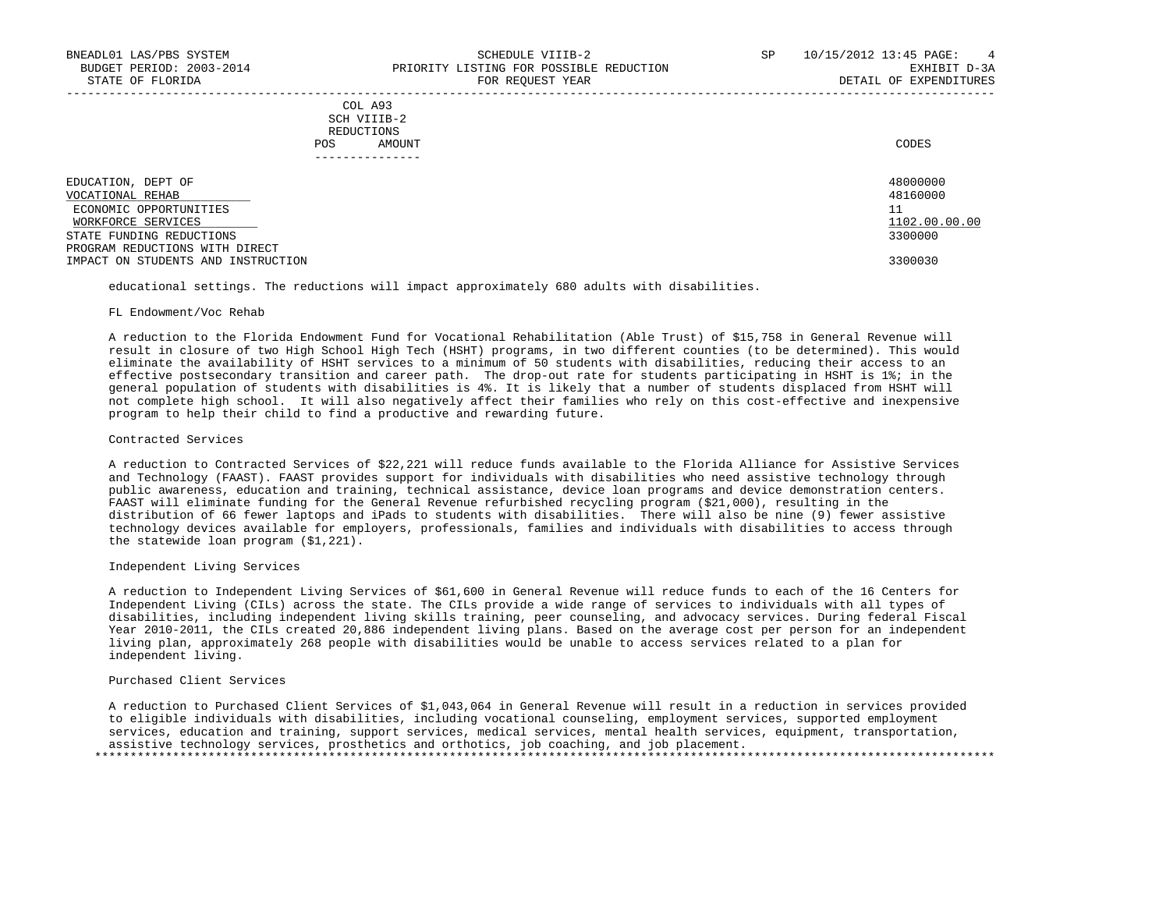| CODES |
|-------|
|       |
|       |

| EDUCATION, DEPT OF                 | 48000000      |
|------------------------------------|---------------|
| VOCATIONAL REHAB                   | 48160000      |
| ECONOMIC OPPORTUNITIES             | 11            |
| WORKFORCE SERVICES                 | 1102.00.00.00 |
| STATE FUNDING REDUCTIONS           | 3300000       |
| PROGRAM REDUCTIONS WITH DIRECT     |               |
| IMPACT ON STUDENTS AND INSTRUCTION | 3300030       |

educational settings. The reductions will impact approximately 680 adults with disabilities.

## FL Endowment/Voc Rehab

 A reduction to the Florida Endowment Fund for Vocational Rehabilitation (Able Trust) of \$15,758 in General Revenue will result in closure of two High School High Tech (HSHT) programs, in two different counties (to be determined). This would eliminate the availability of HSHT services to a minimum of 50 students with disabilities, reducing their access to an effective postsecondary transition and career path. The drop-out rate for students participating in HSHT is 1%; in the general population of students with disabilities is 4%. It is likely that a number of students displaced from HSHT will not complete high school. It will also negatively affect their families who rely on this cost-effective and inexpensive program to help their child to find a productive and rewarding future.

## Contracted Services

 A reduction to Contracted Services of \$22,221 will reduce funds available to the Florida Alliance for Assistive Services and Technology (FAAST). FAAST provides support for individuals with disabilities who need assistive technology through public awareness, education and training, technical assistance, device loan programs and device demonstration centers. FAAST will eliminate funding for the General Revenue refurbished recycling program (\$21,000), resulting in the distribution of 66 fewer laptops and iPads to students with disabilities. There will also be nine (9) fewer assistive technology devices available for employers, professionals, families and individuals with disabilities to access through the statewide loan program (\$1,221).

### Independent Living Services

 A reduction to Independent Living Services of \$61,600 in General Revenue will reduce funds to each of the 16 Centers for Independent Living (CILs) across the state. The CILs provide a wide range of services to individuals with all types of disabilities, including independent living skills training, peer counseling, and advocacy services. During federal Fiscal Year 2010-2011, the CILs created 20,886 independent living plans. Based on the average cost per person for an independent living plan, approximately 268 people with disabilities would be unable to access services related to a plan for independent living.

# Purchased Client Services

 A reduction to Purchased Client Services of \$1,043,064 in General Revenue will result in a reduction in services provided to eligible individuals with disabilities, including vocational counseling, employment services, supported employment services, education and training, support services, medical services, mental health services, equipment, transportation, assistive technology services, prosthetics and orthotics, job coaching, and job placement. \*\*\*\*\*\*\*\*\*\*\*\*\*\*\*\*\*\*\*\*\*\*\*\*\*\*\*\*\*\*\*\*\*\*\*\*\*\*\*\*\*\*\*\*\*\*\*\*\*\*\*\*\*\*\*\*\*\*\*\*\*\*\*\*\*\*\*\*\*\*\*\*\*\*\*\*\*\*\*\*\*\*\*\*\*\*\*\*\*\*\*\*\*\*\*\*\*\*\*\*\*\*\*\*\*\*\*\*\*\*\*\*\*\*\*\*\*\*\*\*\*\*\*\*\*\*\*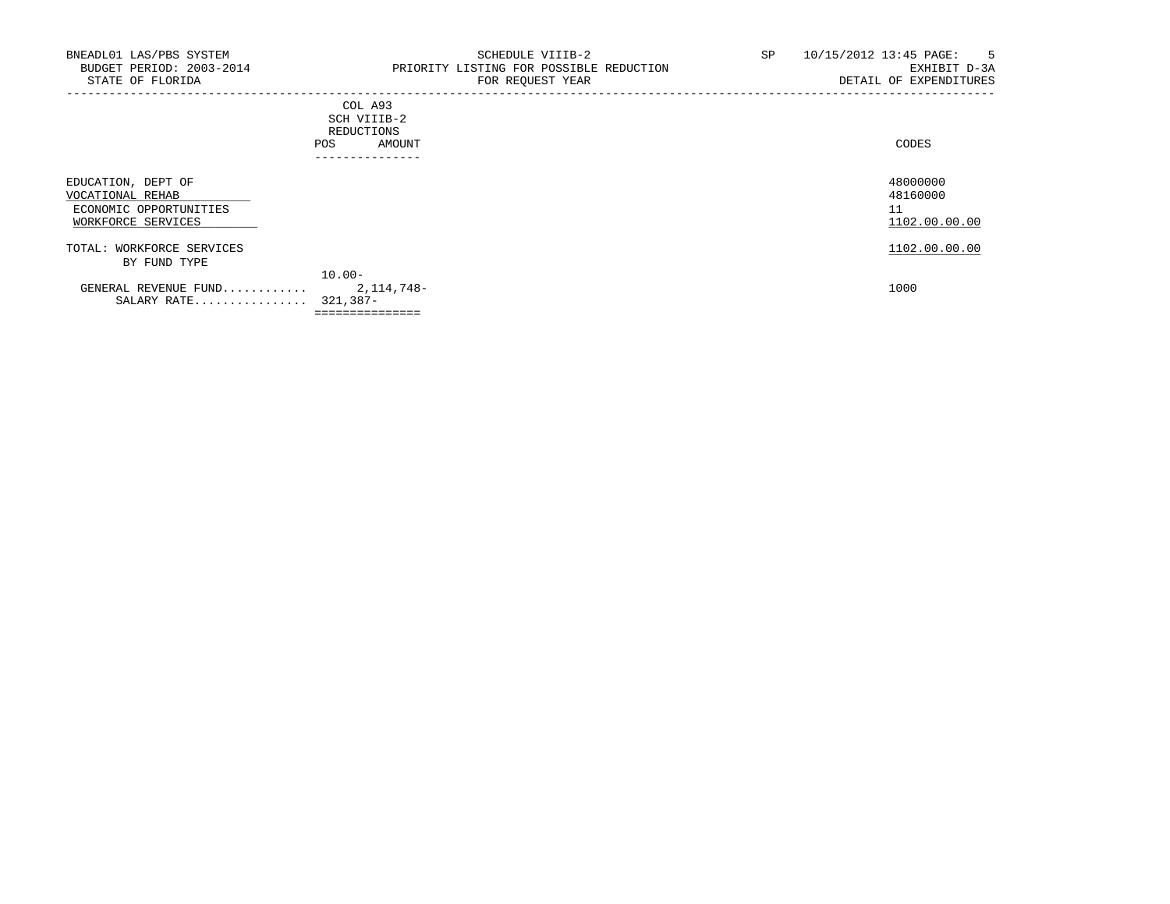|                                                                                        | COD AJJ<br>SCH VIIIB-2<br>REDUCTIONS<br>AMOUNT<br><b>POS</b><br>------------- | CODES                                       |
|----------------------------------------------------------------------------------------|-------------------------------------------------------------------------------|---------------------------------------------|
| EDUCATION, DEPT OF<br>VOCATIONAL REHAB<br>ECONOMIC OPPORTUNITIES<br>WORKFORCE SERVICES |                                                                               | 48000000<br>48160000<br>11<br>1102.00.00.00 |
| TOTAL: WORKFORCE SERVICES<br>BY FUND TYPE                                              |                                                                               | 1102.00.00.00                               |
| GENERAL REVENUE FUND<br>SALARY RATE 321,387-                                           | $10.00 -$<br>2, 114, 748-                                                     | 1000                                        |
|                                                                                        | ===============                                                               |                                             |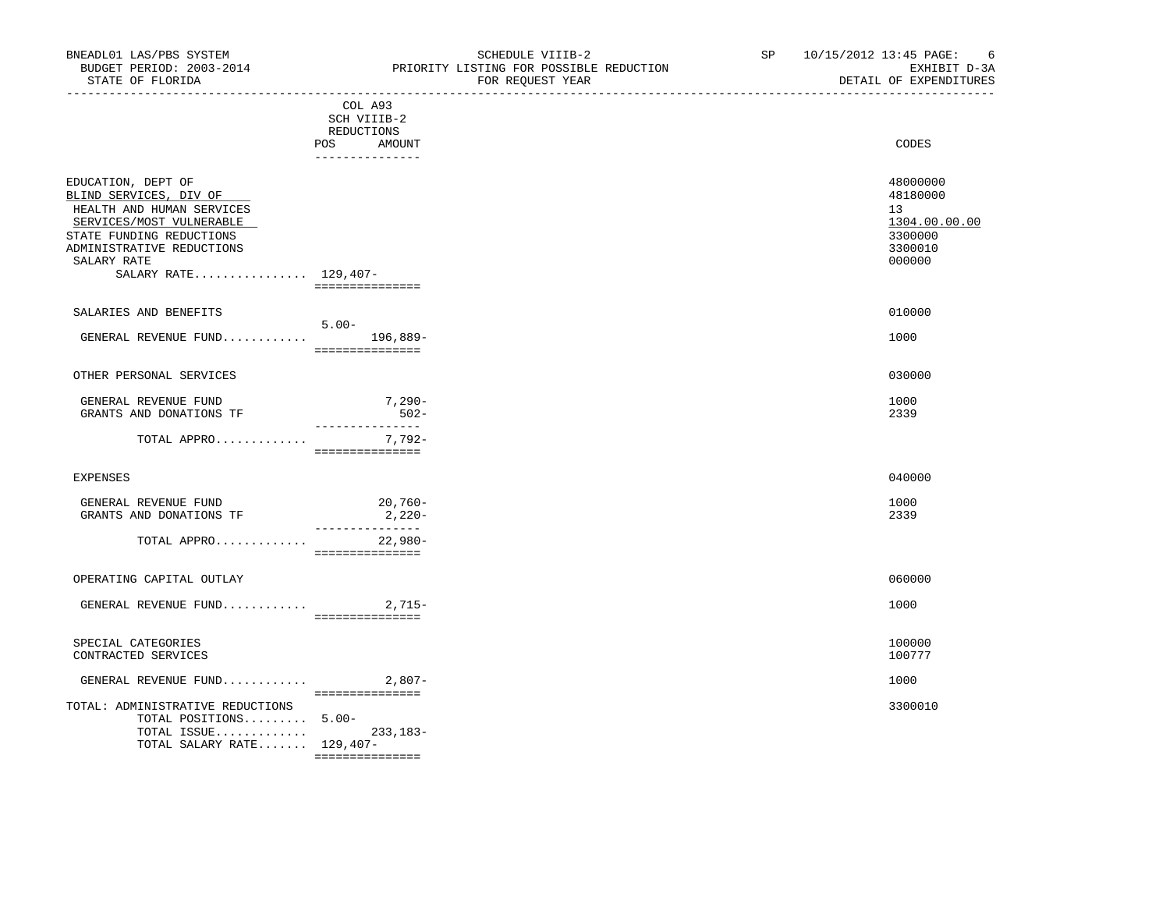| BNEADL01 LAS/PBS SYSTEM<br>BUDGET PERIOD: 2003-2014<br>STATE OF FLORIDA                                                                                                                               |                                                                                                                                                                                                                                | SCHEDULE VIIIB-2<br>PRIORITY LISTING FOR POSSIBLE REDUCTION<br>FOR REQUEST YEAR | SP | 10/15/2012 13:45 PAGE: 6<br>DETAIL (<br>EXHIBIT D-3A<br>DETAIL OF EXPENDITURES<br>_________________ |
|-------------------------------------------------------------------------------------------------------------------------------------------------------------------------------------------------------|--------------------------------------------------------------------------------------------------------------------------------------------------------------------------------------------------------------------------------|---------------------------------------------------------------------------------|----|-----------------------------------------------------------------------------------------------------|
|                                                                                                                                                                                                       | COL A93<br>SCH VIIIB-2<br>REDUCTIONS<br>POS AMOUNT<br>_______________                                                                                                                                                          |                                                                                 |    | CODES                                                                                               |
| EDUCATION, DEPT OF<br>BLIND SERVICES, DIV OF<br>HEALTH AND HUMAN SERVICES<br>SERVICES/MOST VULNERABLE<br>STATE FUNDING REDUCTIONS<br>ADMINISTRATIVE REDUCTIONS<br>SALARY RATE<br>SALARY RATE 129,407- | ================                                                                                                                                                                                                               |                                                                                 |    | 48000000<br>48180000<br>13 <sup>7</sup><br>1304.00.00.00<br>3300000<br>3300010<br>000000            |
| SALARIES AND BENEFITS                                                                                                                                                                                 | $5.00 -$                                                                                                                                                                                                                       |                                                                                 |    | 010000                                                                                              |
| GENERAL REVENUE FUND 196,889-                                                                                                                                                                         | ===============                                                                                                                                                                                                                |                                                                                 |    | 1000                                                                                                |
| OTHER PERSONAL SERVICES                                                                                                                                                                               |                                                                                                                                                                                                                                |                                                                                 |    | 030000                                                                                              |
| GENERAL REVENUE FUND<br>GRANTS AND DONATIONS TF                                                                                                                                                       | 7,290-<br>$502 -$<br>_______________                                                                                                                                                                                           |                                                                                 |    | 1000<br>2339                                                                                        |
| TOTAL APPRO                                                                                                                                                                                           | 7,792-<br>===============                                                                                                                                                                                                      |                                                                                 |    |                                                                                                     |
| EXPENSES                                                                                                                                                                                              |                                                                                                                                                                                                                                |                                                                                 |    | 040000                                                                                              |
| GENERAL REVENUE FUND<br>GRANTS AND DONATIONS TF                                                                                                                                                       | $20,760-$<br>$2,220-$<br>_______________                                                                                                                                                                                       |                                                                                 |    | 1000<br>2339                                                                                        |
| TOTAL APPRO                                                                                                                                                                                           | 22,980-<br>===============                                                                                                                                                                                                     |                                                                                 |    |                                                                                                     |
| OPERATING CAPITAL OUTLAY                                                                                                                                                                              |                                                                                                                                                                                                                                |                                                                                 |    | 060000                                                                                              |
| GENERAL REVENUE FUND 2,715-                                                                                                                                                                           | ================                                                                                                                                                                                                               |                                                                                 |    | 1000                                                                                                |
| SPECIAL CATEGORIES<br>CONTRACTED SERVICES                                                                                                                                                             |                                                                                                                                                                                                                                |                                                                                 |    | 100000<br>100777                                                                                    |
| GENERAL REVENUE FUND $2,807-$                                                                                                                                                                         |                                                                                                                                                                                                                                |                                                                                 |    | 1000                                                                                                |
| TOTAL: ADMINISTRATIVE REDUCTIONS<br>TOTAL POSITIONS $5.00-$<br>TOTAL ISSUE 233,183-<br>TOTAL SALARY RATE $129,407-$                                                                                   | and a consequence of the contract of the contract of the contract of the contract of the contract of the contract of the contract of the contract of the contract of the contract of the contract of the contract of the contr |                                                                                 |    | 3300010                                                                                             |

===============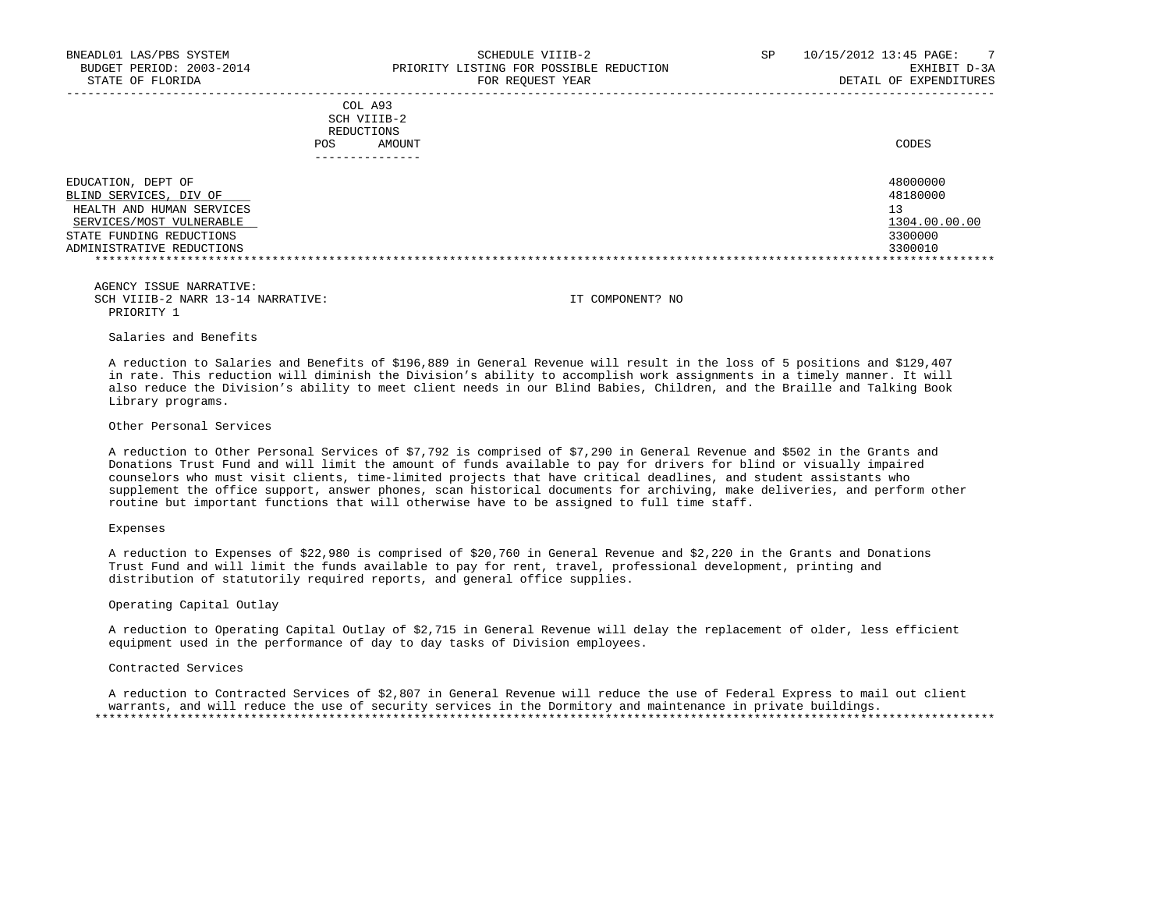| STATE OF FLORIDA                                                                                                                                               |                                              | FOR REOUEST YEAR | DETAIL OF EXPENDITURES                                            |
|----------------------------------------------------------------------------------------------------------------------------------------------------------------|----------------------------------------------|------------------|-------------------------------------------------------------------|
|                                                                                                                                                                | COL A93<br>SCH VIIIB-2<br>REDUCTIONS<br>POS. | AMOUNT           | CODES                                                             |
|                                                                                                                                                                |                                              |                  |                                                                   |
| EDUCATION, DEPT OF<br>BLIND SERVICES, DIV OF<br>HEALTH AND HUMAN SERVICES<br>SERVICES/MOST VULNERABLE<br>STATE FUNDING REDUCTIONS<br>ADMINISTRATIVE REDUCTIONS |                                              |                  | 48000000<br>48180000<br>13<br>1304.00.00.00<br>3300000<br>3300010 |

Salaries and Benefits

 A reduction to Salaries and Benefits of \$196,889 in General Revenue will result in the loss of 5 positions and \$129,407 in rate. This reduction will diminish the Division's ability to accomplish work assignments in a timely manner. It will also reduce the Division's ability to meet client needs in our Blind Babies, Children, and the Braille and Talking Book Library programs.

Other Personal Services

 A reduction to Other Personal Services of \$7,792 is comprised of \$7,290 in General Revenue and \$502 in the Grants and Donations Trust Fund and will limit the amount of funds available to pay for drivers for blind or visually impaired counselors who must visit clients, time-limited projects that have critical deadlines, and student assistants who supplement the office support, answer phones, scan historical documents for archiving, make deliveries, and perform other routine but important functions that will otherwise have to be assigned to full time staff.

## Expenses

 A reduction to Expenses of \$22,980 is comprised of \$20,760 in General Revenue and \$2,220 in the Grants and Donations Trust Fund and will limit the funds available to pay for rent, travel, professional development, printing and distribution of statutorily required reports, and general office supplies.

Operating Capital Outlay

 A reduction to Operating Capital Outlay of \$2,715 in General Revenue will delay the replacement of older, less efficient equipment used in the performance of day to day tasks of Division employees.

#### Contracted Services

 A reduction to Contracted Services of \$2,807 in General Revenue will reduce the use of Federal Express to mail out client warrants, and will reduce the use of security services in the Dormitory and maintenance in private buildings. \*\*\*\*\*\*\*\*\*\*\*\*\*\*\*\*\*\*\*\*\*\*\*\*\*\*\*\*\*\*\*\*\*\*\*\*\*\*\*\*\*\*\*\*\*\*\*\*\*\*\*\*\*\*\*\*\*\*\*\*\*\*\*\*\*\*\*\*\*\*\*\*\*\*\*\*\*\*\*\*\*\*\*\*\*\*\*\*\*\*\*\*\*\*\*\*\*\*\*\*\*\*\*\*\*\*\*\*\*\*\*\*\*\*\*\*\*\*\*\*\*\*\*\*\*\*\*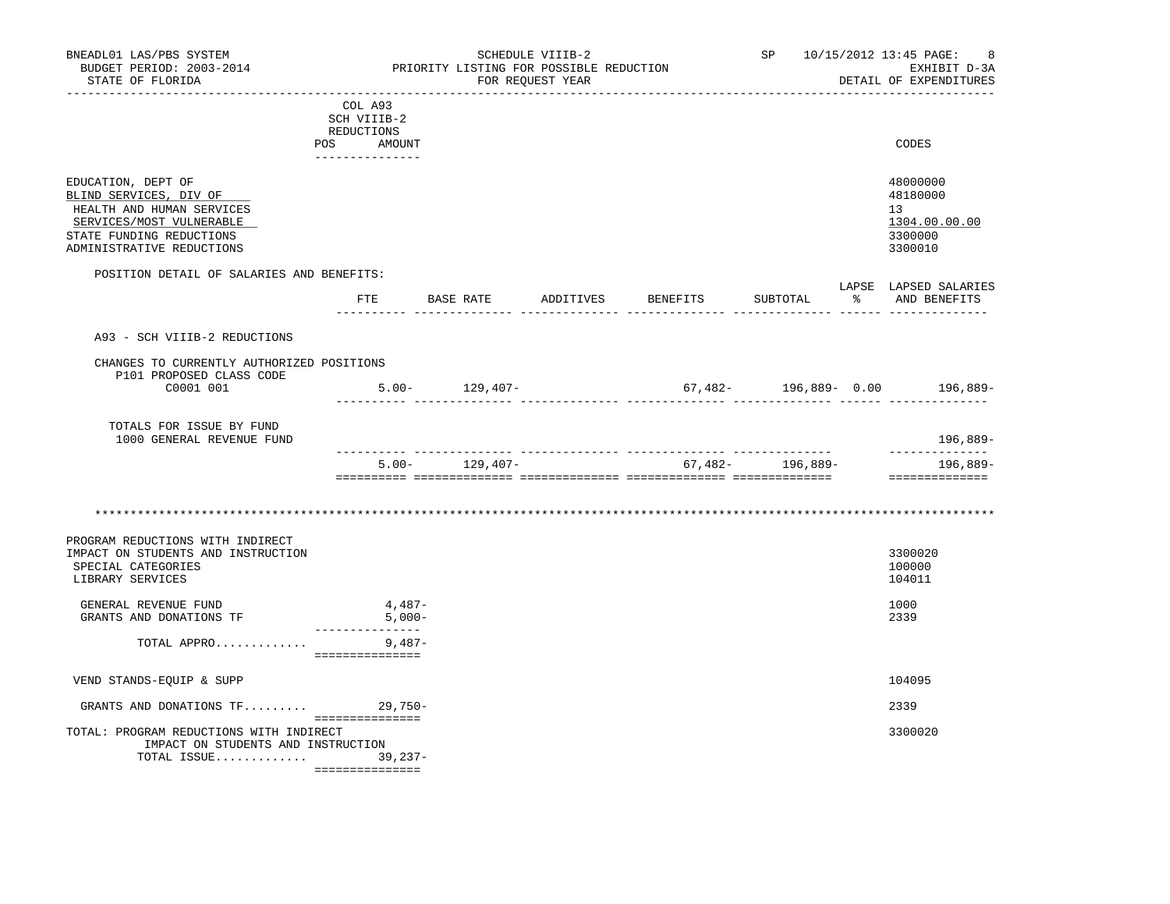| BNEADL01 LAS/PBS SYSTEM<br>BUDGET PERIOD: 2003-2014<br>STATE OF FLORIDA<br>----------------------                                                              |                                                                       |                    | SCHEDULE VIIIB-2<br>PRIORITY LISTING FOR POSSIBLE REDUCTION<br>FOR REQUEST YEAR |                              | SP               | 10/15/2012 13:45 PAGE:<br>-8<br>EXHIBIT D-3A<br>DETAIL OF EXPENDITURES |
|----------------------------------------------------------------------------------------------------------------------------------------------------------------|-----------------------------------------------------------------------|--------------------|---------------------------------------------------------------------------------|------------------------------|------------------|------------------------------------------------------------------------|
|                                                                                                                                                                | COL A93<br>SCH VIIIB-2<br>REDUCTIONS<br>POS AMOUNT<br>_______________ |                    |                                                                                 |                              |                  | CODES                                                                  |
| EDUCATION, DEPT OF<br>BLIND SERVICES, DIV OF<br>HEALTH AND HUMAN SERVICES<br>SERVICES/MOST VULNERABLE<br>STATE FUNDING REDUCTIONS<br>ADMINISTRATIVE REDUCTIONS |                                                                       |                    |                                                                                 |                              |                  | 48000000<br>48180000<br>13<br>1304.00.00.00<br>3300000<br>3300010      |
| POSITION DETAIL OF SALARIES AND BENEFITS:                                                                                                                      | FTE                                                                   |                    |                                                                                 | BASE RATE ADDITIVES BENEFITS | SUBTOTAL         | LAPSE LAPSED SALARIES<br>% AND BENEFITS                                |
| A93 - SCH VIIIB-2 REDUCTIONS<br>CHANGES TO CURRENTLY AUTHORIZED POSITIONS<br>P101 PROPOSED CLASS CODE<br>C0001 001                                             |                                                                       | $5.00 - 129,407 -$ |                                                                                 |                              |                  | $67,482-196,889-0.00$ 196,889-                                         |
| TOTALS FOR ISSUE BY FUND<br>1000 GENERAL REVENUE FUND                                                                                                          | ___________ ____________                                              |                    |                                                                                 |                              |                  | 196,889-                                                               |
|                                                                                                                                                                |                                                                       | $5.00 - 129.407 -$ |                                                                                 |                              | 67,482- 196,889- | ______________<br>196,889-<br>===============                          |
|                                                                                                                                                                |                                                                       |                    |                                                                                 |                              |                  |                                                                        |
| PROGRAM REDUCTIONS WITH INDIRECT<br>IMPACT ON STUDENTS AND INSTRUCTION<br>SPECIAL CATEGORIES<br>LIBRARY SERVICES                                               |                                                                       |                    |                                                                                 |                              |                  | 3300020<br>100000<br>104011                                            |
| GENERAL REVENUE FUND<br>GRANTS AND DONATIONS TF                                                                                                                | 4,487-<br>$5,000-$                                                    |                    |                                                                                 |                              |                  | 1000<br>2339                                                           |
| TOTAL APPRO                                                                                                                                                    | _______________<br>9,487-<br>===============                          |                    |                                                                                 |                              |                  |                                                                        |
| VEND STANDS-EQUIP & SUPP                                                                                                                                       |                                                                       |                    |                                                                                 |                              |                  | 104095                                                                 |
| GRANTS AND DONATIONS $TF$ 29,750-                                                                                                                              | ===============                                                       |                    |                                                                                 |                              |                  | 2339                                                                   |
| TOTAL: PROGRAM REDUCTIONS WITH INDIRECT<br>IMPACT ON STUDENTS AND INSTRUCTION<br>TOTAL ISSUE 39,237-                                                           | ================                                                      |                    |                                                                                 |                              |                  | 3300020                                                                |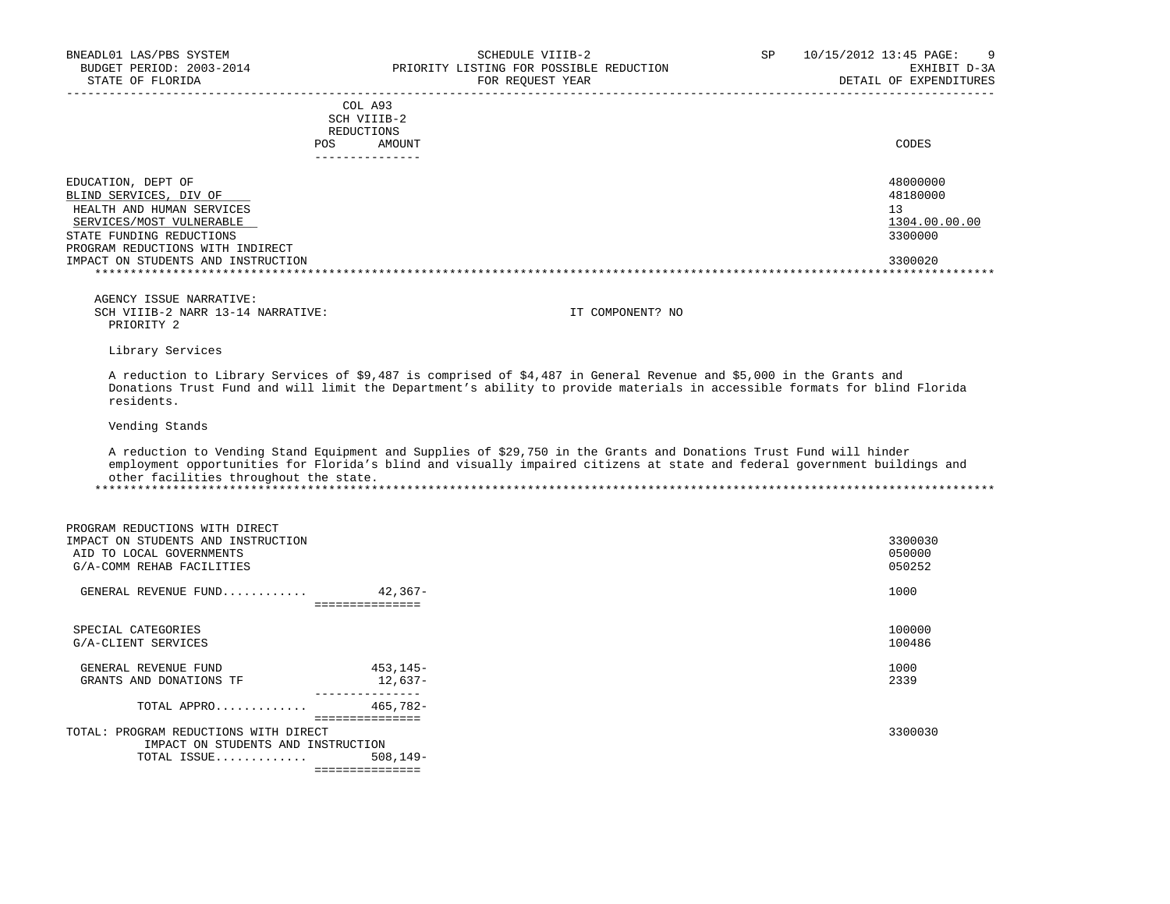| COL A93<br>SCH VIIIB-2<br>REDUCTIONS<br>AMOUNT<br><b>POS</b>                                                                                                          | CODES                                                  |
|-----------------------------------------------------------------------------------------------------------------------------------------------------------------------|--------------------------------------------------------|
| EDUCATION, DEPT OF<br>BLIND SERVICES, DIV OF<br>HEALTH AND HUMAN SERVICES<br>SERVICES/MOST VULNERABLE<br>STATE FUNDING REDUCTIONS<br>PROGRAM REDUCTIONS WITH INDIRECT | 48000000<br>48180000<br>13<br>1304.00.00.00<br>3300000 |
| IMPACT ON STUDENTS AND INSTRUCTION                                                                                                                                    | 3300020                                                |

Library Services

 A reduction to Library Services of \$9,487 is comprised of \$4,487 in General Revenue and \$5,000 in the Grants and Donations Trust Fund and will limit the Department's ability to provide materials in accessible formats for blind Florida residents.

Vending Stands

 A reduction to Vending Stand Equipment and Supplies of \$29,750 in the Grants and Donations Trust Fund will hinder employment opportunities for Florida's blind and visually impaired citizens at state and federal government buildings and other facilities throughout the state. \*\*\*\*\*\*\*\*\*\*\*\*\*\*\*\*\*\*\*\*\*\*\*\*\*\*\*\*\*\*\*\*\*\*\*\*\*\*\*\*\*\*\*\*\*\*\*\*\*\*\*\*\*\*\*\*\*\*\*\*\*\*\*\*\*\*\*\*\*\*\*\*\*\*\*\*\*\*\*\*\*\*\*\*\*\*\*\*\*\*\*\*\*\*\*\*\*\*\*\*\*\*\*\*\*\*\*\*\*\*\*\*\*\*\*\*\*\*\*\*\*\*\*\*\*\*\*

| PROGRAM REDUCTIONS WITH DIRECT<br>IMPACT ON STUDENTS AND INSTRUCTION<br>AID TO LOCAL GOVERNMENTS<br>G/A-COMM REHAB FACILITIES |                             | 3300030<br>050000<br>050252 |
|-------------------------------------------------------------------------------------------------------------------------------|-----------------------------|-----------------------------|
| GENERAL REVENUE FUND                                                                                                          | 42,367-                     | 1000                        |
|                                                                                                                               |                             |                             |
| SPECIAL CATEGORIES<br>G/A-CLIENT SERVICES                                                                                     |                             | 100000<br>100486            |
| GENERAL REVENUE FUND                                                                                                          | 453,145-                    | 1000                        |
| GRANTS AND DONATIONS TF                                                                                                       | 12,637-                     | 2339                        |
| TOTAL APPRO                                                                                                                   | 465,782-<br>=============== |                             |
| TOTAL: PROGRAM REDUCTIONS WITH DIRECT                                                                                         |                             | 3300030                     |
| IMPACT ON STUDENTS AND INSTRUCTION                                                                                            |                             |                             |
| TOTAL ISSUE                                                                                                                   | $508, 149 -$                |                             |
|                                                                                                                               | ===============             |                             |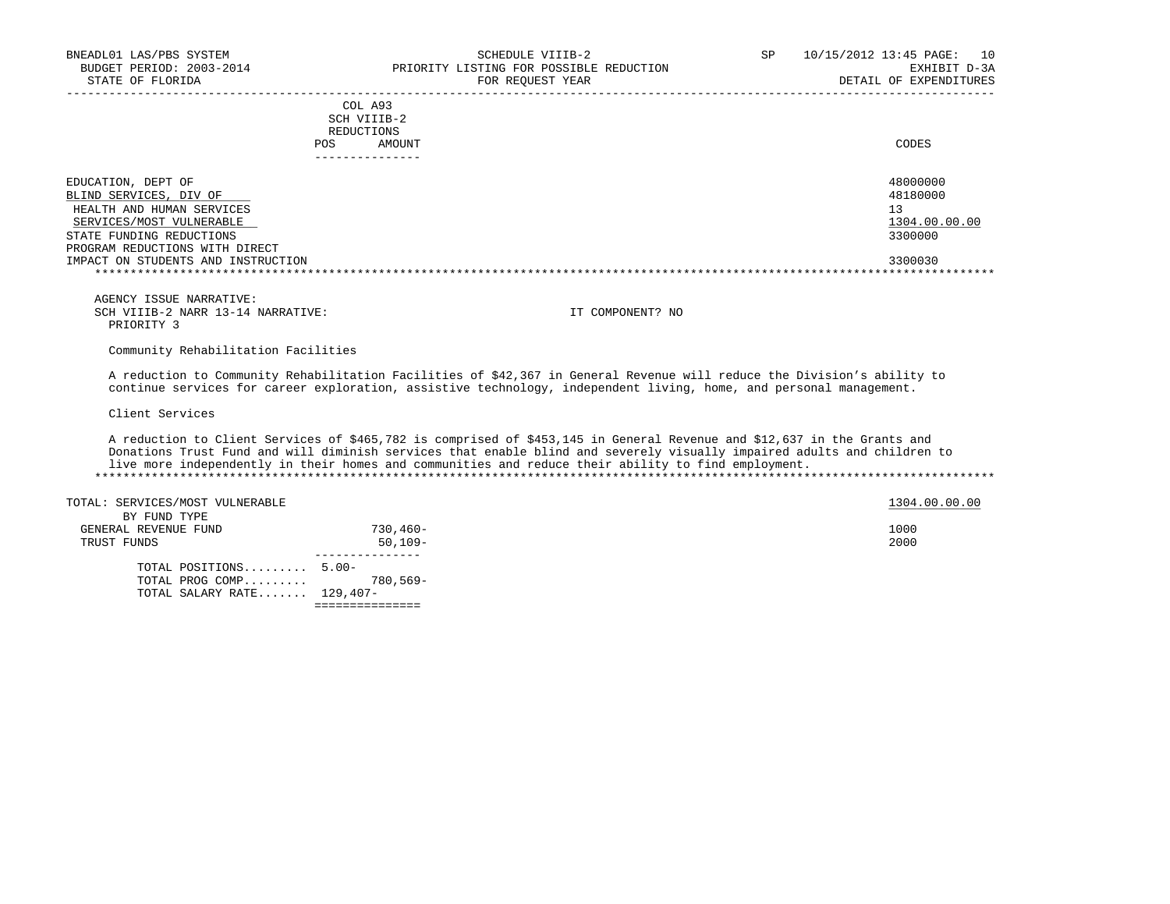| COL A93<br>SCH VIIIB-2<br>REDUCTIONS<br>AMOUNT<br>POS                                                                                                               | CODES                                                  |
|---------------------------------------------------------------------------------------------------------------------------------------------------------------------|--------------------------------------------------------|
| EDUCATION, DEPT OF<br>BLIND SERVICES, DIV OF<br>HEALTH AND HUMAN SERVICES<br>SERVICES/MOST VULNERABLE<br>STATE FUNDING REDUCTIONS<br>PROGRAM REDUCTIONS WITH DIRECT | 48000000<br>48180000<br>13<br>1304.00.00.00<br>3300000 |
| IMPACT ON STUDENTS AND INSTRUCTION                                                                                                                                  | 3300030                                                |

Community Rehabilitation Facilities

 A reduction to Community Rehabilitation Facilities of \$42,367 in General Revenue will reduce the Division's ability to continue services for career exploration, assistive technology, independent living, home, and personal management.

Client Services

 A reduction to Client Services of \$465,782 is comprised of \$453,145 in General Revenue and \$12,637 in the Grants and Donations Trust Fund and will diminish services that enable blind and severely visually impaired adults and children to live more independently in their homes and communities and reduce their ability to find employment. \*\*\*\*\*\*\*\*\*\*\*\*\*\*\*\*\*\*\*\*\*\*\*\*\*\*\*\*\*\*\*\*\*\*\*\*\*\*\*\*\*\*\*\*\*\*\*\*\*\*\*\*\*\*\*\*\*\*\*\*\*\*\*\*\*\*\*\*\*\*\*\*\*\*\*\*\*\*\*\*\*\*\*\*\*\*\*\*\*\*\*\*\*\*\*\*\*\*\*\*\*\*\*\*\*\*\*\*\*\*\*\*\*\*\*\*\*\*\*\*\*\*\*\*\*\*\*

| TOTAL SALARY RATE $129,407-$    |             |               |
|---------------------------------|-------------|---------------|
| TOTAL PROG COMP 780,569-        |             |               |
| TOTAL POSITIONS 5.00-           |             |               |
|                                 |             |               |
| TRUST FUNDS                     | $50,109-$   | 2000          |
| GENERAL REVENUE FUND            | $730.460 -$ | 1000          |
| BY FUND TYPE                    |             |               |
| TOTAL: SERVICES/MOST VULNERABLE |             | 1304.00.00.00 |
|                                 |             |               |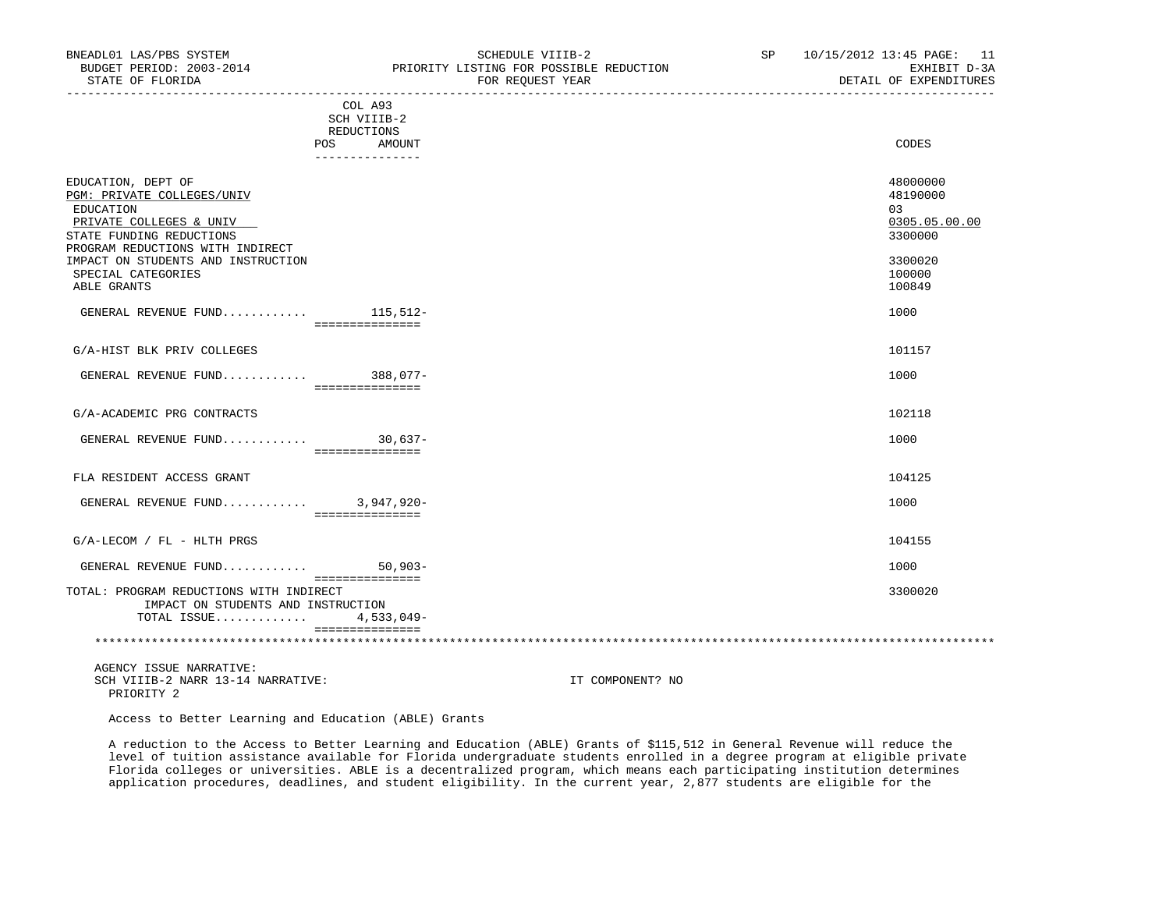|                                                                                                                                                          | COL A93<br>SCH VIIIB-2<br>REDUCTIONS<br><b>POS</b><br>AMOUNT | CODES                                                  |
|----------------------------------------------------------------------------------------------------------------------------------------------------------|--------------------------------------------------------------|--------------------------------------------------------|
|                                                                                                                                                          | ---------------                                              |                                                        |
| EDUCATION, DEPT OF<br>PGM: PRIVATE COLLEGES/UNIV<br>EDUCATION<br>PRIVATE COLLEGES & UNIV<br>STATE FUNDING REDUCTIONS<br>PROGRAM REDUCTIONS WITH INDIRECT |                                                              | 48000000<br>48190000<br>03<br>0305.05.00.00<br>3300000 |
| IMPACT ON STUDENTS AND INSTRUCTION<br>SPECIAL CATEGORIES<br>ABLE GRANTS                                                                                  |                                                              | 3300020<br>100000<br>100849                            |
| GENERAL REVENUE FUND 115,512-                                                                                                                            | ===============                                              | 1000                                                   |
| G/A-HIST BLK PRIV COLLEGES                                                                                                                               |                                                              | 101157                                                 |
| GENERAL REVENUE FUND 388,077-                                                                                                                            | ===============                                              | 1000                                                   |
| G/A-ACADEMIC PRG CONTRACTS                                                                                                                               |                                                              | 102118                                                 |
| GENERAL REVENUE FUND                                                                                                                                     | $30,637-$<br>===============                                 | 1000                                                   |
| FLA RESIDENT ACCESS GRANT                                                                                                                                |                                                              | 104125                                                 |
| GENERAL REVENUE FUND 3,947,920-                                                                                                                          | ===============                                              | 1000                                                   |
| G/A-LECOM / FL - HLTH PRGS                                                                                                                               |                                                              | 104155                                                 |
| GENERAL REVENUE FUND                                                                                                                                     | $50,903-$<br>===============                                 | 1000                                                   |
| TOTAL: PROGRAM REDUCTIONS WITH INDIRECT<br>IMPACT ON STUDENTS AND INSTRUCTION<br>TOTAL ISSUE                                                             | $4,533,049-$                                                 | 3300020                                                |
|                                                                                                                                                          |                                                              |                                                        |

Access to Better Learning and Education (ABLE) Grants

 A reduction to the Access to Better Learning and Education (ABLE) Grants of \$115,512 in General Revenue will reduce the level of tuition assistance available for Florida undergraduate students enrolled in a degree program at eligible private Florida colleges or universities. ABLE is a decentralized program, which means each participating institution determines application procedures, deadlines, and student eligibility. In the current year, 2,877 students are eligible for the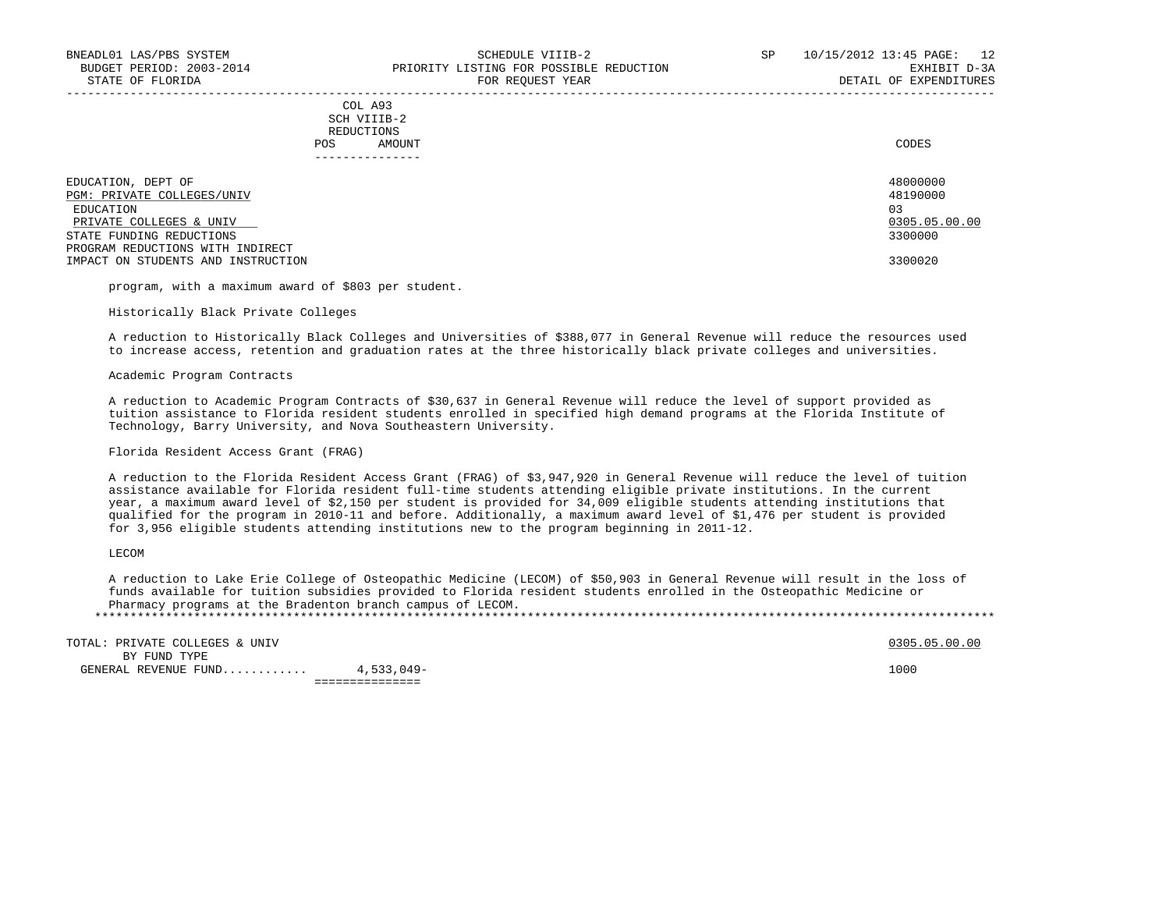COL A93 SCH VIIIB-2 REDUCTIONS POS AMOUNT CODES

| EDUCATION, DEPT OF                 | 48000000      |
|------------------------------------|---------------|
| PGM: PRIVATE COLLEGES/UNIV         | 48190000      |
| EDUCATION                          | 03            |
| PRIVATE COLLEGES & UNIV            | 0305.05.00.00 |
| STATE FUNDING REDUCTIONS           | 3300000       |
| PROGRAM REDUCTIONS WITH INDIRECT   |               |
| IMPACT ON STUDENTS AND INSTRUCTION | 3300020       |
|                                    |               |

-----------------------------------------------------------------------------------------------------------------------------------

program, with a maximum award of \$803 per student.

Historically Black Private Colleges

 A reduction to Historically Black Colleges and Universities of \$388,077 in General Revenue will reduce the resources used to increase access, retention and graduation rates at the three historically black private colleges and universities.

Academic Program Contracts

 A reduction to Academic Program Contracts of \$30,637 in General Revenue will reduce the level of support provided as tuition assistance to Florida resident students enrolled in specified high demand programs at the Florida Institute of Technology, Barry University, and Nova Southeastern University.

Florida Resident Access Grant (FRAG)

 A reduction to the Florida Resident Access Grant (FRAG) of \$3,947,920 in General Revenue will reduce the level of tuition assistance available for Florida resident full-time students attending eligible private institutions. In the current year, a maximum award level of \$2,150 per student is provided for 34,009 eligible students attending institutions that qualified for the program in 2010-11 and before. Additionally, a maximum award level of \$1,476 per student is provided for 3,956 eligible students attending institutions new to the program beginning in 2011-12.

LECOM

 A reduction to Lake Erie College of Osteopathic Medicine (LECOM) of \$50,903 in General Revenue will result in the loss of funds available for tuition subsidies provided to Florida resident students enrolled in the Osteopathic Medicine or Pharmacy programs at the Bradenton branch campus of LECOM. \*\*\*\*\*\*\*\*\*\*\*\*\*\*\*\*\*\*\*\*\*\*\*\*\*\*\*\*\*\*\*\*\*\*\*\*\*\*\*\*\*\*\*\*\*\*\*\*\*\*\*\*\*\*\*\*\*\*\*\*\*\*\*\*\*\*\*\*\*\*\*\*\*\*\*\*\*\*\*\*\*\*\*\*\*\*\*\*\*\*\*\*\*\*\*\*\*\*\*\*\*\*\*\*\*\*\*\*\*\*\*\*\*\*\*\*\*\*\*\*\*\*\*\*\*\*\*

TOTAL: PRIVATE COLLEGES & UNIV  $0305.05.00.00$  BY FUND TYPE GENERAL REVENUE FUND............ 4,533,049- 1000 ===============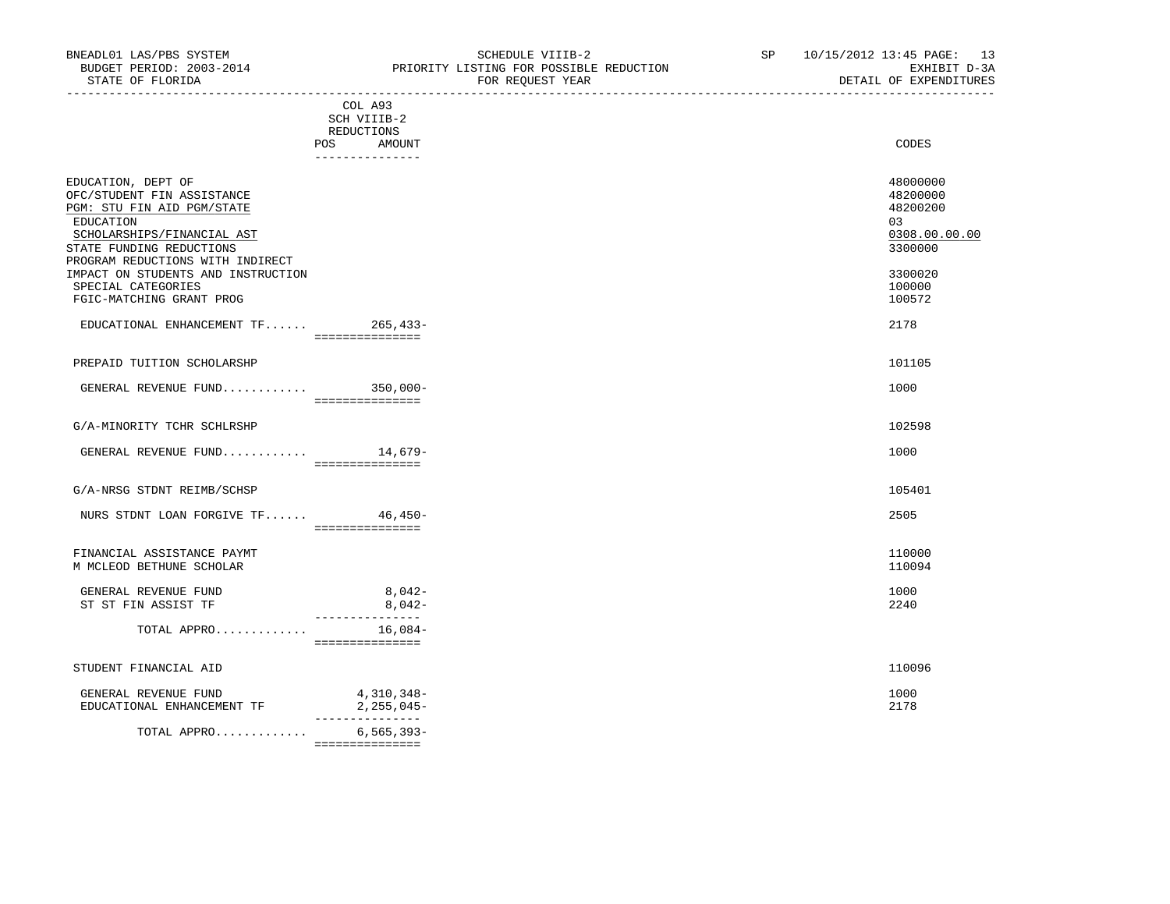STATE OF FLORIDA FOR REQUEST YEAR DETAIL OF EXPENDITURES -----------------------------------------------------------------------------------------------------------------------------------

|                                                                                                                                                                                                                                                                                   | COL A93<br>SCH VIIIB-2                           |                                                                                                   |
|-----------------------------------------------------------------------------------------------------------------------------------------------------------------------------------------------------------------------------------------------------------------------------------|--------------------------------------------------|---------------------------------------------------------------------------------------------------|
|                                                                                                                                                                                                                                                                                   | REDUCTIONS<br>POS<br>AMOUNT<br>--------------    | CODES                                                                                             |
| EDUCATION, DEPT OF<br>OFC/STUDENT FIN ASSISTANCE<br>PGM: STU FIN AID PGM/STATE<br>EDUCATION<br>SCHOLARSHIPS/FINANCIAL AST<br>STATE FUNDING REDUCTIONS<br>PROGRAM REDUCTIONS WITH INDIRECT<br>IMPACT ON STUDENTS AND INSTRUCTION<br>SPECIAL CATEGORIES<br>FGIC-MATCHING GRANT PROG |                                                  | 48000000<br>48200000<br>48200200<br>03<br>0308.00.00.00<br>3300000<br>3300020<br>100000<br>100572 |
| $EDUCATIONAL$ ENHANCEMENT $TF$ 265,433-                                                                                                                                                                                                                                           | ===============                                  | 2178                                                                                              |
| PREPAID TUITION SCHOLARSHP                                                                                                                                                                                                                                                        |                                                  | 101105                                                                                            |
| GENERAL REVENUE FUND 350,000-                                                                                                                                                                                                                                                     | ================                                 | 1000                                                                                              |
| G/A-MINORITY TCHR SCHLRSHP                                                                                                                                                                                                                                                        |                                                  | 102598                                                                                            |
| GENERAL REVENUE FUND $14,679-$                                                                                                                                                                                                                                                    | ================                                 | 1000                                                                                              |
| G/A-NRSG STDNT REIMB/SCHSP                                                                                                                                                                                                                                                        |                                                  | 105401                                                                                            |
| NURS STDNT LOAN FORGIVE TF 46,450-                                                                                                                                                                                                                                                | ================                                 | 2505                                                                                              |
| FINANCIAL ASSISTANCE PAYMT<br>M MCLEOD BETHUNE SCHOLAR                                                                                                                                                                                                                            |                                                  | 110000<br>110094                                                                                  |
| GENERAL REVENUE FUND<br>ST ST FIN ASSIST TF                                                                                                                                                                                                                                       | $8,042-$<br>$8,042-$                             | 1000<br>2240                                                                                      |
| TOTAL APPRO                                                                                                                                                                                                                                                                       | ----------------<br>$16,084-$<br>=============== |                                                                                                   |
| STUDENT FINANCIAL AID                                                                                                                                                                                                                                                             |                                                  | 110096                                                                                            |
| GENERAL REVENUE FUND<br>EDUCATIONAL ENHANCEMENT TF                                                                                                                                                                                                                                | 4,310,348-<br>$2,255,045-$<br>_______________    | 1000<br>2178                                                                                      |
| TOTAL APPRO                                                                                                                                                                                                                                                                       | $6, 565, 393 -$<br>================              |                                                                                                   |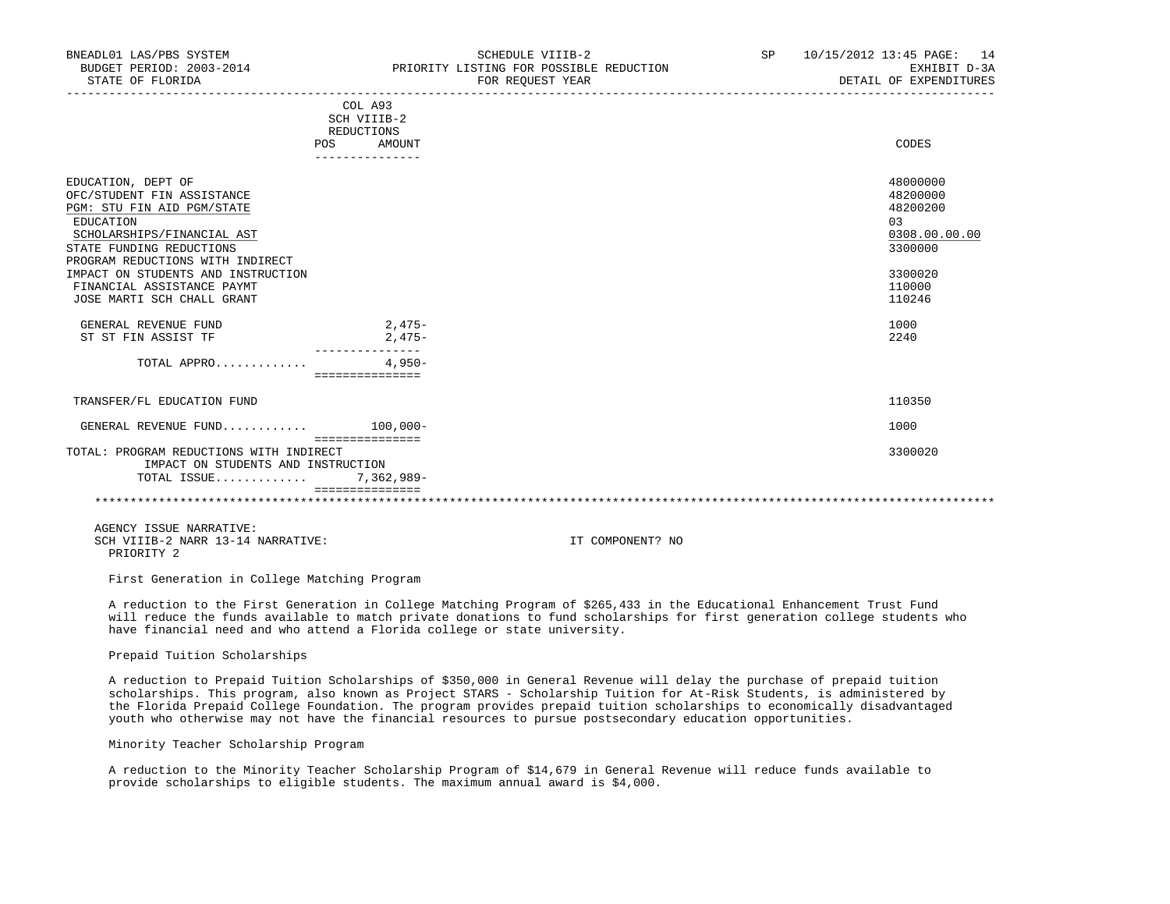| BNEADL01 LAS/PBS SYSTEM<br>STATE OF FLORIDA                                                                                                                                                                                                                                                 | SCHEDULE VIIIB-2<br>BUDGET PERIOD: 2003-2014 TERIORITY LISTING FOR POSSIBLE REDUCTION<br>FOR REOUEST YEAR | SP | 10/15/2012 13:45 PAGE: 14<br>EXHIBIT D-3A<br>DETAIL OF EXPENDITURES                                |
|---------------------------------------------------------------------------------------------------------------------------------------------------------------------------------------------------------------------------------------------------------------------------------------------|-----------------------------------------------------------------------------------------------------------|----|----------------------------------------------------------------------------------------------------|
|                                                                                                                                                                                                                                                                                             | COL A93<br>SCH VIIIB-2<br>REDUCTIONS<br>AMOUNT<br>POS                                                     |    | CODES                                                                                              |
| EDUCATION, DEPT OF<br>OFC/STUDENT FIN ASSISTANCE<br>PGM: STU FIN AID PGM/STATE<br>EDUCATION<br>SCHOLARSHIPS/FINANCIAL AST<br>STATE FUNDING REDUCTIONS<br>PROGRAM REDUCTIONS WITH INDIRECT<br>IMPACT ON STUDENTS AND INSTRUCTION<br>FINANCIAL ASSISTANCE PAYMT<br>JOSE MARTI SCH CHALL GRANT |                                                                                                           |    | 48000000<br>48200000<br>48200200<br>0.3<br>0308.00.00.00<br>3300000<br>3300020<br>110000<br>110246 |
| GENERAL REVENUE FUND<br>ST ST FIN ASSIST TF                                                                                                                                                                                                                                                 | $2,475-$<br>2,475-                                                                                        |    | 1000<br>2240                                                                                       |
| TOTAL APPRO                                                                                                                                                                                                                                                                                 | $4.950-$<br><b>COSSOCIALISTICS</b>                                                                        |    |                                                                                                    |
| TRANSFER/FL EDUCATION FUND                                                                                                                                                                                                                                                                  |                                                                                                           |    | 110350                                                                                             |
| GENERAL REVENUE FUND $100.000 -$                                                                                                                                                                                                                                                            | <b>COSSOCIALISTICS</b>                                                                                    |    | 1000                                                                                               |

 TOTAL: PROGRAM REDUCTIONS WITH INDIRECT 3300020 IMPACT ON STUDENTS AND INSTRUCTION  $\texttt{TOTAL}$   $\texttt{ISSUE} \dots \dots \dots \dots \,.$  =============== \*\*\*\*\*\*\*\*\*\*\*\*\*\*\*\*\*\*\*\*\*\*\*\*\*\*\*\*\*\*\*\*\*\*\*\*\*\*\*\*\*\*\*\*\*\*\*\*\*\*\*\*\*\*\*\*\*\*\*\*\*\*\*\*\*\*\*\*\*\*\*\*\*\*\*\*\*\*\*\*\*\*\*\*\*\*\*\*\*\*\*\*\*\*\*\*\*\*\*\*\*\*\*\*\*\*\*\*\*\*\*\*\*\*\*\*\*\*\*\*\*\*\*\*\*\*\*

 AGENCY ISSUE NARRATIVE: SCH VIIIB-2 NARR 13-14 NARRATIVE: IT COMPONENT? NO

PRIORITY 2

First Generation in College Matching Program

 A reduction to the First Generation in College Matching Program of \$265,433 in the Educational Enhancement Trust Fund will reduce the funds available to match private donations to fund scholarships for first generation college students who have financial need and who attend a Florida college or state university.

Prepaid Tuition Scholarships

 A reduction to Prepaid Tuition Scholarships of \$350,000 in General Revenue will delay the purchase of prepaid tuition scholarships. This program, also known as Project STARS - Scholarship Tuition for At-Risk Students, is administered by the Florida Prepaid College Foundation. The program provides prepaid tuition scholarships to economically disadvantaged youth who otherwise may not have the financial resources to pursue postsecondary education opportunities.

Minority Teacher Scholarship Program

 A reduction to the Minority Teacher Scholarship Program of \$14,679 in General Revenue will reduce funds available to provide scholarships to eligible students. The maximum annual award is \$4,000.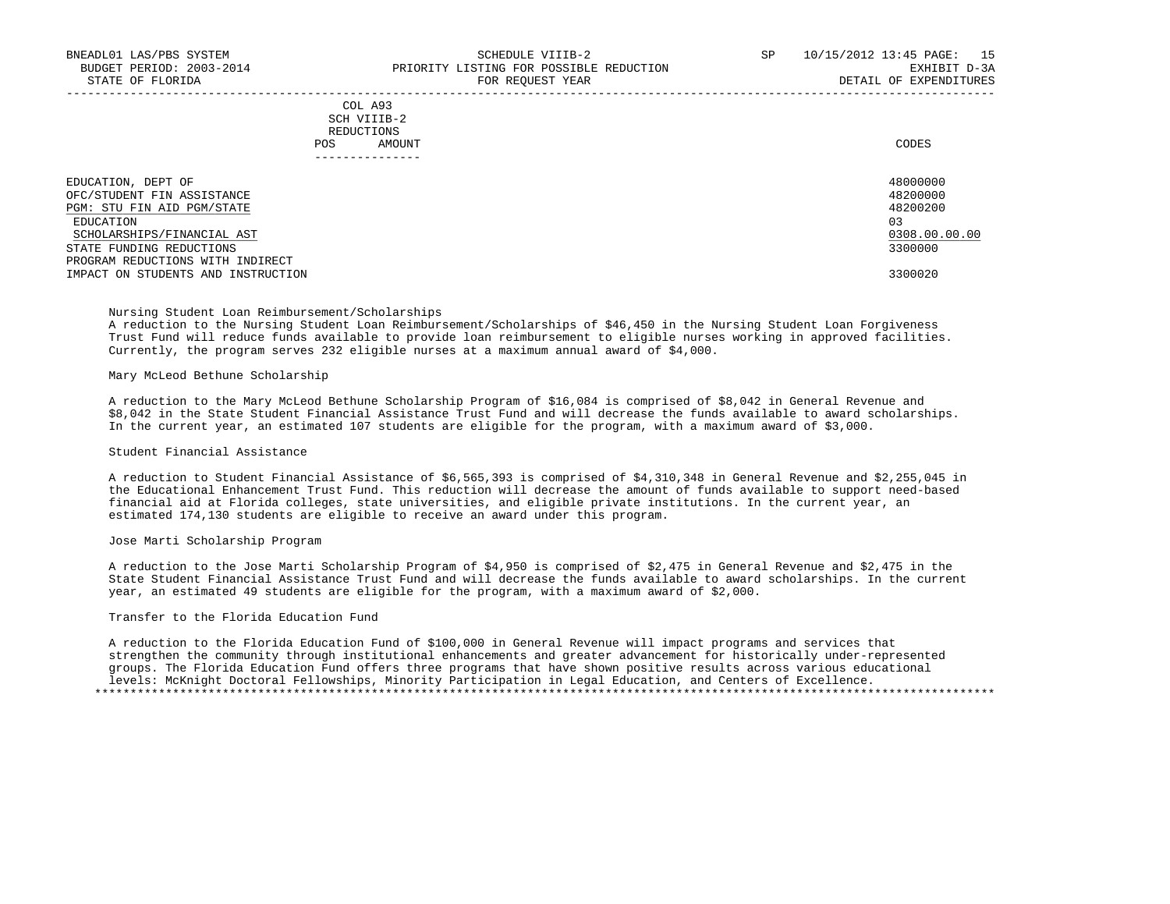|               | COL A93                                                                                                                        |       |
|---------------|--------------------------------------------------------------------------------------------------------------------------------|-------|
| $\sim$ $\sim$ | SCH VIIIB-2<br>the contract of the contract of the contract of the contract of the contract of the contract of the contract of |       |
|               | REDUCTIONS                                                                                                                     |       |
| POS           | AMOUNT                                                                                                                         | CODES |
|               |                                                                                                                                |       |

| EDUCATION, DEPT OF<br>OFC/STUDENT FIN ASSISTANCE             | 48000000<br>48200000 |
|--------------------------------------------------------------|----------------------|
| PGM: STU FIN AID PGM/STATE                                   | 48200200             |
| EDUCATION<br>SCHOLARSHIPS/FINANCIAL AST                      | 03<br>0308.00.00.00  |
| STATE FUNDING REDUCTIONS<br>PROGRAM REDUCTIONS WITH INDIRECT | 3300000              |
| IMPACT ON STUDENTS AND INSTRUCTION                           | 3300020              |

-----------------------------------------------------------------------------------------------------------------------------------

# Nursing Student Loan Reimbursement/Scholarships

 A reduction to the Nursing Student Loan Reimbursement/Scholarships of \$46,450 in the Nursing Student Loan Forgiveness Trust Fund will reduce funds available to provide loan reimbursement to eligible nurses working in approved facilities. Currently, the program serves 232 eligible nurses at a maximum annual award of \$4,000.

### Mary McLeod Bethune Scholarship

 A reduction to the Mary McLeod Bethune Scholarship Program of \$16,084 is comprised of \$8,042 in General Revenue and \$8,042 in the State Student Financial Assistance Trust Fund and will decrease the funds available to award scholarships. In the current year, an estimated 107 students are eligible for the program, with a maximum award of \$3,000.

# Student Financial Assistance

 A reduction to Student Financial Assistance of \$6,565,393 is comprised of \$4,310,348 in General Revenue and \$2,255,045 in the Educational Enhancement Trust Fund. This reduction will decrease the amount of funds available to support need-based financial aid at Florida colleges, state universities, and eligible private institutions. In the current year, an estimated 174,130 students are eligible to receive an award under this program.

#### Jose Marti Scholarship Program

 A reduction to the Jose Marti Scholarship Program of \$4,950 is comprised of \$2,475 in General Revenue and \$2,475 in the State Student Financial Assistance Trust Fund and will decrease the funds available to award scholarships. In the current year, an estimated 49 students are eligible for the program, with a maximum award of \$2,000.

#### Transfer to the Florida Education Fund

 A reduction to the Florida Education Fund of \$100,000 in General Revenue will impact programs and services that strengthen the community through institutional enhancements and greater advancement for historically under-represented groups. The Florida Education Fund offers three programs that have shown positive results across various educational levels: McKnight Doctoral Fellowships, Minority Participation in Legal Education, and Centers of Excellence. \*\*\*\*\*\*\*\*\*\*\*\*\*\*\*\*\*\*\*\*\*\*\*\*\*\*\*\*\*\*\*\*\*\*\*\*\*\*\*\*\*\*\*\*\*\*\*\*\*\*\*\*\*\*\*\*\*\*\*\*\*\*\*\*\*\*\*\*\*\*\*\*\*\*\*\*\*\*\*\*\*\*\*\*\*\*\*\*\*\*\*\*\*\*\*\*\*\*\*\*\*\*\*\*\*\*\*\*\*\*\*\*\*\*\*\*\*\*\*\*\*\*\*\*\*\*\*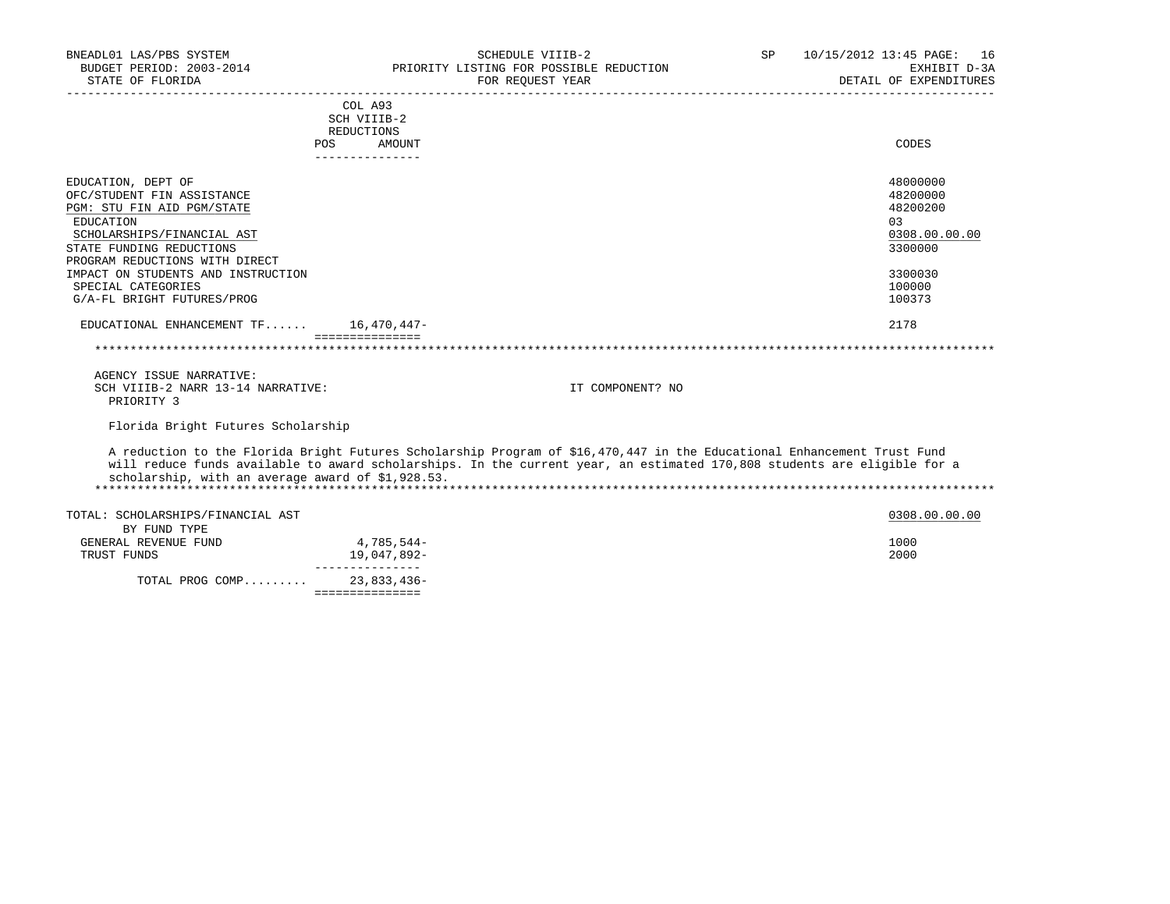| BNEADL01 LAS/PBS SYSTEM<br>BUDGET PERIOD: 2003-2014                                                                                                   | SCHEDULE VIIIB-2<br>PRIORITY LISTING FOR POSSIBLE REDUCTION                                                                                                                                                                                         | SP | 10/15/2012 13:45 PAGE: 16<br>EXHIBIT D-3A                           |
|-------------------------------------------------------------------------------------------------------------------------------------------------------|-----------------------------------------------------------------------------------------------------------------------------------------------------------------------------------------------------------------------------------------------------|----|---------------------------------------------------------------------|
| STATE OF FLORIDA                                                                                                                                      | FOR REQUEST YEAR                                                                                                                                                                                                                                    |    | DETAIL OF EXPENDITURES                                              |
|                                                                                                                                                       | COL A93<br>SCH VIIIB-2<br>REDUCTIONS                                                                                                                                                                                                                |    |                                                                     |
|                                                                                                                                                       | POS<br>AMOUNT<br>---------------                                                                                                                                                                                                                    |    | CODES                                                               |
| EDUCATION, DEPT OF<br>OFC/STUDENT FIN ASSISTANCE<br>PGM: STU FIN AID PGM/STATE<br>EDUCATION<br>SCHOLARSHIPS/FINANCIAL AST<br>STATE FUNDING REDUCTIONS |                                                                                                                                                                                                                                                     |    | 48000000<br>48200000<br>48200200<br>0.3<br>0308.00.00.00<br>3300000 |
| PROGRAM REDUCTIONS WITH DIRECT<br>IMPACT ON STUDENTS AND INSTRUCTION<br>SPECIAL CATEGORIES<br>G/A-FL BRIGHT FUTURES/PROG                              |                                                                                                                                                                                                                                                     |    | 3300030<br>100000<br>100373                                         |
| EDUCATIONAL ENHANCEMENT $TF$ 16,470,447-                                                                                                              |                                                                                                                                                                                                                                                     |    | 2178                                                                |
|                                                                                                                                                       | ===============                                                                                                                                                                                                                                     |    |                                                                     |
| AGENCY ISSUE NARRATIVE:<br>SCH VIIIB-2 NARR 13-14 NARRATIVE:<br>PRIORITY 3                                                                            | IT COMPONENT? NO                                                                                                                                                                                                                                    |    |                                                                     |
| Florida Bright Futures Scholarship                                                                                                                    |                                                                                                                                                                                                                                                     |    |                                                                     |
| scholarship, with an average award of \$1,928.53.                                                                                                     | A reduction to the Florida Bright Futures Scholarship Program of \$16,470,447 in the Educational Enhancement Trust Fund<br>will reduce funds available to award scholarships. In the current year, an estimated 170,808 students are eligible for a |    |                                                                     |
| TOTAL: SCHOLARSHIPS/FINANCIAL AST                                                                                                                     |                                                                                                                                                                                                                                                     |    | 0308.00.00.00                                                       |
| BY FUND TYPE<br>GENERAL REVENUE FUND<br>TRUST FUNDS                                                                                                   | 4,785,544-<br>19,047,892-                                                                                                                                                                                                                           |    | 1000<br>2000                                                        |
| TOTAL PROG COMP 23,833,436-                                                                                                                           | _______________<br>===============                                                                                                                                                                                                                  |    |                                                                     |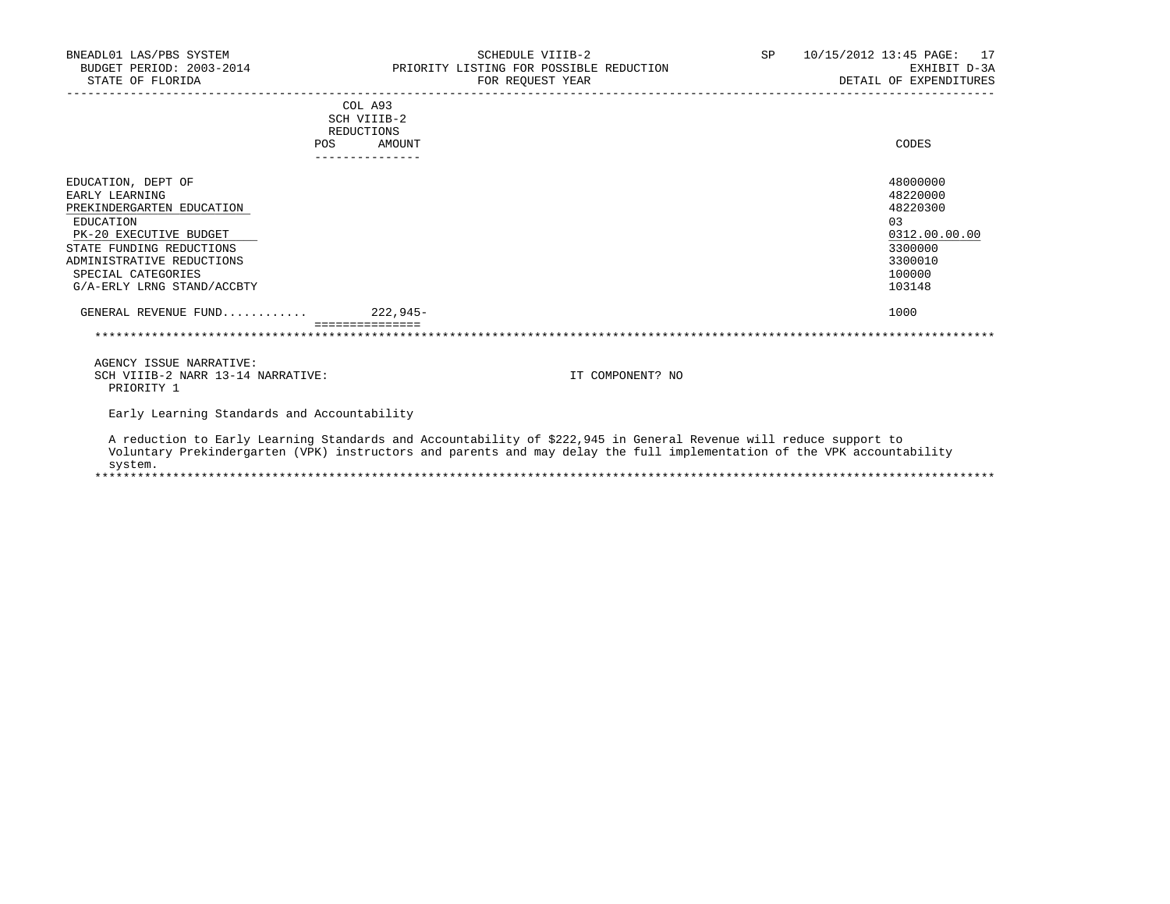| BNEADL01 LAS/PBS SYSTEM                     | SCHEDULE VIIIB-2                                                                                                        | SP | 10/15/2012 13:45 PAGE:<br>17 |
|---------------------------------------------|-------------------------------------------------------------------------------------------------------------------------|----|------------------------------|
| BUDGET PERIOD: 2003-2014                    | PRIORITY LISTING FOR POSSIBLE REDUCTION                                                                                 |    | EXHIBIT D-3A                 |
| STATE OF FLORIDA                            | FOR REQUEST YEAR                                                                                                        |    | DETAIL OF EXPENDITURES       |
| __________________________                  | COL A93                                                                                                                 |    |                              |
|                                             | SCH VIIIB-2                                                                                                             |    |                              |
|                                             | <b>REDUCTIONS</b>                                                                                                       |    |                              |
| POS                                         | AMOUNT                                                                                                                  |    | CODES                        |
|                                             |                                                                                                                         |    |                              |
| EDUCATION, DEPT OF                          |                                                                                                                         |    | 48000000                     |
| EARLY LEARNING                              |                                                                                                                         |    | 48220000                     |
| PREKINDERGARTEN EDUCATION                   |                                                                                                                         |    | 48220300                     |
| EDUCATION                                   |                                                                                                                         |    | 0.3                          |
| PK-20 EXECUTIVE BUDGET                      |                                                                                                                         |    | 0312.00.00.00                |
| STATE FUNDING REDUCTIONS                    |                                                                                                                         |    | 3300000                      |
| ADMINISTRATIVE REDUCTIONS                   |                                                                                                                         |    | 3300010                      |
| SPECIAL CATEGORIES                          |                                                                                                                         |    | 100000                       |
| G/A-ERLY LRNG STAND/ACCBTY                  |                                                                                                                         |    | 103148                       |
| GENERAL REVENUE FUND 222,945-               |                                                                                                                         |    | 1000                         |
|                                             |                                                                                                                         |    |                              |
|                                             |                                                                                                                         |    |                              |
| AGENCY ISSUE NARRATIVE:                     |                                                                                                                         |    |                              |
| SCH VIIIB-2 NARR 13-14 NARRATIVE:           | IT COMPONENT? NO                                                                                                        |    |                              |
| PRIORITY 1                                  |                                                                                                                         |    |                              |
| Early Learning Standards and Accountability |                                                                                                                         |    |                              |
|                                             | A reduction to Early Learning Standards and Accountability of \$222,945 in General Revenue will reduce support to       |    |                              |
|                                             | Voluntary Prekindergarten (VPK) instructors and parents and may delay the full implementation of the VPK accountability |    |                              |
| system.                                     |                                                                                                                         |    |                              |
|                                             |                                                                                                                         |    |                              |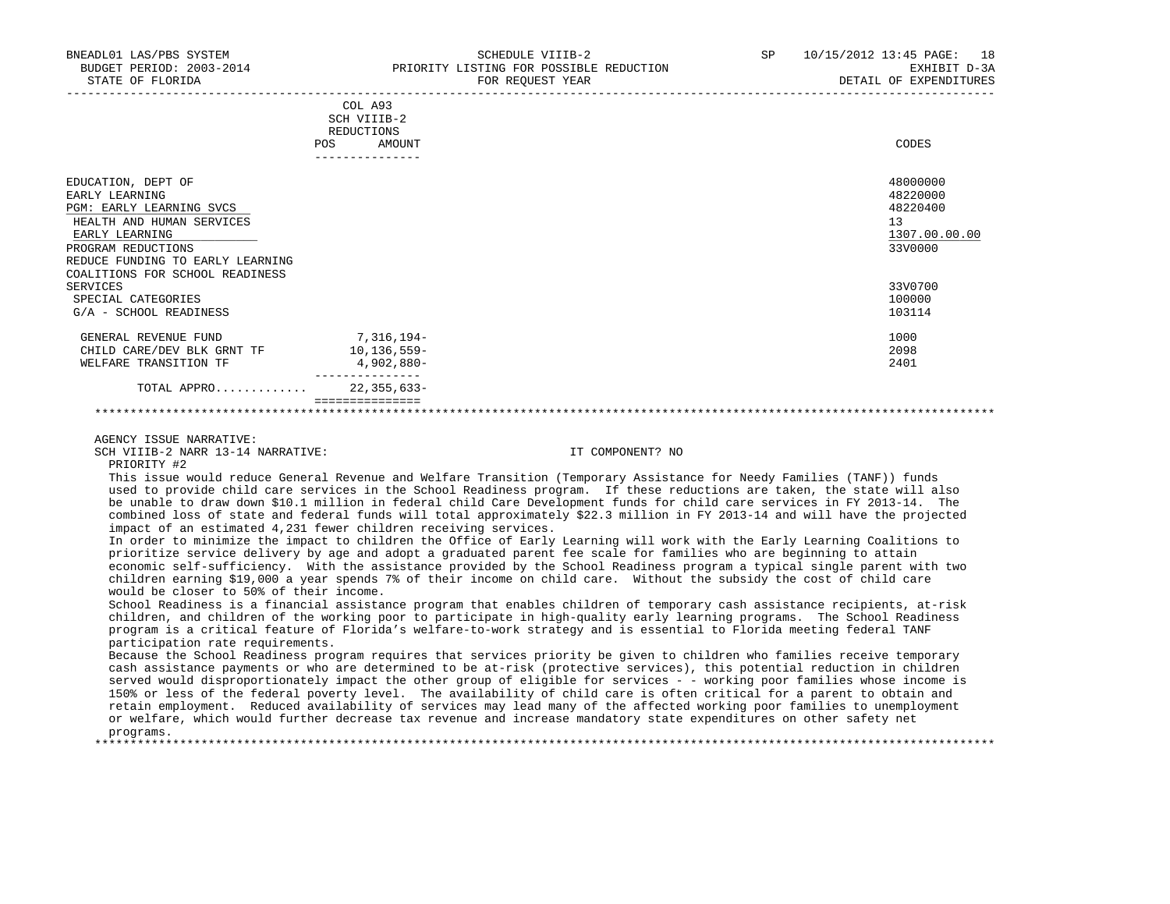|                                                                                                                                                                           | COL A93<br>SCH VIIIB-2<br>REDUCTIONS<br>AMOUNT<br>POS | CODES                                                              |
|---------------------------------------------------------------------------------------------------------------------------------------------------------------------------|-------------------------------------------------------|--------------------------------------------------------------------|
| EDUCATION, DEPT OF<br>EARLY LEARNING<br>PGM: EARLY LEARNING SVCS<br>HEALTH AND HUMAN SERVICES<br>EARLY LEARNING<br>PROGRAM REDUCTIONS<br>REDUCE FUNDING TO EARLY LEARNING | ---------------                                       | 48000000<br>48220000<br>48220400<br>13<br>1307.00.00.00<br>33V0000 |
| COALITIONS FOR SCHOOL READINESS<br>SERVICES<br>SPECIAL CATEGORIES<br>G/A - SCHOOL READINESS                                                                               |                                                       | 33V0700<br>100000<br>103114                                        |
| GENERAL REVENUE FUND<br>CHILD CARE/DEV BLK GRNT TF<br>WELFARE TRANSITION TF                                                                                               | 7,316,194–<br>10,136,559-<br>4,902,880-               | 1000<br>2098<br>2401                                               |
| TOTAL APPRO                                                                                                                                                               | $22, 355, 633 -$<br>===============                   |                                                                    |

\*\*\*\*\*\*\*\*\*\*\*\*\*\*\*\*\*\*\*\*\*\*\*\*\*\*\*\*\*\*\*\*\*\*\*\*\*\*\*\*\*\*\*\*\*\*\*\*\*\*\*\*\*\*\*\*\*\*\*\*\*\*\*\*\*\*\*\*\*\*\*\*\*\*\*\*\*\*\*\*\*\*\*\*\*\*\*\*\*\*\*\*\*\*\*\*\*\*\*\*\*\*\*\*\*\*\*\*\*\*\*\*\*\*\*\*\*\*\*\*\*\*\*\*\*\*\*

AGENCY ISSUE NARRATIVE:

SCH VIIIB-2 NARR 13-14 NARRATIVE: IT COMPONENT? NO

PRIORITY #2

 This issue would reduce General Revenue and Welfare Transition (Temporary Assistance for Needy Families (TANF)) funds used to provide child care services in the School Readiness program. If these reductions are taken, the state will also be unable to draw down \$10.1 million in federal child Care Development funds for child care services in FY 2013-14. The combined loss of state and federal funds will total approximately \$22.3 million in FY 2013-14 and will have the projected impact of an estimated 4,231 fewer children receiving services.

 In order to minimize the impact to children the Office of Early Learning will work with the Early Learning Coalitions to prioritize service delivery by age and adopt a graduated parent fee scale for families who are beginning to attain economic self-sufficiency. With the assistance provided by the School Readiness program a typical single parent with two children earning \$19,000 a year spends 7% of their income on child care. Without the subsidy the cost of child care would be closer to 50% of their income.

 School Readiness is a financial assistance program that enables children of temporary cash assistance recipients, at-risk children, and children of the working poor to participate in high-quality early learning programs. The School Readiness program is a critical feature of Florida's welfare-to-work strategy and is essential to Florida meeting federal TANF participation rate requirements.

 Because the School Readiness program requires that services priority be given to children who families receive temporary cash assistance payments or who are determined to be at-risk (protective services), this potential reduction in children served would disproportionately impact the other group of eligible for services - - working poor families whose income is 150% or less of the federal poverty level. The availability of child care is often critical for a parent to obtain and retain employment. Reduced availability of services may lead many of the affected working poor families to unemployment or welfare, which would further decrease tax revenue and increase mandatory state expenditures on other safety net programs.

\*\*\*\*\*\*\*\*\*\*\*\*\*\*\*\*\*\*\*\*\*\*\*\*\*\*\*\*\*\*\*\*\*\*\*\*\*\*\*\*\*\*\*\*\*\*\*\*\*\*\*\*\*\*\*\*\*\*\*\*\*\*\*\*\*\*\*\*\*\*\*\*\*\*\*\*\*\*\*\*\*\*\*\*\*\*\*\*\*\*\*\*\*\*\*\*\*\*\*\*\*\*\*\*\*\*\*\*\*\*\*\*\*\*\*\*\*\*\*\*\*\*\*\*\*\*\*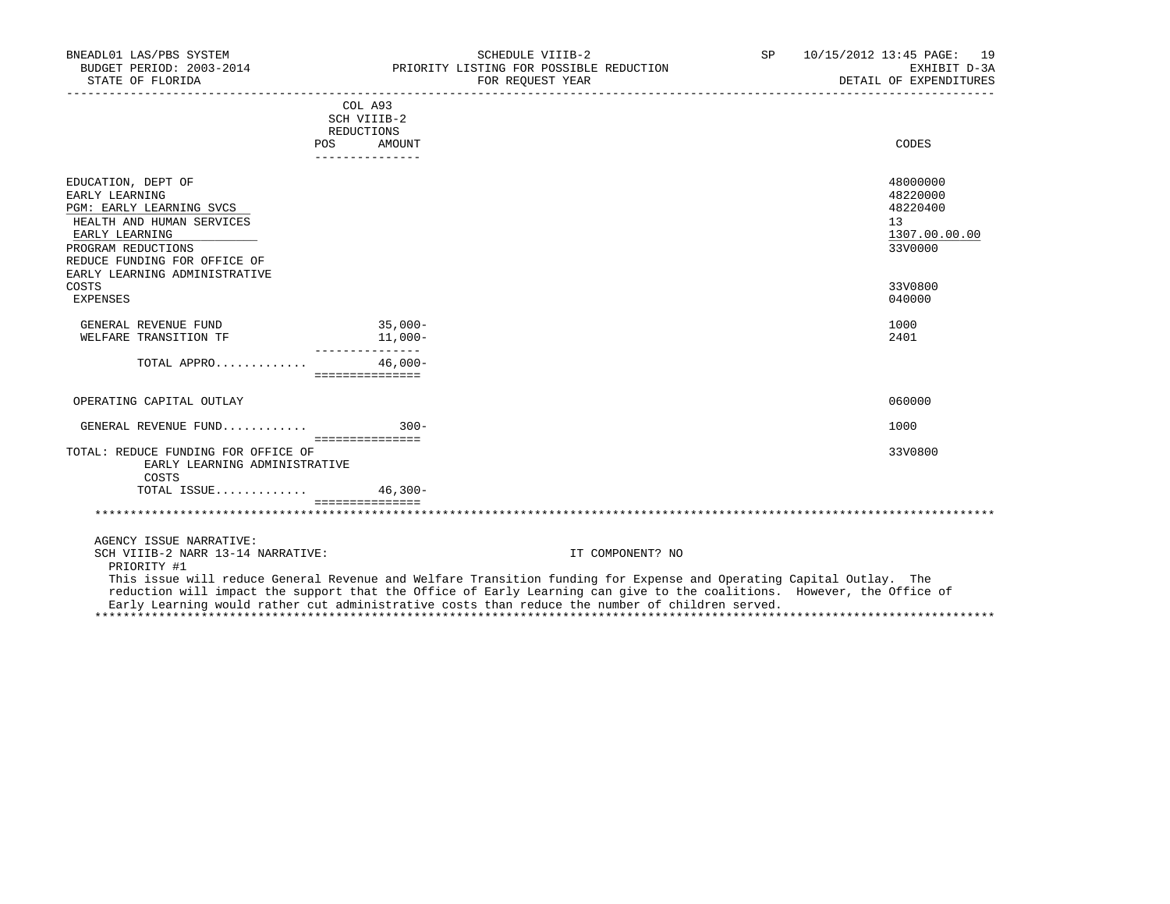| BNEADL01 LAS/PBS SYSTEM<br>BUDGET PERIOD: 2003-2014<br>STATE OF FLORIDA |                               | SCHEDULE VIIIB-2<br>PRIORITY LISTING FOR POSSIBLE REDUCTION<br>FOR REQUEST YEAR                                        | SP | 10/15/2012 13:45 PAGE: 19<br>EXHIBIT D-3A<br>DETAIL OF EXPENDITURES |
|-------------------------------------------------------------------------|-------------------------------|------------------------------------------------------------------------------------------------------------------------|----|---------------------------------------------------------------------|
|                                                                         | COL A93                       |                                                                                                                        |    |                                                                     |
|                                                                         | SCH VIIIB-2                   |                                                                                                                        |    |                                                                     |
|                                                                         | REDUCTIONS                    |                                                                                                                        |    |                                                                     |
|                                                                         | POS AMOUNT<br>_______________ |                                                                                                                        |    | CODES                                                               |
| EDUCATION, DEPT OF                                                      |                               |                                                                                                                        |    | 48000000                                                            |
| EARLY LEARNING                                                          |                               |                                                                                                                        |    | 48220000                                                            |
| PGM: EARLY LEARNING SVCS                                                |                               |                                                                                                                        |    | 48220400                                                            |
| HEALTH AND HUMAN SERVICES                                               |                               |                                                                                                                        |    | 13                                                                  |
| EARLY LEARNING                                                          |                               |                                                                                                                        |    | 1307.00.00.00                                                       |
| PROGRAM REDUCTIONS                                                      |                               |                                                                                                                        |    | 33V0000                                                             |
| REDUCE FUNDING FOR OFFICE OF<br>EARLY LEARNING ADMINISTRATIVE           |                               |                                                                                                                        |    |                                                                     |
| COSTS                                                                   |                               |                                                                                                                        |    | 33V0800                                                             |
| <b>EXPENSES</b>                                                         |                               |                                                                                                                        |    | 040000                                                              |
| GENERAL REVENUE FUND                                                    | $35,000-$                     |                                                                                                                        |    | 1000                                                                |
| WELFARE TRANSITION TF                                                   | $11,000-$                     |                                                                                                                        |    | 2401                                                                |
|                                                                         |                               |                                                                                                                        |    |                                                                     |
| TOTAL APPRO                                                             | $46,000-$                     |                                                                                                                        |    |                                                                     |
|                                                                         | ===============               |                                                                                                                        |    |                                                                     |
| OPERATING CAPITAL OUTLAY                                                |                               |                                                                                                                        |    | 060000                                                              |
| GENERAL REVENUE FUND                                                    | $300-$                        |                                                                                                                        |    | 1000                                                                |
| TOTAL: REDUCE FUNDING FOR OFFICE OF                                     | ===============               |                                                                                                                        |    | 33V0800                                                             |
| EARLY LEARNING ADMINISTRATIVE                                           |                               |                                                                                                                        |    |                                                                     |
| COSTS                                                                   |                               |                                                                                                                        |    |                                                                     |
| TOTAL ISSUE $46.300 -$                                                  |                               |                                                                                                                        |    |                                                                     |
|                                                                         |                               |                                                                                                                        |    |                                                                     |
|                                                                         |                               |                                                                                                                        |    |                                                                     |
| AGENCY ISSUE NARRATIVE:                                                 |                               |                                                                                                                        |    |                                                                     |
| SCH VIIIB-2 NARR 13-14 NARRATIVE:<br>PRIORITY #1                        |                               | IT COMPONENT? NO                                                                                                       |    |                                                                     |
|                                                                         |                               | This issue will reduce General Revenue and Welfare Transition funding for Expense and Operating Capital Outlay. The    |    |                                                                     |
|                                                                         |                               | reduction will impact the support that the Office of Early Learning can give to the coalitions. However, the Office of |    |                                                                     |

Early Learning would rather cut administrative costs than reduce the number of children served.

\*\*\*\*\*\*\*\*\*\*\*\*\*\*\*\*\*\*\*\*\*\*\*\*\*\*\*\*\*\*\*\*\*\*\*\*\*\*\*\*\*\*\*\*\*\*\*\*\*\*\*\*\*\*\*\*\*\*\*\*\*\*\*\*\*\*\*\*\*\*\*\*\*\*\*\*\*\*\*\*\*\*\*\*\*\*\*\*\*\*\*\*\*\*\*\*\*\*\*\*\*\*\*\*\*\*\*\*\*\*\*\*\*\*\*\*\*\*\*\*\*\*\*\*\*\*\*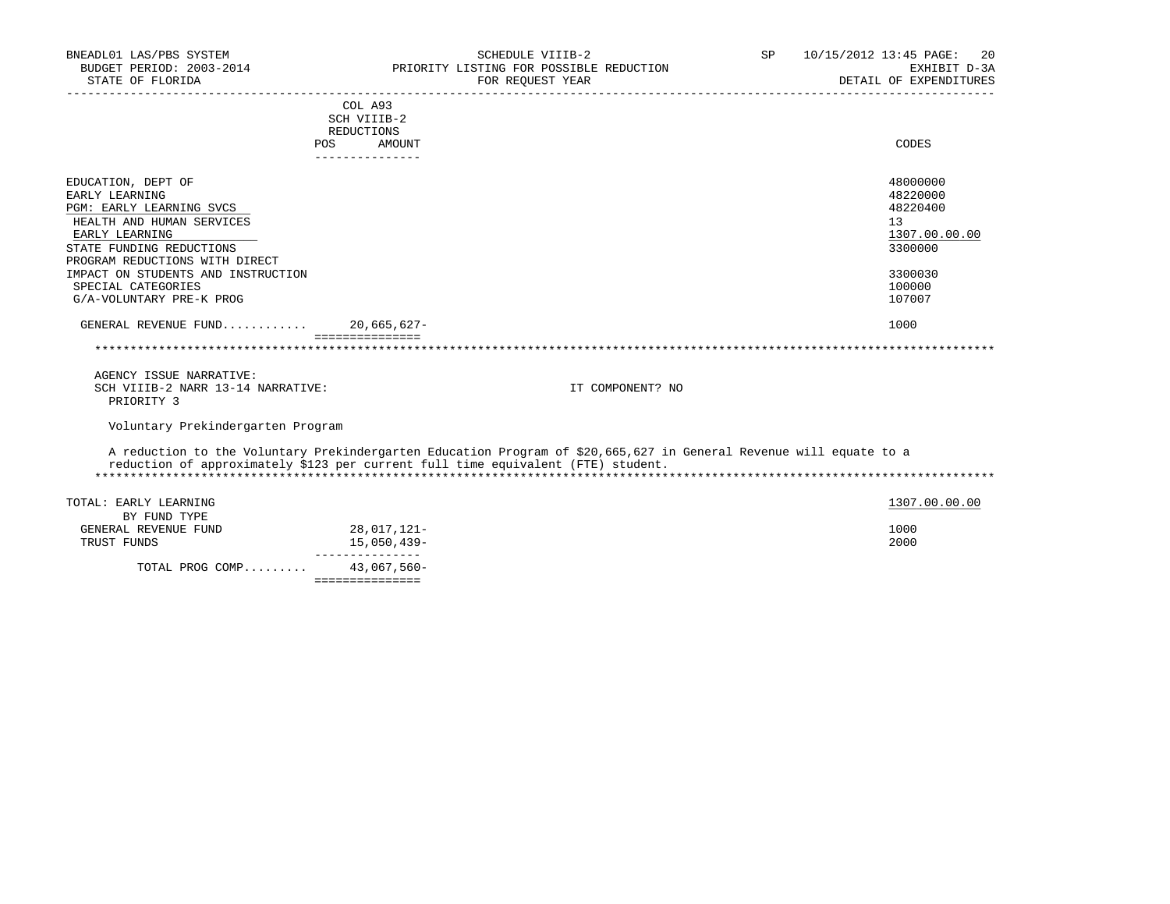| BNEADL01 LAS/PBS SYSTEM<br>BUDGET PERIOD: 2003-2014                              |                                      | SCHEDULE VIIIB-2<br>PRIORITY LISTING FOR POSSIBLE REDUCTION                                                        | SP | 10/15/2012 13:45 PAGE:<br>20<br>EXHIBIT D-3A |
|----------------------------------------------------------------------------------|--------------------------------------|--------------------------------------------------------------------------------------------------------------------|----|----------------------------------------------|
| STATE OF FLORIDA                                                                 |                                      | FOR REQUEST YEAR                                                                                                   |    | DETAIL OF EXPENDITURES                       |
|                                                                                  | COL A93<br>SCH VIIIB-2               |                                                                                                                    |    |                                              |
|                                                                                  | REDUCTIONS                           |                                                                                                                    |    |                                              |
|                                                                                  | POS FOR<br>AMOUNT<br>--------------- |                                                                                                                    |    | CODES                                        |
| EDUCATION, DEPT OF                                                               |                                      |                                                                                                                    |    | 48000000                                     |
| EARLY LEARNING                                                                   |                                      |                                                                                                                    |    | 48220000                                     |
| PGM: EARLY LEARNING SVCS                                                         |                                      |                                                                                                                    |    | 48220400                                     |
| HEALTH AND HUMAN SERVICES                                                        |                                      |                                                                                                                    |    | 13                                           |
| EARLY LEARNING<br>STATE FUNDING REDUCTIONS                                       |                                      |                                                                                                                    |    | 1307.00.00.00<br>3300000                     |
| PROGRAM REDUCTIONS WITH DIRECT                                                   |                                      |                                                                                                                    |    |                                              |
| IMPACT ON STUDENTS AND INSTRUCTION                                               |                                      |                                                                                                                    |    | 3300030                                      |
| SPECIAL CATEGORIES                                                               |                                      |                                                                                                                    |    | 100000                                       |
| G/A-VOLUNTARY PRE-K PROG                                                         |                                      |                                                                                                                    |    | 107007                                       |
| GENERAL REVENUE FUND 20,665,627-                                                 |                                      |                                                                                                                    |    | 1000                                         |
|                                                                                  |                                      |                                                                                                                    |    |                                              |
| AGENCY ISSUE NARRATIVE:                                                          |                                      |                                                                                                                    |    |                                              |
| SCH VIIIB-2 NARR 13-14 NARRATIVE:<br>PRIORITY 3                                  |                                      | IT COMPONENT? NO                                                                                                   |    |                                              |
| Voluntary Prekindergarten Program                                                |                                      |                                                                                                                    |    |                                              |
| reduction of approximately \$123 per current full time equivalent (FTE) student. |                                      | A reduction to the Voluntary Prekindergarten Education Program of \$20,665,627 in General Revenue will equate to a |    |                                              |
|                                                                                  |                                      |                                                                                                                    |    |                                              |
| TOTAL: EARLY LEARNING                                                            |                                      |                                                                                                                    |    | 1307.00.00.00                                |
| BY FUND TYPE                                                                     |                                      |                                                                                                                    |    |                                              |
| GENERAL REVENUE FUND<br>TRUST FUNDS                                              | 28,017,121-<br>15,050,439-           |                                                                                                                    |    | 1000<br>2000                                 |
|                                                                                  | _______________                      |                                                                                                                    |    |                                              |
| TOTAL PROG COMP 43,067,560-                                                      |                                      |                                                                                                                    |    |                                              |
|                                                                                  | ===============                      |                                                                                                                    |    |                                              |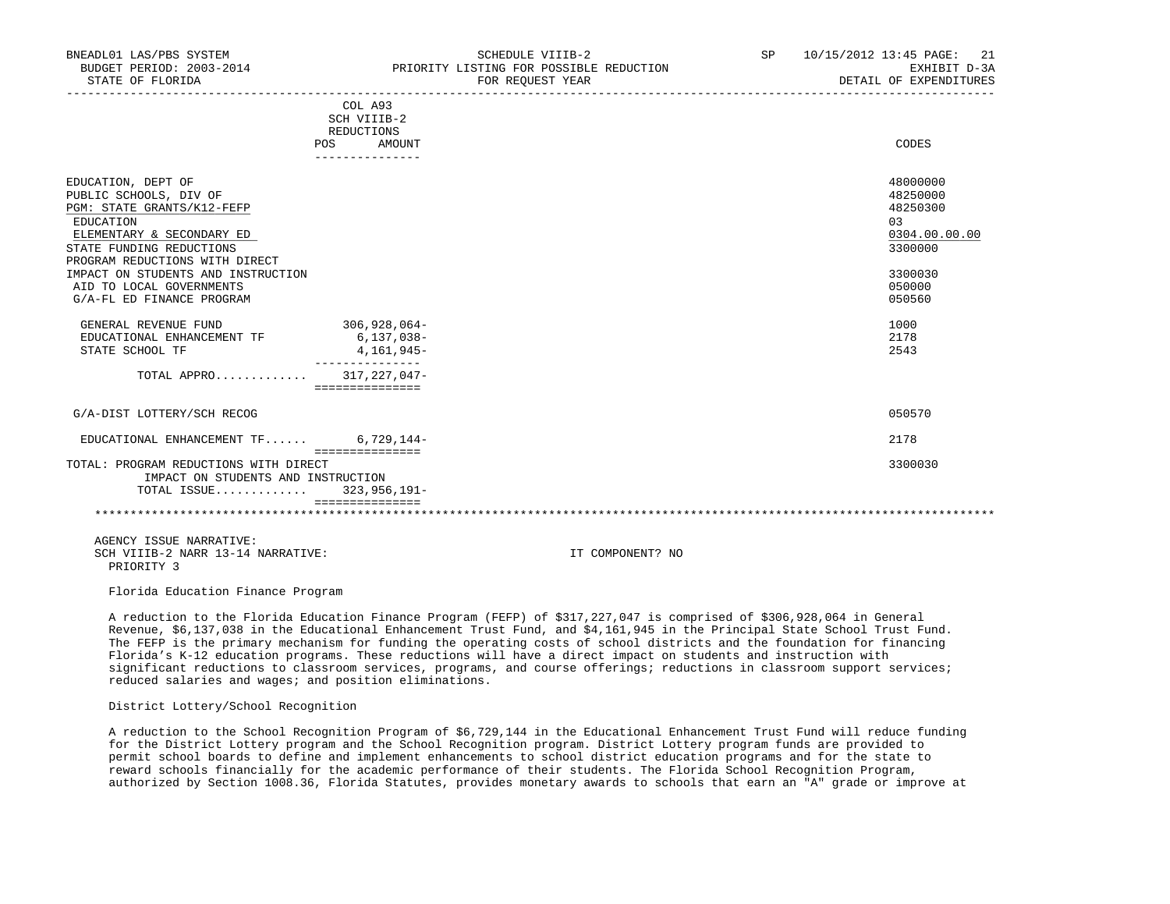| BNEADL01 LAS/PBS SYSTEM<br>BUDGET PERIOD: 2003-2014<br>STATE OF FLORIDA | SCHEDULE VIIIB-2<br>PRIORITY LISTING FOR POSSIBLE REDUCTION<br>FOR REOUEST YEAR | 10/15/2012 13:45 PAGE: 21<br>SP<br>EXHIBIT D-3A<br>DETAIL OF EXPENDITURES |
|-------------------------------------------------------------------------|---------------------------------------------------------------------------------|---------------------------------------------------------------------------|
|                                                                         | COL A93<br>SCH VIIIB-2                                                          |                                                                           |
|                                                                         | REDUCTIONS                                                                      |                                                                           |
|                                                                         | AMOUNT<br>POS.                                                                  | CODES                                                                     |
|                                                                         |                                                                                 |                                                                           |
| EDUCATION, DEPT OF                                                      |                                                                                 | 48000000                                                                  |
| PUBLIC SCHOOLS, DIV OF                                                  |                                                                                 | 48250000                                                                  |
| PGM: STATE GRANTS/K12-FEFP                                              |                                                                                 | 48250300                                                                  |
| EDUCATION                                                               |                                                                                 | 03                                                                        |
|                                                                         |                                                                                 | .                                                                         |

| ELEMENTARY & SECONDARY ED          |                   | 0304.00.00.00 |
|------------------------------------|-------------------|---------------|
| STATE FUNDING REDUCTIONS           |                   | 3300000       |
| PROGRAM REDUCTIONS WITH DIRECT     |                   |               |
| IMPACT ON STUDENTS AND INSTRUCTION |                   | 3300030       |
| AID TO LOCAL GOVERNMENTS           |                   | 050000        |
| G/A-FL ED FINANCE PROGRAM          |                   | 050560        |
| GENERAL REVENUE FUND               | $306, 928, 064 -$ | 1000          |
| EDUCATIONAL ENHANCEMENT TF         | $6, 137, 038 -$   | 2178          |
| STATE SCHOOL TF                    | 4,161,945-        | 2543          |
| TOTAL APPRO                        | 317,227,047-      |               |
|                                    | ===============   |               |
| G/A-DIST LOTTERY/SCH RECOG         |                   | 050570        |
|                                    |                   |               |

 EDUCATIONAL ENHANCEMENT TF...... 6,729,144- 2178 =============== TOTAL: PROGRAM REDUCTIONS WITH DIRECT 3300030 IMPACT ON STUDENTS AND INSTRUCTION

 TOTAL ISSUE............. 323,956,191- ===============

\*\*\*\*\*\*\*\*\*\*\*\*\*\*\*\*\*\*\*\*\*\*\*\*\*\*\*\*\*\*\*\*\*\*\*\*\*\*\*\*\*\*\*\*\*\*\*\*\*\*\*\*\*\*\*\*\*\*\*\*\*\*\*\*\*\*\*\*\*\*\*\*\*\*\*\*\*\*\*\*\*\*\*\*\*\*\*\*\*\*\*\*\*\*\*\*\*\*\*\*\*\*\*\*\*\*\*\*\*\*\*\*\*\*\*\*\*\*\*\*\*\*\*\*\*\*\*

 AGENCY ISSUE NARRATIVE: SCH VIIIB-2 NARR 13-14 NARRATIVE: IT COMPONENT? NO PRIORITY 3

Florida Education Finance Program

 A reduction to the Florida Education Finance Program (FEFP) of \$317,227,047 is comprised of \$306,928,064 in General Revenue, \$6,137,038 in the Educational Enhancement Trust Fund, and \$4,161,945 in the Principal State School Trust Fund. The FEFP is the primary mechanism for funding the operating costs of school districts and the foundation for financing Florida's K-12 education programs. These reductions will have a direct impact on students and instruction with significant reductions to classroom services, programs, and course offerings; reductions in classroom support services; reduced salaries and wages; and position eliminations.

## District Lottery/School Recognition

 A reduction to the School Recognition Program of \$6,729,144 in the Educational Enhancement Trust Fund will reduce funding for the District Lottery program and the School Recognition program. District Lottery program funds are provided to permit school boards to define and implement enhancements to school district education programs and for the state to reward schools financially for the academic performance of their students. The Florida School Recognition Program, authorized by Section 1008.36, Florida Statutes, provides monetary awards to schools that earn an "A" grade or improve at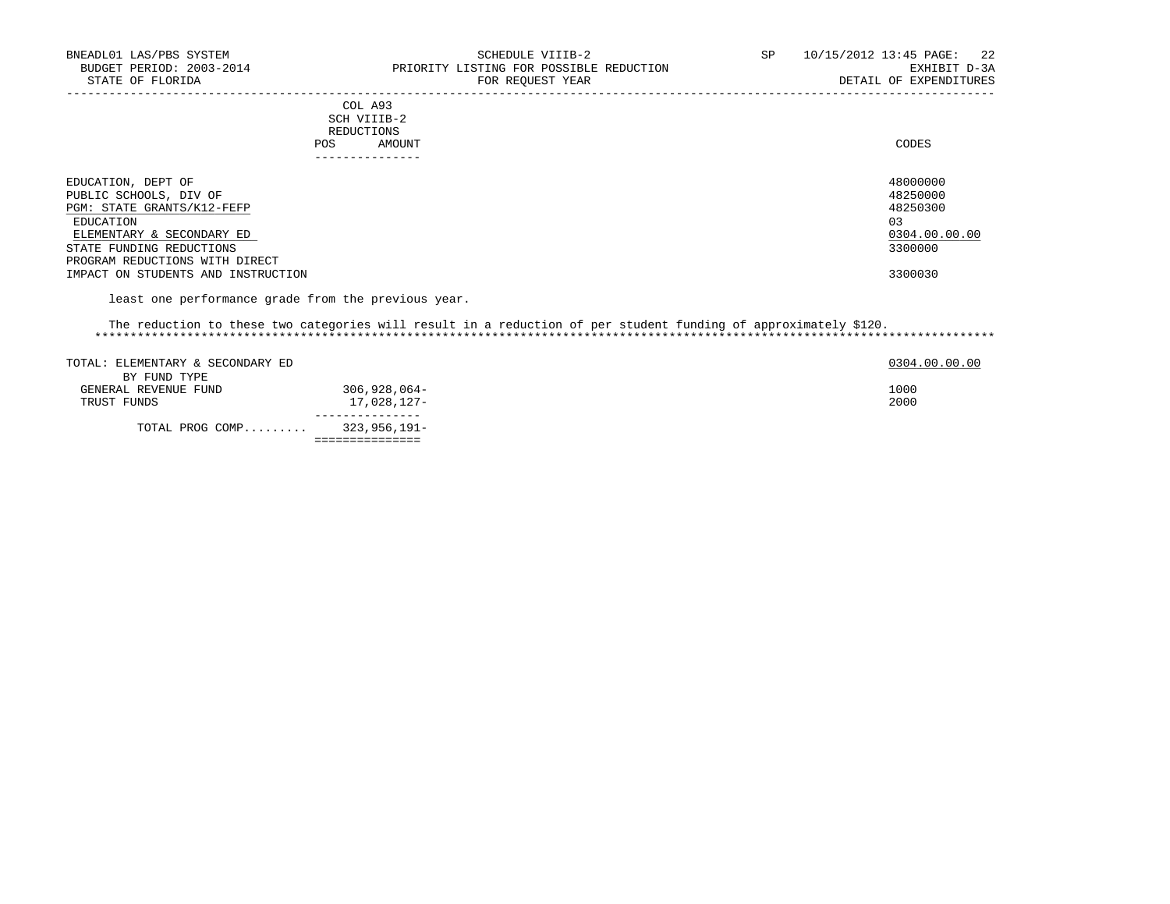| . _ _ _ _ _ _ _ _ _ _ _                                                                                                        |       |
|--------------------------------------------------------------------------------------------------------------------------------|-------|
| AMOUNT                                                                                                                         | CODES |
| <b>REDUCTIONS</b>                                                                                                              |       |
| SCH VIIIB-2<br>the contract of the contract of the contract of the contract of the contract of the contract of the contract of |       |
| COL A93                                                                                                                        |       |
|                                                                                                                                |       |

===============

| EDUCATION, DEPT OF                 | 48000000      |
|------------------------------------|---------------|
| PUBLIC SCHOOLS, DIV OF             | 48250000      |
| PGM: STATE GRANTS/K12-FEFP         | 48250300      |
| EDUCATION                          | 03            |
| ELEMENTARY & SECONDARY ED          | 0304.00.00.00 |
| STATE FUNDING REDUCTIONS           | 3300000       |
| PROGRAM REDUCTIONS WITH DIRECT     |               |
| IMPACT ON STUDENTS AND INSTRUCTION | 3300030       |
|                                    |               |

-----------------------------------------------------------------------------------------------------------------------------------

least one performance grade from the previous year.

#### The reduction to these two categories will result in a reduction of per student funding of approximately \$120. \*\*\*\*\*\*\*\*\*\*\*\*\*\*\*\*\*\*\*\*\*\*\*\*\*\*\*\*\*\*\*\*\*\*\*\*\*\*\*\*\*\*\*\*\*\*\*\*\*\*\*\*\*\*\*\*\*\*\*\*\*\*\*\*\*\*\*\*\*\*\*\*\*\*\*\*\*\*\*\*\*\*\*\*\*\*\*\*\*\*\*\*\*\*\*\*\*\*\*\*\*\*\*\*\*\*\*\*\*\*\*\*\*\*\*\*\*\*\*\*\*\*\*\*\*\*\*

| TOTAL: ELEMENTARY & SECONDARY ED |              | 0304.00.00.00 |
|----------------------------------|--------------|---------------|
| BY FUND TYPE                     |              |               |
| GENERAL REVENUE FUND             | 306,928,064- | 1000          |
| TRUST FUNDS                      | 17,028,127-  | 2000          |
| TOTAL PROG COMP                  | 323,956,191- |               |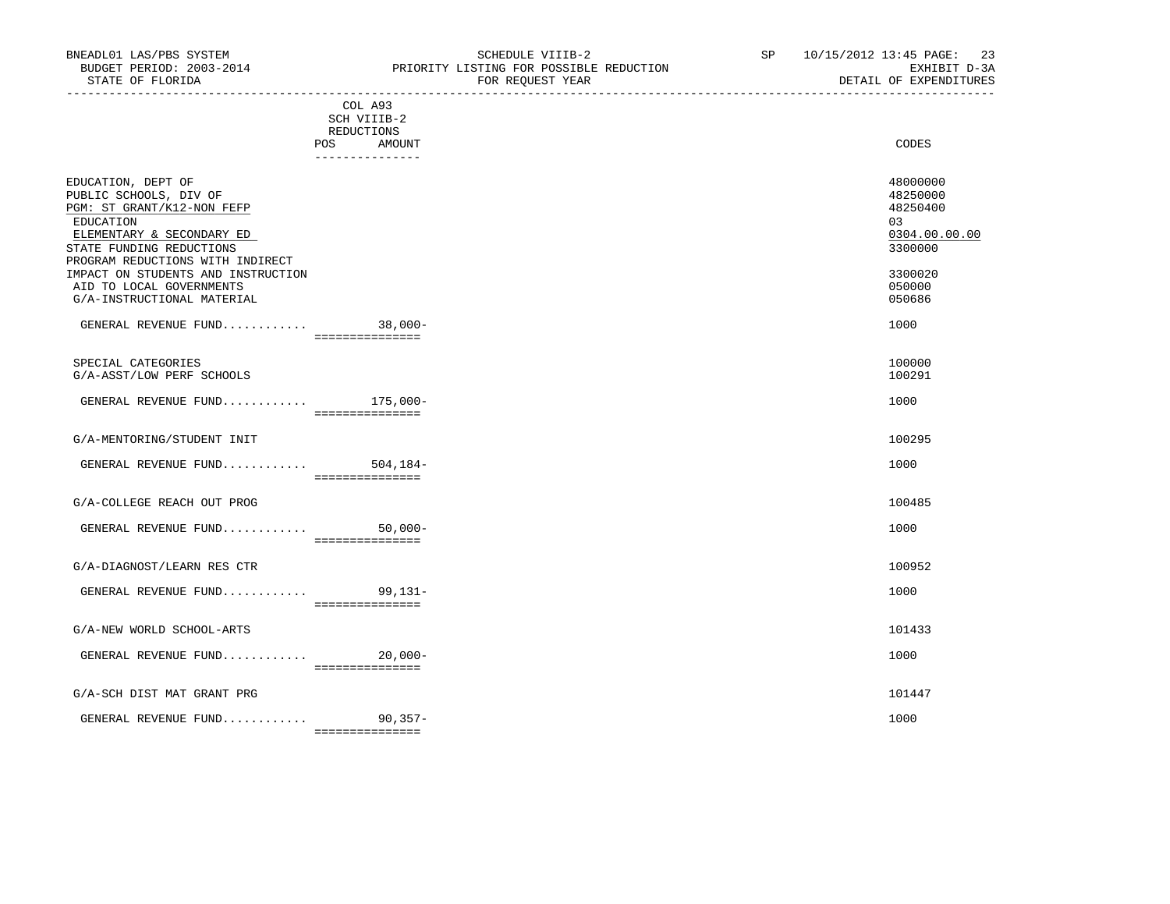COL A93

===============

| חחכ<br>`∩n<br>ם הדר<br>. U D | - 00<br>ے ریں           |  |
|------------------------------|-------------------------|--|
| ЭF<br>ו שוי                  | Y EAR<br>'UN            |  |
|                              | $\sim$<br>$\sim$ $\sim$ |  |

|                                                                                                                                                                                      | SCH VIIIB-2<br>REDUCTIONS |             |  |                                                                    |
|--------------------------------------------------------------------------------------------------------------------------------------------------------------------------------------|---------------------------|-------------|--|--------------------------------------------------------------------|
|                                                                                                                                                                                      | POS<br>_______________    | AMOUNT      |  | CODES                                                              |
| EDUCATION, DEPT OF<br>PUBLIC SCHOOLS, DIV OF<br>PGM: ST GRANT/K12-NON FEFP<br>EDUCATION<br>ELEMENTARY & SECONDARY ED<br>STATE FUNDING REDUCTIONS<br>PROGRAM REDUCTIONS WITH INDIRECT |                           |             |  | 48000000<br>48250000<br>48250400<br>03<br>0304.00.00.00<br>3300000 |
| IMPACT ON STUDENTS AND INSTRUCTION<br>AID TO LOCAL GOVERNMENTS<br>G/A-INSTRUCTIONAL MATERIAL                                                                                         |                           |             |  | 3300020<br>050000<br>050686                                        |
| GENERAL REVENUE FUND 38,000-                                                                                                                                                         | ===============           |             |  | 1000                                                               |
| SPECIAL CATEGORIES<br>G/A-ASST/LOW PERF SCHOOLS                                                                                                                                      |                           |             |  | 100000<br>100291                                                   |
| GENERAL REVENUE FUND $175,000-$                                                                                                                                                      | ===============           |             |  | 1000                                                               |
| G/A-MENTORING/STUDENT INIT                                                                                                                                                           |                           |             |  | 100295                                                             |
| GENERAL REVENUE FUND $504,184-$                                                                                                                                                      | ===============           |             |  | 1000                                                               |
| G/A-COLLEGE REACH OUT PROG                                                                                                                                                           |                           |             |  | 100485                                                             |
| GENERAL REVENUE FUND                                                                                                                                                                 | ===============           | $50,000 -$  |  | 1000                                                               |
| G/A-DIAGNOST/LEARN RES CTR                                                                                                                                                           |                           |             |  | 100952                                                             |
| GENERAL REVENUE FUND 99,131-                                                                                                                                                         | ================          |             |  | 1000                                                               |
| G/A-NEW WORLD SCHOOL-ARTS                                                                                                                                                            |                           |             |  | 101433                                                             |
| GENERAL REVENUE FUND                                                                                                                                                                 | ===============           | $20,000-$   |  | 1000                                                               |
| G/A-SCH DIST MAT GRANT PRG                                                                                                                                                           |                           |             |  | 101447                                                             |
| GENERAL REVENUE FUND                                                                                                                                                                 |                           | $90, 357 -$ |  | 1000                                                               |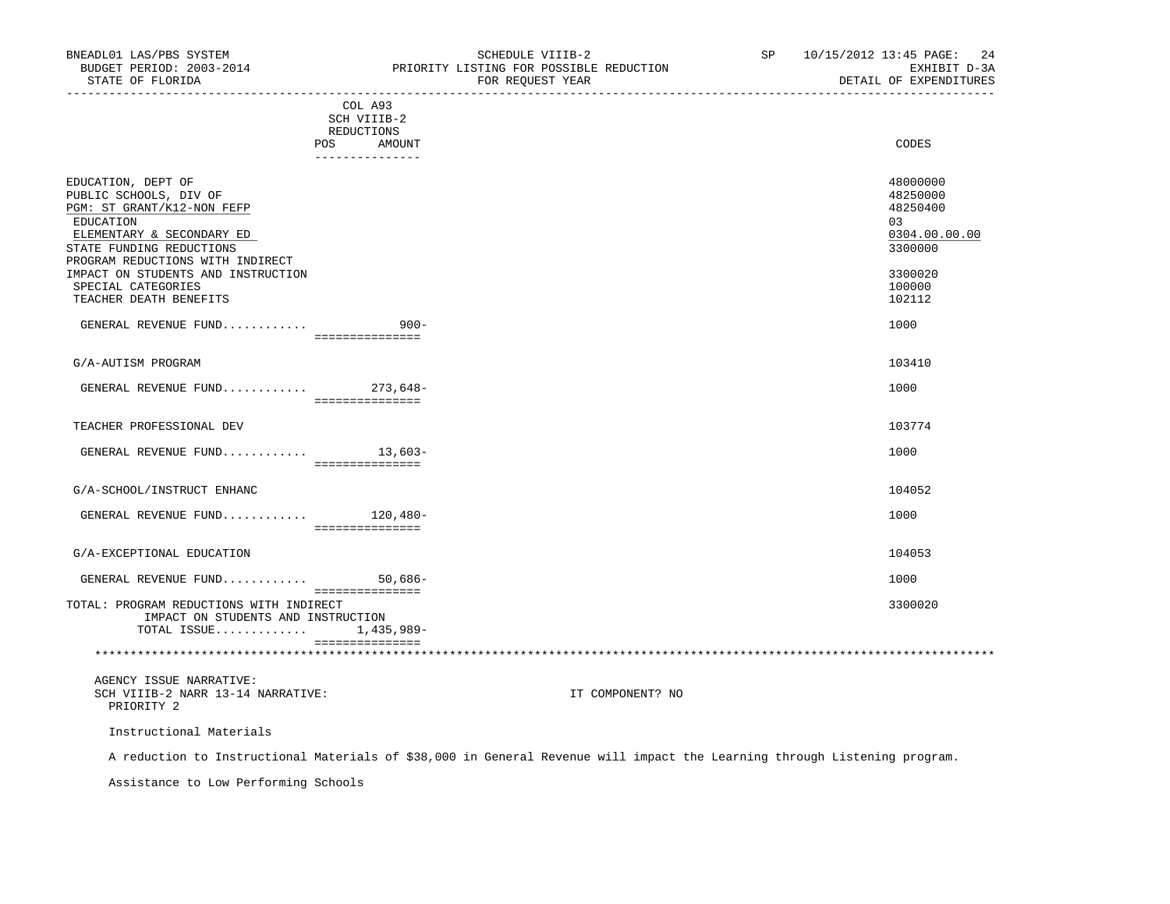| BNEADL01 LAS/PBS SYSTEM<br>BUDGET PERIOD: 2003-2014<br>STATE OF FLORIDA                                                                                                                                                                                                    |                                                                       | SCHEDULE VIIIB-2<br>PRIORITY LISTING FOR POSSIBLE REDUCTION<br>FOR REQUEST YEAR | SP 10/15/2012 13:45 PAGE: 24<br>EXHIBIT D-3A<br>DETAIL OF EXPENDITURES                            |
|----------------------------------------------------------------------------------------------------------------------------------------------------------------------------------------------------------------------------------------------------------------------------|-----------------------------------------------------------------------|---------------------------------------------------------------------------------|---------------------------------------------------------------------------------------------------|
|                                                                                                                                                                                                                                                                            | COL A93<br>SCH VIIIB-2<br>REDUCTIONS<br>POS AMOUNT<br>_______________ |                                                                                 | CODES                                                                                             |
| EDUCATION, DEPT OF<br>PUBLIC SCHOOLS, DIV OF<br>PGM: ST GRANT/K12-NON FEFP<br>EDUCATION<br>ELEMENTARY & SECONDARY ED<br>STATE FUNDING REDUCTIONS<br>PROGRAM REDUCTIONS WITH INDIRECT<br>IMPACT ON STUDENTS AND INSTRUCTION<br>SPECIAL CATEGORIES<br>TEACHER DEATH BENEFITS |                                                                       |                                                                                 | 48000000<br>48250000<br>48250400<br>03<br>0304.00.00.00<br>3300000<br>3300020<br>100000<br>102112 |
| GENERAL REVENUE FUND                                                                                                                                                                                                                                                       | $900 -$<br>essessessessess                                            |                                                                                 | 1000                                                                                              |
| G/A-AUTISM PROGRAM                                                                                                                                                                                                                                                         |                                                                       |                                                                                 | 103410                                                                                            |
| GENERAL REVENUE FUND 273,648-                                                                                                                                                                                                                                              | ===============                                                       |                                                                                 | 1000                                                                                              |
| TEACHER PROFESSIONAL DEV                                                                                                                                                                                                                                                   |                                                                       |                                                                                 | 103774                                                                                            |
| GENERAL REVENUE FUND 13,603-                                                                                                                                                                                                                                               | ===============                                                       |                                                                                 | 1000                                                                                              |
| G/A-SCHOOL/INSTRUCT ENHANC                                                                                                                                                                                                                                                 |                                                                       |                                                                                 | 104052                                                                                            |
| GENERAL REVENUE FUND 120,480-                                                                                                                                                                                                                                              | ----------------                                                      |                                                                                 | 1000                                                                                              |
| G/A-EXCEPTIONAL EDUCATION                                                                                                                                                                                                                                                  |                                                                       |                                                                                 | 104053                                                                                            |
| GENERAL REVENUE FUND                                                                                                                                                                                                                                                       | $50,686-$<br>===============                                          |                                                                                 | 1000                                                                                              |
| TOTAL: PROGRAM REDUCTIONS WITH INDIRECT<br>IMPACT ON STUDENTS AND INSTRUCTION<br>TOTAL ISSUE 1,435,989-                                                                                                                                                                    | ===============                                                       |                                                                                 | 3300020                                                                                           |
|                                                                                                                                                                                                                                                                            |                                                                       |                                                                                 |                                                                                                   |
| AGENCY ISSUE NARRATIVE:<br>SCH VIIIB-2 NARR 13-14 NARRATIVE:<br>PRIORITY 2                                                                                                                                                                                                 |                                                                       | IT COMPONENT? NO                                                                |                                                                                                   |

Instructional Materials

A reduction to Instructional Materials of \$38,000 in General Revenue will impact the Learning through Listening program.

Assistance to Low Performing Schools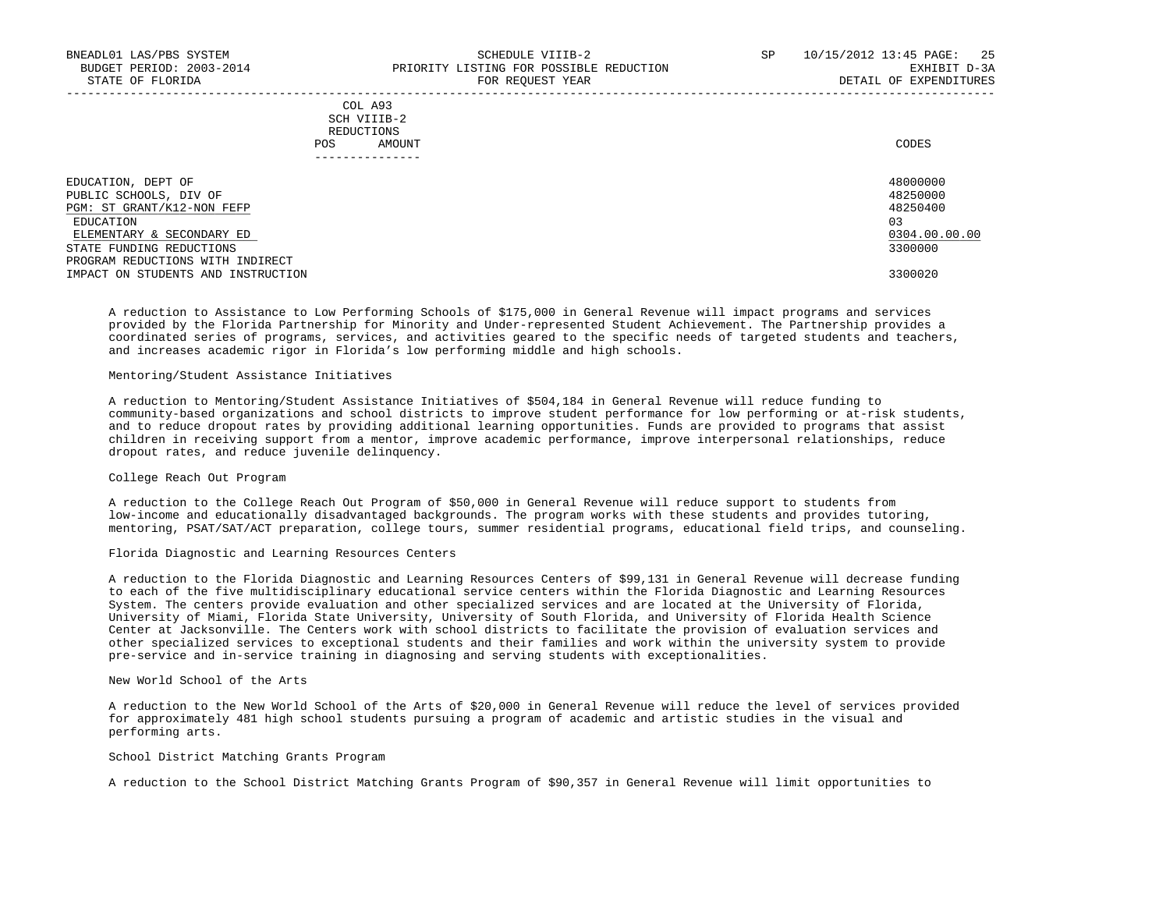|            | _______________ |       |
|------------|-----------------|-------|
| POS        | AMOUNT          | CODES |
| REDUCTIONS |                 |       |
|            | SCH VIIIB-2     |       |
|            | COL A93         |       |

| EDUCATION, DEPT OF                 | 48000000      |
|------------------------------------|---------------|
| PUBLIC SCHOOLS, DIV OF             | 48250000      |
| PGM: ST GRANT/K12-NON FEFP         | 48250400      |
| EDUCATION                          | 03            |
| ELEMENTARY & SECONDARY ED          | 0304.00.00.00 |
| STATE FUNDING REDUCTIONS           | 3300000       |
| PROGRAM REDUCTIONS WITH INDIRECT   |               |
| IMPACT ON STUDENTS AND INSTRUCTION | 3300020       |

-----------------------------------------------------------------------------------------------------------------------------------

 A reduction to Assistance to Low Performing Schools of \$175,000 in General Revenue will impact programs and services provided by the Florida Partnership for Minority and Under-represented Student Achievement. The Partnership provides a coordinated series of programs, services, and activities geared to the specific needs of targeted students and teachers, and increases academic rigor in Florida's low performing middle and high schools.

### Mentoring/Student Assistance Initiatives

 A reduction to Mentoring/Student Assistance Initiatives of \$504,184 in General Revenue will reduce funding to community-based organizations and school districts to improve student performance for low performing or at-risk students, and to reduce dropout rates by providing additional learning opportunities. Funds are provided to programs that assist children in receiving support from a mentor, improve academic performance, improve interpersonal relationships, reduce dropout rates, and reduce juvenile delinquency.

# College Reach Out Program

 A reduction to the College Reach Out Program of \$50,000 in General Revenue will reduce support to students from low-income and educationally disadvantaged backgrounds. The program works with these students and provides tutoring, mentoring, PSAT/SAT/ACT preparation, college tours, summer residential programs, educational field trips, and counseling.

### Florida Diagnostic and Learning Resources Centers

 A reduction to the Florida Diagnostic and Learning Resources Centers of \$99,131 in General Revenue will decrease funding to each of the five multidisciplinary educational service centers within the Florida Diagnostic and Learning Resources System. The centers provide evaluation and other specialized services and are located at the University of Florida, University of Miami, Florida State University, University of South Florida, and University of Florida Health Science Center at Jacksonville. The Centers work with school districts to facilitate the provision of evaluation services and other specialized services to exceptional students and their families and work within the university system to provide pre-service and in-service training in diagnosing and serving students with exceptionalities.

# New World School of the Arts

 A reduction to the New World School of the Arts of \$20,000 in General Revenue will reduce the level of services provided for approximately 481 high school students pursuing a program of academic and artistic studies in the visual and performing arts.

# School District Matching Grants Program

A reduction to the School District Matching Grants Program of \$90,357 in General Revenue will limit opportunities to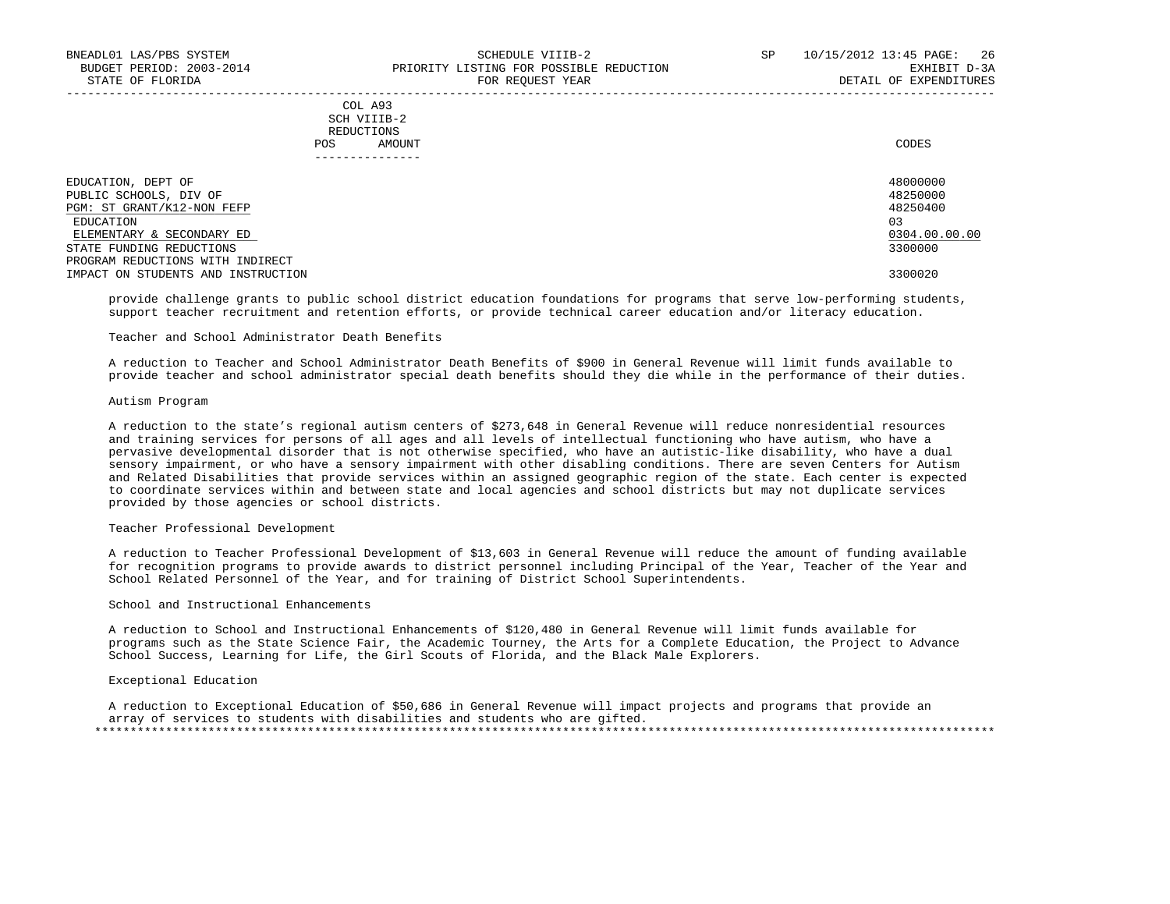# COL A93 SCH VIIIB-2 REDUCTIONS POS AMOUNT CODES

| EDUCATION, DEPT OF                 | 48000000      |
|------------------------------------|---------------|
| PUBLIC SCHOOLS, DIV OF             | 48250000      |
| PGM: ST GRANT/K12-NON FEFP         | 48250400      |
| EDUCATION                          | 03            |
| ELEMENTARY & SECONDARY ED          | 0304.00.00.00 |
| STATE FUNDING REDUCTIONS           | 3300000       |
| PROGRAM REDUCTIONS WITH INDIRECT   |               |
| IMPACT ON STUDENTS AND INSTRUCTION | 3300020       |

-----------------------------------------------------------------------------------------------------------------------------------

 provide challenge grants to public school district education foundations for programs that serve low-performing students, support teacher recruitment and retention efforts, or provide technical career education and/or literacy education.

### Teacher and School Administrator Death Benefits

 A reduction to Teacher and School Administrator Death Benefits of \$900 in General Revenue will limit funds available to provide teacher and school administrator special death benefits should they die while in the performance of their duties.

#### Autism Program

 A reduction to the state's regional autism centers of \$273,648 in General Revenue will reduce nonresidential resources and training services for persons of all ages and all levels of intellectual functioning who have autism, who have a pervasive developmental disorder that is not otherwise specified, who have an autistic-like disability, who have a dual sensory impairment, or who have a sensory impairment with other disabling conditions. There are seven Centers for Autism and Related Disabilities that provide services within an assigned geographic region of the state. Each center is expected to coordinate services within and between state and local agencies and school districts but may not duplicate services provided by those agencies or school districts.

#### Teacher Professional Development

 A reduction to Teacher Professional Development of \$13,603 in General Revenue will reduce the amount of funding available for recognition programs to provide awards to district personnel including Principal of the Year, Teacher of the Year and School Related Personnel of the Year, and for training of District School Superintendents.

#### School and Instructional Enhancements

 A reduction to School and Instructional Enhancements of \$120,480 in General Revenue will limit funds available for programs such as the State Science Fair, the Academic Tourney, the Arts for a Complete Education, the Project to Advance School Success, Learning for Life, the Girl Scouts of Florida, and the Black Male Explorers.

## Exceptional Education

 A reduction to Exceptional Education of \$50,686 in General Revenue will impact projects and programs that provide an array of services to students with disabilities and students who are gifted. \*\*\*\*\*\*\*\*\*\*\*\*\*\*\*\*\*\*\*\*\*\*\*\*\*\*\*\*\*\*\*\*\*\*\*\*\*\*\*\*\*\*\*\*\*\*\*\*\*\*\*\*\*\*\*\*\*\*\*\*\*\*\*\*\*\*\*\*\*\*\*\*\*\*\*\*\*\*\*\*\*\*\*\*\*\*\*\*\*\*\*\*\*\*\*\*\*\*\*\*\*\*\*\*\*\*\*\*\*\*\*\*\*\*\*\*\*\*\*\*\*\*\*\*\*\*\*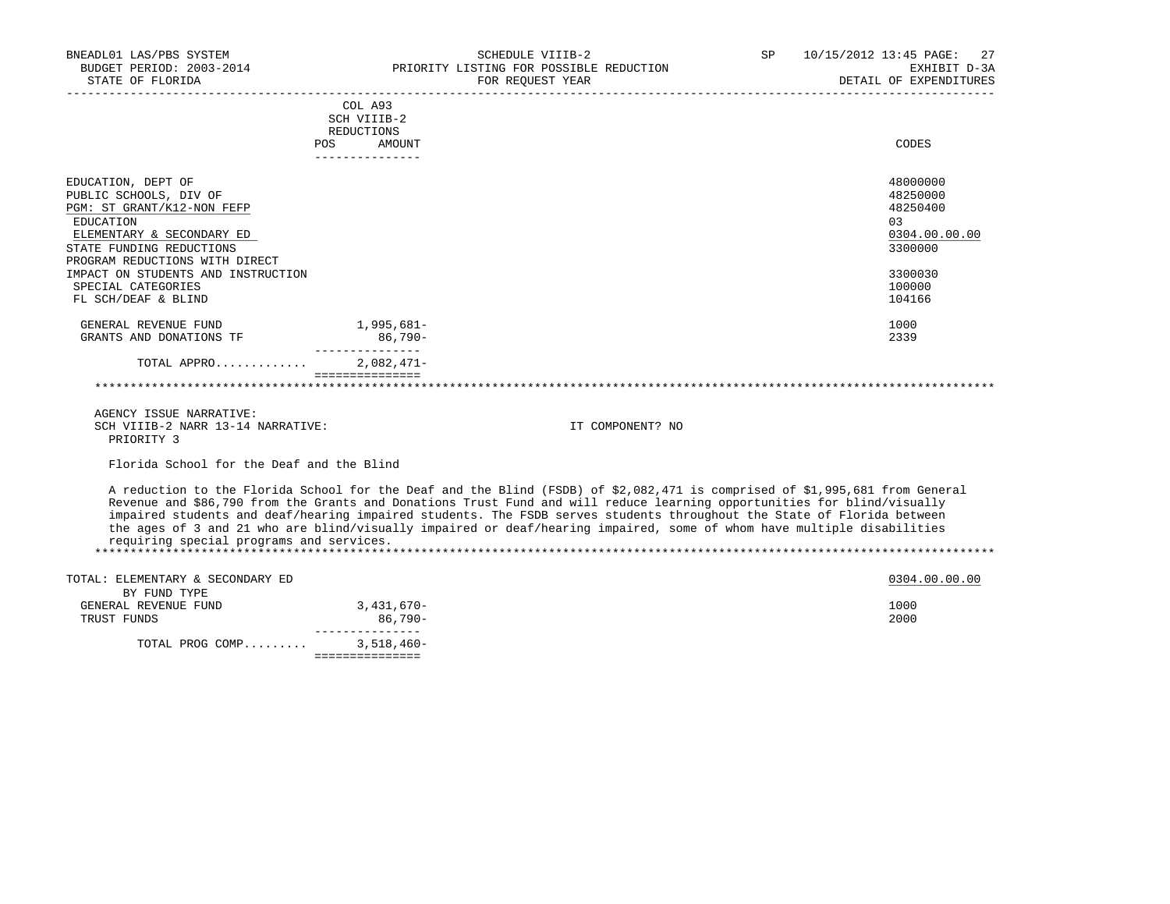| BNEADL01 LAS/PBS SYSTEM                   |                           | SCHEDULE VIIIB-2<br>BUDGET PERIOD: 2003-2014 PRIORITY LISTING FOR POSSIBLE REDUCTION                                                                                                                                                              | SP | 10/15/2012 13:45 PAGE:<br>27<br>EXHIBIT D-3A<br>میں یہ LANLING DETAIL OF EXPENDITURES |
|-------------------------------------------|---------------------------|---------------------------------------------------------------------------------------------------------------------------------------------------------------------------------------------------------------------------------------------------|----|---------------------------------------------------------------------------------------|
| STATE OF FLORIDA                          |                           | FOR REOUEST YEAR                                                                                                                                                                                                                                  |    |                                                                                       |
|                                           | COL A93                   |                                                                                                                                                                                                                                                   |    |                                                                                       |
|                                           | SCH VIIIB-2<br>REDUCTIONS |                                                                                                                                                                                                                                                   |    |                                                                                       |
|                                           | POS<br>AMOUNT             |                                                                                                                                                                                                                                                   |    | CODES                                                                                 |
|                                           | _______________           |                                                                                                                                                                                                                                                   |    |                                                                                       |
| EDUCATION, DEPT OF                        |                           |                                                                                                                                                                                                                                                   |    | 48000000                                                                              |
| PUBLIC SCHOOLS, DIV OF                    |                           |                                                                                                                                                                                                                                                   |    | 48250000                                                                              |
| PGM: ST GRANT/K12-NON FEFP                |                           |                                                                                                                                                                                                                                                   |    | 48250400                                                                              |
| EDUCATION                                 |                           |                                                                                                                                                                                                                                                   |    | 03                                                                                    |
| ELEMENTARY & SECONDARY ED                 |                           |                                                                                                                                                                                                                                                   |    | 0304.00.00.00                                                                         |
| STATE FUNDING REDUCTIONS                  |                           |                                                                                                                                                                                                                                                   |    | 3300000                                                                               |
| PROGRAM REDUCTIONS WITH DIRECT            |                           |                                                                                                                                                                                                                                                   |    |                                                                                       |
| IMPACT ON STUDENTS AND INSTRUCTION        |                           |                                                                                                                                                                                                                                                   |    | 3300030                                                                               |
| SPECIAL CATEGORIES                        |                           |                                                                                                                                                                                                                                                   |    | 100000                                                                                |
| FL SCH/DEAF & BLIND                       |                           |                                                                                                                                                                                                                                                   |    | 104166                                                                                |
| GENERAL REVENUE FUND                      | 1,995,681-                |                                                                                                                                                                                                                                                   |    | 1000                                                                                  |
| GRANTS AND DONATIONS TF                   | $86,790-$                 |                                                                                                                                                                                                                                                   |    | 2339                                                                                  |
| TOTAL APPRO 2,082,471-                    | ---------------           |                                                                                                                                                                                                                                                   |    |                                                                                       |
|                                           | ===============           |                                                                                                                                                                                                                                                   |    |                                                                                       |
|                                           |                           |                                                                                                                                                                                                                                                   |    |                                                                                       |
| AGENCY ISSUE NARRATIVE:                   |                           |                                                                                                                                                                                                                                                   |    |                                                                                       |
| SCH VIIIB-2 NARR 13-14 NARRATIVE:         |                           | IT COMPONENT? NO                                                                                                                                                                                                                                  |    |                                                                                       |
| PRIORITY 3                                |                           |                                                                                                                                                                                                                                                   |    |                                                                                       |
| Florida School for the Deaf and the Blind |                           |                                                                                                                                                                                                                                                   |    |                                                                                       |
|                                           |                           |                                                                                                                                                                                                                                                   |    |                                                                                       |
|                                           |                           | A reduction to the Florida School for the Deaf and the Blind (FSDB) of \$2,082,471 is comprised of \$1,995,681 from General                                                                                                                       |    |                                                                                       |
|                                           |                           | Revenue and \$86,790 from the Grants and Donations Trust Fund and will reduce learning opportunities for blind/visually<br>impaired students and deaf/hearing impaired students. The FSDB serves students throughout the State of Florida between |    |                                                                                       |
|                                           |                           | the ages of 3 and 21 who are blind/visually impaired or deaf/hearing impaired, some of whom have multiple disabilities                                                                                                                            |    |                                                                                       |
| requiring special programs and services.  |                           |                                                                                                                                                                                                                                                   |    |                                                                                       |
|                                           |                           |                                                                                                                                                                                                                                                   |    |                                                                                       |
| TOTAL: ELEMENTARY & SECONDARY ED          |                           |                                                                                                                                                                                                                                                   |    | 0304.00.00.00                                                                         |
| BY FUND TYPE                              |                           |                                                                                                                                                                                                                                                   |    |                                                                                       |
| GENERAL REVENUE FUND                      | 3, 431, 670-              |                                                                                                                                                                                                                                                   |    | 1000                                                                                  |
| TRUST FUNDS                               | 86,790-                   |                                                                                                                                                                                                                                                   |    | 2000                                                                                  |
|                                           | _________________         |                                                                                                                                                                                                                                                   |    |                                                                                       |
| TOTAL PROG COMP 3,518,460-                | ===============           |                                                                                                                                                                                                                                                   |    |                                                                                       |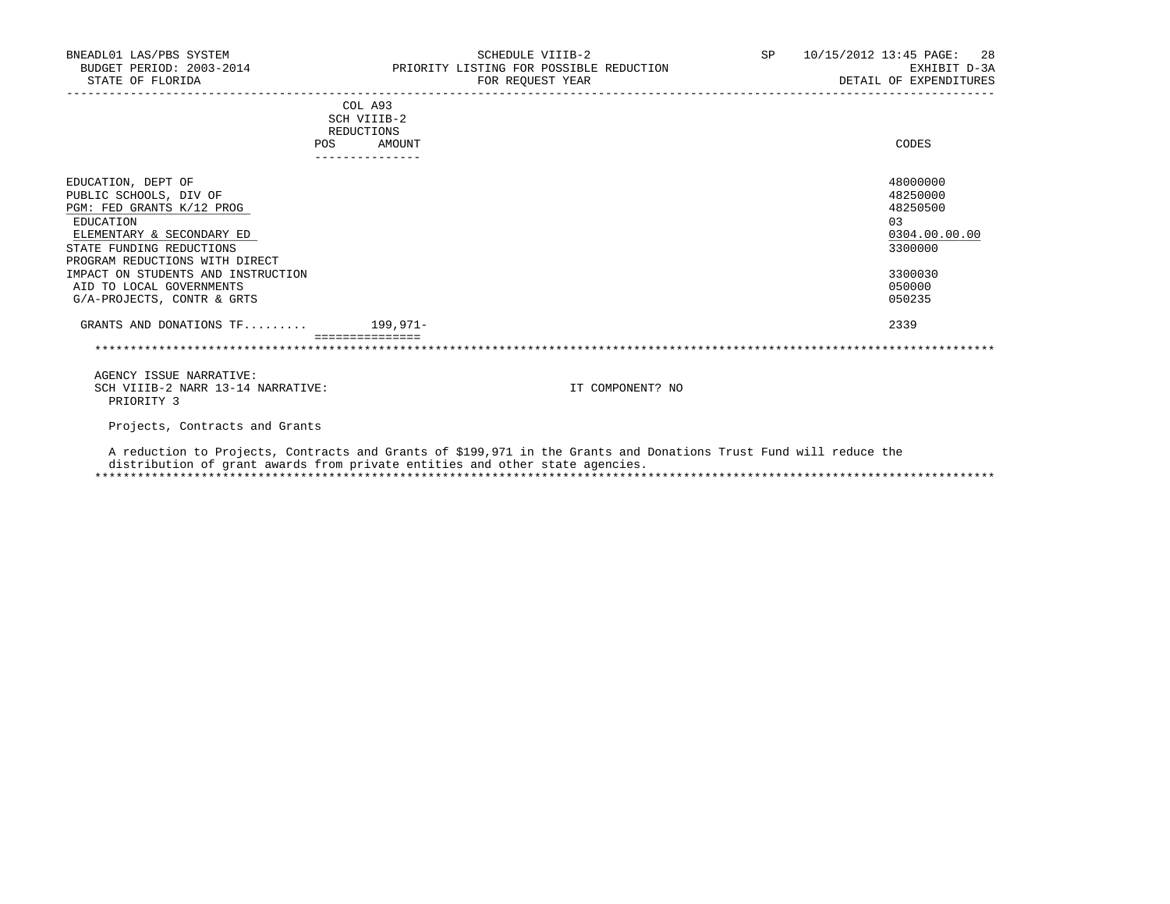| BNEADL01 LAS/PBS SYSTEM<br>BUDGET PERIOD: 2003-2014 PRIORITY LISTING FOR POSSIBLE REDUCTION<br>STATE OF FLORIDA                                                                                                                                                                   |                                                                              | SCHEDULE VIIIB-2<br>FOR REOUEST YEAR                                                                              | SP 10/15/2012 13:45 PAGE: 28<br>EXHIBIT D-3A<br>DETAIL OF EXPENDITURES                            |
|-----------------------------------------------------------------------------------------------------------------------------------------------------------------------------------------------------------------------------------------------------------------------------------|------------------------------------------------------------------------------|-------------------------------------------------------------------------------------------------------------------|---------------------------------------------------------------------------------------------------|
|                                                                                                                                                                                                                                                                                   | COL A93<br>SCH VIIIB-2<br>REDUCTIONS                                         |                                                                                                                   |                                                                                                   |
|                                                                                                                                                                                                                                                                                   | AMOUNT<br>POS                                                                |                                                                                                                   | CODES                                                                                             |
| EDUCATION, DEPT OF<br>PUBLIC SCHOOLS, DIV OF<br>PGM: FED GRANTS K/12 PROG<br>EDUCATION<br>ELEMENTARY & SECONDARY ED<br>STATE FUNDING REDUCTIONS<br>PROGRAM REDUCTIONS WITH DIRECT<br>IMPACT ON STUDENTS AND INSTRUCTION<br>AID TO LOCAL GOVERNMENTS<br>G/A-PROJECTS, CONTR & GRTS |                                                                              |                                                                                                                   | 48000000<br>48250000<br>48250500<br>03<br>0304.00.00.00<br>3300000<br>3300030<br>050000<br>050235 |
| GRANTS AND DONATIONS $TF \ldots \ldots$ 199,971-                                                                                                                                                                                                                                  |                                                                              |                                                                                                                   | 2339                                                                                              |
|                                                                                                                                                                                                                                                                                   |                                                                              |                                                                                                                   |                                                                                                   |
| AGENCY ISSUE NARRATIVE:<br>SCH VIIIB-2 NARR 13-14 NARRATIVE:<br>PRIORITY 3                                                                                                                                                                                                        |                                                                              | IT COMPONENT? NO                                                                                                  |                                                                                                   |
| Projects, Contracts and Grants                                                                                                                                                                                                                                                    |                                                                              |                                                                                                                   |                                                                                                   |
|                                                                                                                                                                                                                                                                                   | distribution of grant awards from private entities and other state agencies. | A reduction to Projects, Contracts and Grants of \$199,971 in the Grants and Donations Trust Fund will reduce the |                                                                                                   |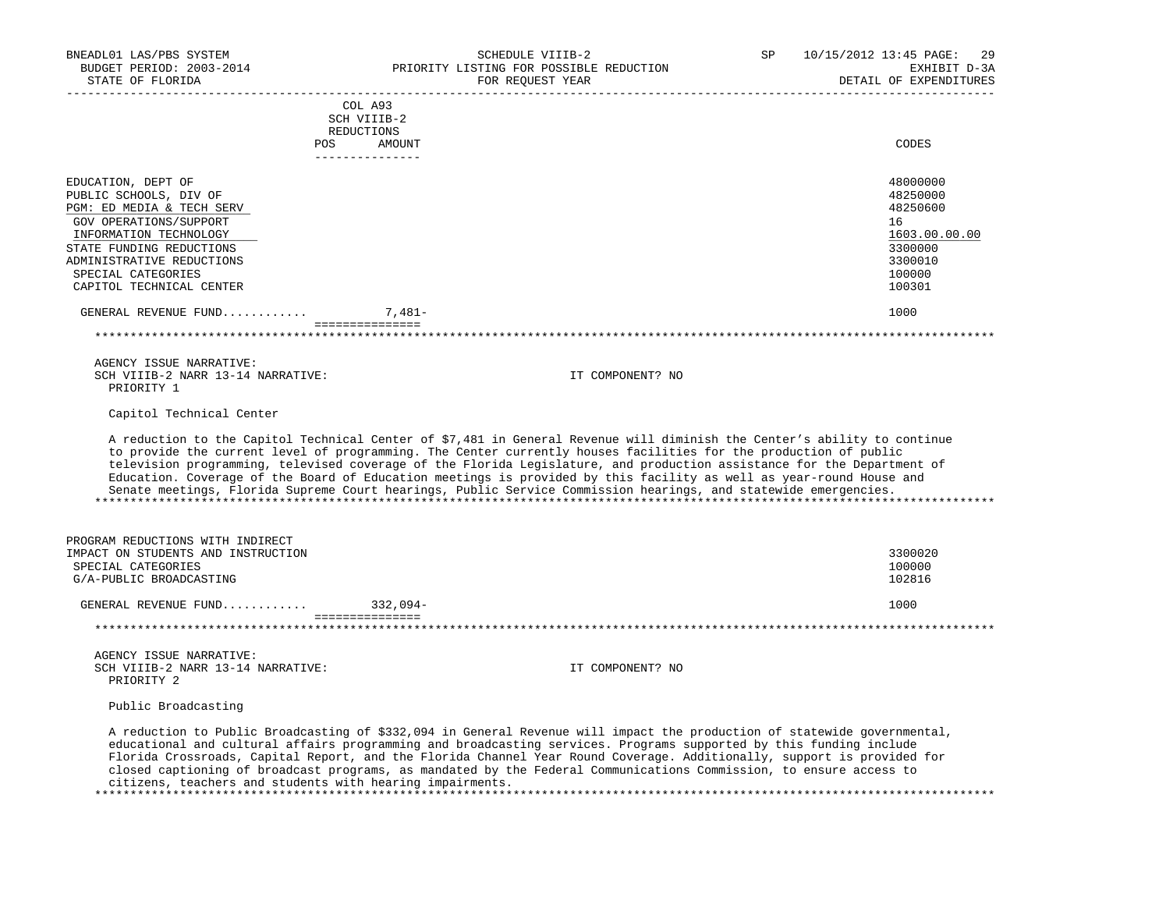| BNEADL01 LAS/PBS SYSTEM<br>BUDGET PERIOD: 2003-2014<br>STATE OF FLORIDA                                                                                                                                                                  | SCHEDULE VIIIB-2<br>PRIORITY LISTING FOR POSSIBLE REDUCTION<br>FOR REQUEST YEAR                                                                                                                                                                                                                                                                                                                                                                                                                                                                                                                                  | 10/15/2012 13:45 PAGE:<br>SP<br>29<br>EXHIBIT D-3A<br>DETAIL OF EXPENDITURES                      |
|------------------------------------------------------------------------------------------------------------------------------------------------------------------------------------------------------------------------------------------|------------------------------------------------------------------------------------------------------------------------------------------------------------------------------------------------------------------------------------------------------------------------------------------------------------------------------------------------------------------------------------------------------------------------------------------------------------------------------------------------------------------------------------------------------------------------------------------------------------------|---------------------------------------------------------------------------------------------------|
|                                                                                                                                                                                                                                          | COL A93                                                                                                                                                                                                                                                                                                                                                                                                                                                                                                                                                                                                          |                                                                                                   |
|                                                                                                                                                                                                                                          | SCH VIIIB-2                                                                                                                                                                                                                                                                                                                                                                                                                                                                                                                                                                                                      |                                                                                                   |
|                                                                                                                                                                                                                                          | REDUCTIONS                                                                                                                                                                                                                                                                                                                                                                                                                                                                                                                                                                                                       |                                                                                                   |
|                                                                                                                                                                                                                                          | POS AMOUNT<br>______________                                                                                                                                                                                                                                                                                                                                                                                                                                                                                                                                                                                     | CODES                                                                                             |
| EDUCATION, DEPT OF<br>PUBLIC SCHOOLS, DIV OF<br>PGM: ED MEDIA & TECH SERV<br>GOV OPERATIONS/SUPPORT<br>INFORMATION TECHNOLOGY<br>STATE FUNDING REDUCTIONS<br>ADMINISTRATIVE REDUCTIONS<br>SPECIAL CATEGORIES<br>CAPITOL TECHNICAL CENTER |                                                                                                                                                                                                                                                                                                                                                                                                                                                                                                                                                                                                                  | 48000000<br>48250000<br>48250600<br>16<br>1603.00.00.00<br>3300000<br>3300010<br>100000<br>100301 |
| GENERAL REVENUE FUND                                                                                                                                                                                                                     | 7,481-                                                                                                                                                                                                                                                                                                                                                                                                                                                                                                                                                                                                           | 1000                                                                                              |
|                                                                                                                                                                                                                                          | -----------------                                                                                                                                                                                                                                                                                                                                                                                                                                                                                                                                                                                                |                                                                                                   |
|                                                                                                                                                                                                                                          |                                                                                                                                                                                                                                                                                                                                                                                                                                                                                                                                                                                                                  |                                                                                                   |
| AGENCY ISSUE NARRATIVE:<br>SCH VIIIB-2 NARR 13-14 NARRATIVE:<br>PRIORITY 1                                                                                                                                                               | IT COMPONENT? NO                                                                                                                                                                                                                                                                                                                                                                                                                                                                                                                                                                                                 |                                                                                                   |
| Capitol Technical Center                                                                                                                                                                                                                 |                                                                                                                                                                                                                                                                                                                                                                                                                                                                                                                                                                                                                  |                                                                                                   |
|                                                                                                                                                                                                                                          | A reduction to the Capitol Technical Center of \$7,481 in General Revenue will diminish the Center's ability to continue<br>to provide the current level of programming. The Center currently houses facilities for the production of public<br>television programming, televised coverage of the Florida Legislature, and production assistance for the Department of<br>Education. Coverage of the Board of Education meetings is provided by this facility as well as year-round House and<br>Senate meetings, Florida Supreme Court hearings, Public Service Commission hearings, and statewide emergencies. |                                                                                                   |
| PROGRAM REDUCTIONS WITH INDIRECT                                                                                                                                                                                                         |                                                                                                                                                                                                                                                                                                                                                                                                                                                                                                                                                                                                                  |                                                                                                   |
| IMPACT ON STUDENTS AND INSTRUCTION                                                                                                                                                                                                       |                                                                                                                                                                                                                                                                                                                                                                                                                                                                                                                                                                                                                  | 3300020                                                                                           |
| SPECIAL CATEGORIES                                                                                                                                                                                                                       |                                                                                                                                                                                                                                                                                                                                                                                                                                                                                                                                                                                                                  | 100000                                                                                            |
| G/A-PUBLIC BROADCASTING                                                                                                                                                                                                                  |                                                                                                                                                                                                                                                                                                                                                                                                                                                                                                                                                                                                                  | 102816                                                                                            |
| GENERAL REVENUE FUND 332,094-                                                                                                                                                                                                            | ===============                                                                                                                                                                                                                                                                                                                                                                                                                                                                                                                                                                                                  | 1000                                                                                              |
|                                                                                                                                                                                                                                          |                                                                                                                                                                                                                                                                                                                                                                                                                                                                                                                                                                                                                  |                                                                                                   |
| AGENCY ISSUE NARRATIVE:                                                                                                                                                                                                                  |                                                                                                                                                                                                                                                                                                                                                                                                                                                                                                                                                                                                                  |                                                                                                   |
| SCH VIIIB-2 NARR 13-14 NARRATIVE:<br>PRIORITY 2                                                                                                                                                                                          | IT COMPONENT? NO                                                                                                                                                                                                                                                                                                                                                                                                                                                                                                                                                                                                 |                                                                                                   |
| Public Broadcasting                                                                                                                                                                                                                      |                                                                                                                                                                                                                                                                                                                                                                                                                                                                                                                                                                                                                  |                                                                                                   |
|                                                                                                                                                                                                                                          | A reduction to Public Broadcasting of \$332,094 in General Revenue will impact the production of statewide governmental,<br>educational and cultural affairs programming and broadcasting services. Programs supported by this funding include<br>Florida Crossroads, Capital Report, and the Florida Channel Year Round Coverage. Additionally, support is provided for<br>closed captioning of broadcast programs, as mandated by the Federal Communications Commission, to ensure access to                                                                                                                   |                                                                                                   |

\*\*\*\*\*\*\*\*\*\*\*\*\*\*\*\*\*\*\*\*\*\*\*\*\*\*\*\*\*\*\*\*\*\*\*\*\*\*\*\*\*\*\*\*\*\*\*\*\*\*\*\*\*\*\*\*\*\*\*\*\*\*\*\*\*\*\*\*\*\*\*\*\*\*\*\*\*\*\*\*\*\*\*\*\*\*\*\*\*\*\*\*\*\*\*\*\*\*\*\*\*\*\*\*\*\*\*\*\*\*\*\*\*\*\*\*\*\*\*\*\*\*\*\*\*\*\*

citizens, teachers and students with hearing impairments.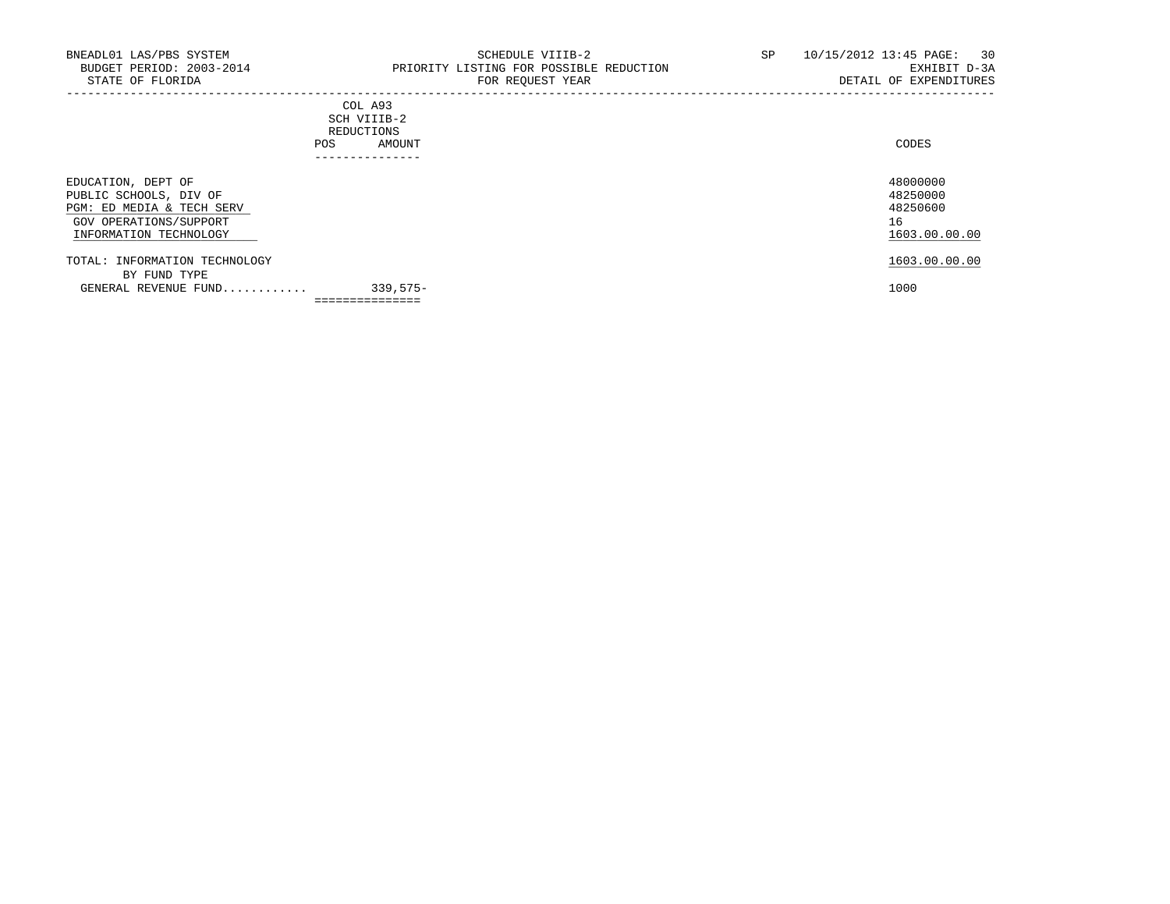-----------------------------------------------------------------------------------------------------------------------------------

## COL A93 SCH VIIIB-2 REDUCTIONS POS AMOUNT ---------------

| EDUCATION, DEPT OF<br>PUBLIC SCHOOLS, DIV OF<br>PGM: ED MEDIA & TECH SERV<br>GOV OPERATIONS/SUPPORT<br>INFORMATION TECHNOLOGY |            | 48000000<br>48250000<br>48250600<br>16<br>1603.00.00.00 |
|-------------------------------------------------------------------------------------------------------------------------------|------------|---------------------------------------------------------|
| TOTAL: INFORMATION TECHNOLOGY<br>BY FUND TYPE<br>GENERAL REVENUE FUND                                                         | $339.575-$ | 1603.00.00.00<br>1000                                   |
|                                                                                                                               |            |                                                         |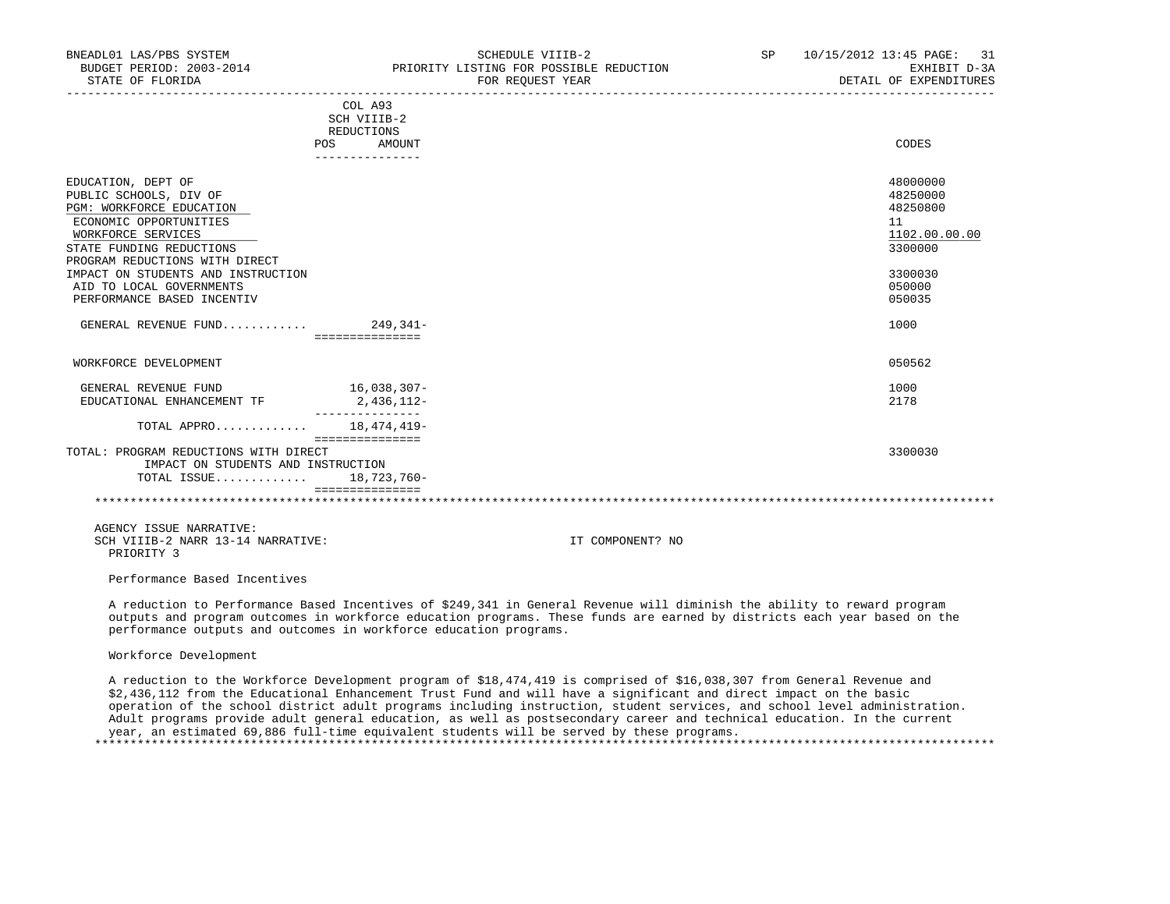| BNEADL01 LAS/PBS SYSTEM<br>BUDGET PERIOD: 2003-2014<br>STATE OF FLORIDA                                                                                                                                                                                                                |                                                                       | SCHEDULE VIIIB-2<br>PRIORITY LISTING FOR POSSIBLE REDUCTION<br>FOR REQUEST YEAR | SP 10/15/2012 13:45 PAGE: 31<br>EXHIBIT D-3A<br>DETAIL OF EXPENDITURES                                    |
|----------------------------------------------------------------------------------------------------------------------------------------------------------------------------------------------------------------------------------------------------------------------------------------|-----------------------------------------------------------------------|---------------------------------------------------------------------------------|-----------------------------------------------------------------------------------------------------------|
|                                                                                                                                                                                                                                                                                        | COL A93<br>SCH VIIIB-2<br>REDUCTIONS<br>POS AMOUNT<br>--------------- |                                                                                 | CODES                                                                                                     |
| EDUCATION, DEPT OF<br>PUBLIC SCHOOLS, DIV OF<br>PGM: WORKFORCE EDUCATION<br>ECONOMIC OPPORTUNITIES<br>WORKFORCE SERVICES<br>STATE FUNDING REDUCTIONS<br>PROGRAM REDUCTIONS WITH DIRECT<br>IMPACT ON STUDENTS AND INSTRUCTION<br>AID TO LOCAL GOVERNMENTS<br>PERFORMANCE BASED INCENTIV | ===============                                                       |                                                                                 | 48000000<br>48250000<br>48250800<br>11<br>1102.00.00.00<br>3300000<br>3300030<br>050000<br>050035<br>1000 |
| WORKFORCE DEVELOPMENT                                                                                                                                                                                                                                                                  |                                                                       |                                                                                 | 050562                                                                                                    |
| GENERAL REVENUE FUND<br>EDUCATIONAL ENHANCEMENT TF                                                                                                                                                                                                                                     | 16,038,307-<br>2,436,112-<br>_______________                          |                                                                                 | 1000<br>2178                                                                                              |
| TOTAL APPRO 18,474,419-                                                                                                                                                                                                                                                                | ===============                                                       |                                                                                 |                                                                                                           |
| TOTAL: PROGRAM REDUCTIONS WITH DIRECT<br>IMPACT ON STUDENTS AND INSTRUCTION<br>TOTAL ISSUE                                                                                                                                                                                             | 18,723,760-<br>===============                                        |                                                                                 | 3300030                                                                                                   |
| AGENCY ISSUE NARRATIVE:<br>SCH VIIIB-2 NARR 13-14 NARRATIVE:<br>PRIORITY 3                                                                                                                                                                                                             |                                                                       | IT COMPONENT? NO                                                                |                                                                                                           |
| Performance Based Incentives                                                                                                                                                                                                                                                           |                                                                       |                                                                                 |                                                                                                           |

 A reduction to Performance Based Incentives of \$249,341 in General Revenue will diminish the ability to reward program outputs and program outcomes in workforce education programs. These funds are earned by districts each year based on the performance outputs and outcomes in workforce education programs.

# Workforce Development

 A reduction to the Workforce Development program of \$18,474,419 is comprised of \$16,038,307 from General Revenue and \$2,436,112 from the Educational Enhancement Trust Fund and will have a significant and direct impact on the basic operation of the school district adult programs including instruction, student services, and school level administration. Adult programs provide adult general education, as well as postsecondary career and technical education. In the current year, an estimated 69,886 full-time equivalent students will be served by these programs. \*\*\*\*\*\*\*\*\*\*\*\*\*\*\*\*\*\*\*\*\*\*\*\*\*\*\*\*\*\*\*\*\*\*\*\*\*\*\*\*\*\*\*\*\*\*\*\*\*\*\*\*\*\*\*\*\*\*\*\*\*\*\*\*\*\*\*\*\*\*\*\*\*\*\*\*\*\*\*\*\*\*\*\*\*\*\*\*\*\*\*\*\*\*\*\*\*\*\*\*\*\*\*\*\*\*\*\*\*\*\*\*\*\*\*\*\*\*\*\*\*\*\*\*\*\*\*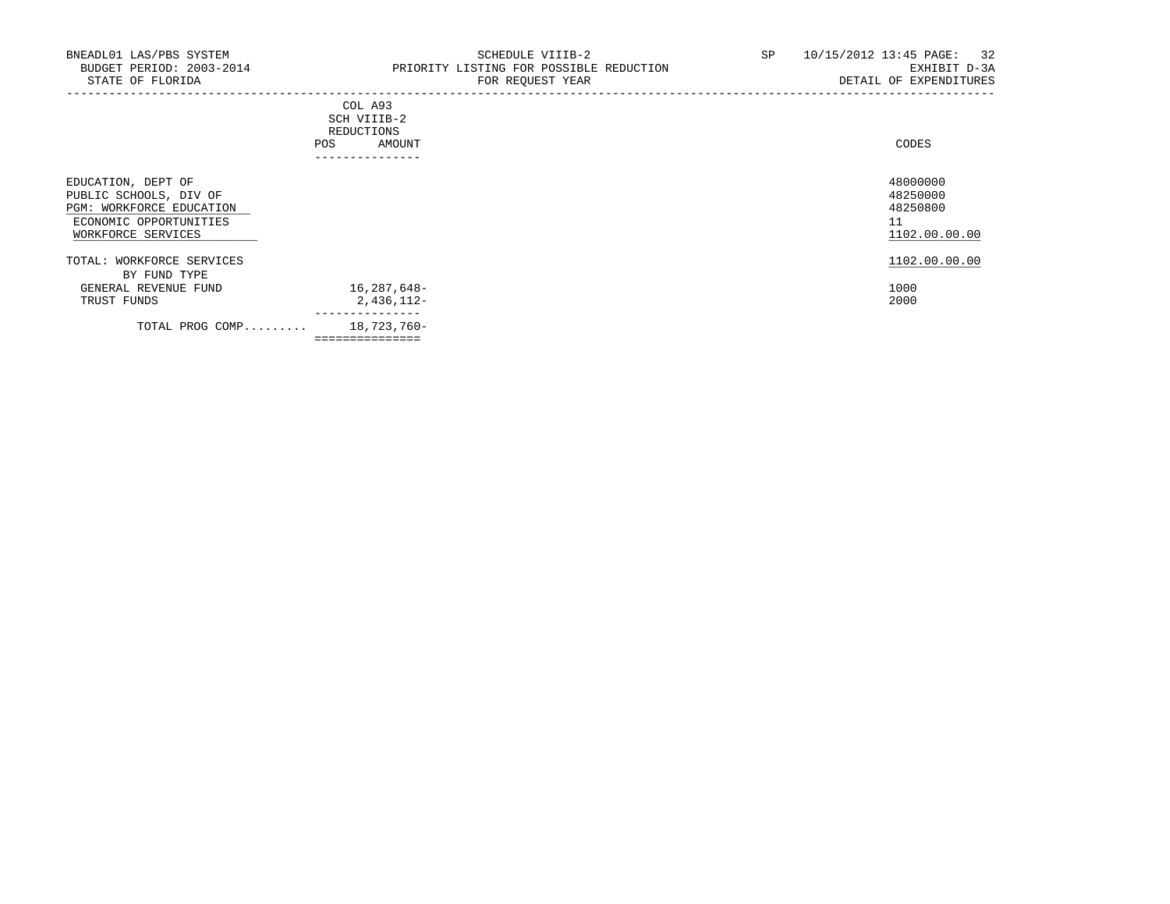-----------------------------------------------------------------------------------------------------------------------------------

|     | ---------------- |       |
|-----|------------------|-------|
| POS | AMOUNT           | CODES |
|     | REDUCTIONS       |       |
|     | SCH VIIIB-2      |       |
|     | COL A93          |       |

| EDUCATION, DEPT OF<br>PUBLIC SCHOOLS, DIV OF<br>PGM: WORKFORCE EDUCATION<br>ECONOMIC OPPORTUNITIES<br>WORKFORCE SERVICES |                              | 48000000<br>48250000<br>48250800<br>1102.00.00.00 |
|--------------------------------------------------------------------------------------------------------------------------|------------------------------|---------------------------------------------------|
| TOTAL: WORKFORCE SERVICES<br>BY FUND TYPE                                                                                |                              | 1102.00.00.00                                     |
| GENERAL REVENUE FUND                                                                                                     | 16,287,648-                  | 1000                                              |
| TRUST FUNDS                                                                                                              | $2,436,112-$<br>------------ | 2000                                              |
| TOTAL PROG COMP                                                                                                          | 18,723,760-                  |                                                   |
|                                                                                                                          | --------------               |                                                   |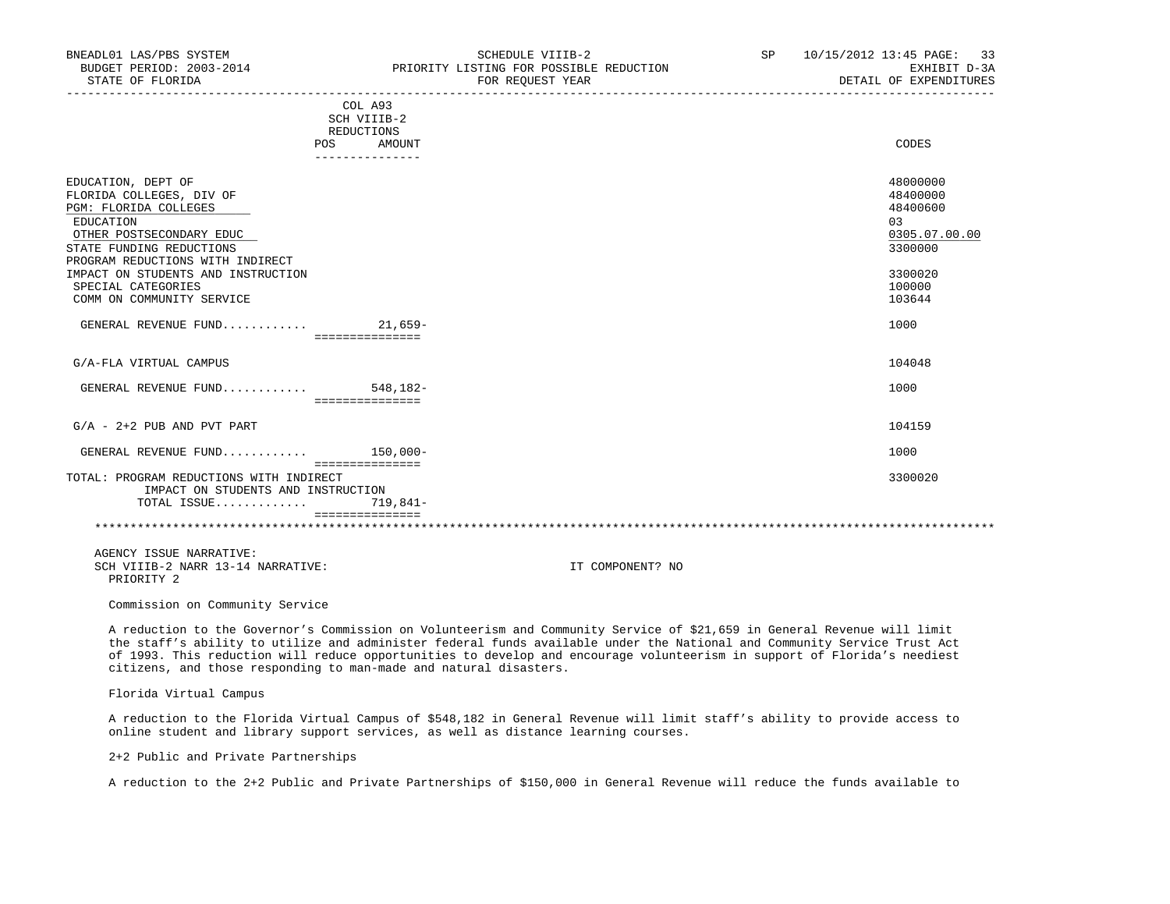| BNEADL01 LAS/PBS SYSTEM<br>BUDGET PERIOD: 2003-2014<br>STATE OF FLORIDA                                                                                                                                                                                                   |                                                    | SCHEDULE VIIIB-2<br>PRIORITY LISTING FOR POSSIBLE REDUCTION<br>FOR REQUEST YEAR | SP | 10/15/2012 13:45 PAGE: 33<br>EXHIBIT D-3A<br>DETAIL OF EXPENDITURES                               |
|---------------------------------------------------------------------------------------------------------------------------------------------------------------------------------------------------------------------------------------------------------------------------|----------------------------------------------------|---------------------------------------------------------------------------------|----|---------------------------------------------------------------------------------------------------|
|                                                                                                                                                                                                                                                                           | COL A93<br>SCH VIIIB-2<br>REDUCTIONS<br>POS AMOUNT |                                                                                 |    | CODES                                                                                             |
| EDUCATION, DEPT OF<br>FLORIDA COLLEGES, DIV OF<br>PGM: FLORIDA COLLEGES<br>EDUCATION<br>OTHER POSTSECONDARY EDUC<br>STATE FUNDING REDUCTIONS<br>PROGRAM REDUCTIONS WITH INDIRECT<br>IMPACT ON STUDENTS AND INSTRUCTION<br>SPECIAL CATEGORIES<br>COMM ON COMMUNITY SERVICE | ---------------                                    |                                                                                 |    | 48000000<br>48400000<br>48400600<br>03<br>0305.07.00.00<br>3300000<br>3300020<br>100000<br>103644 |
| GENERAL REVENUE FUND 21,659-                                                                                                                                                                                                                                              | ================                                   |                                                                                 |    | 1000                                                                                              |
| G/A-FLA VIRTUAL CAMPUS                                                                                                                                                                                                                                                    |                                                    |                                                                                 |    | 104048                                                                                            |
| GENERAL REVENUE FUND 548,182-                                                                                                                                                                                                                                             | ================                                   |                                                                                 |    | 1000                                                                                              |
| $G/A - 2 + 2$ PUB AND PVT PART                                                                                                                                                                                                                                            |                                                    |                                                                                 |    | 104159                                                                                            |
| GENERAL REVENUE FUND $150,000-$                                                                                                                                                                                                                                           | -----------------                                  |                                                                                 |    | 1000                                                                                              |
| TOTAL: PROGRAM REDUCTIONS WITH INDIRECT<br>IMPACT ON STUDENTS AND INSTRUCTION<br>TOTAL ISSUE                                                                                                                                                                              | 719,841-                                           |                                                                                 |    | 3300020                                                                                           |
|                                                                                                                                                                                                                                                                           | ================                                   |                                                                                 |    |                                                                                                   |
| AGENCY ISSUE NARRATIVE:<br>SCH VIIIB-2 NARR 13-14 NARRATIVE:<br>PRIORITY 2                                                                                                                                                                                                |                                                    | IT COMPONENT? NO                                                                |    |                                                                                                   |

Commission on Community Service

 A reduction to the Governor's Commission on Volunteerism and Community Service of \$21,659 in General Revenue will limit the staff's ability to utilize and administer federal funds available under the National and Community Service Trust Act of 1993. This reduction will reduce opportunities to develop and encourage volunteerism in support of Florida's neediest citizens, and those responding to man-made and natural disasters.

Florida Virtual Campus

 A reduction to the Florida Virtual Campus of \$548,182 in General Revenue will limit staff's ability to provide access to online student and library support services, as well as distance learning courses.

2+2 Public and Private Partnerships

A reduction to the 2+2 Public and Private Partnerships of \$150,000 in General Revenue will reduce the funds available to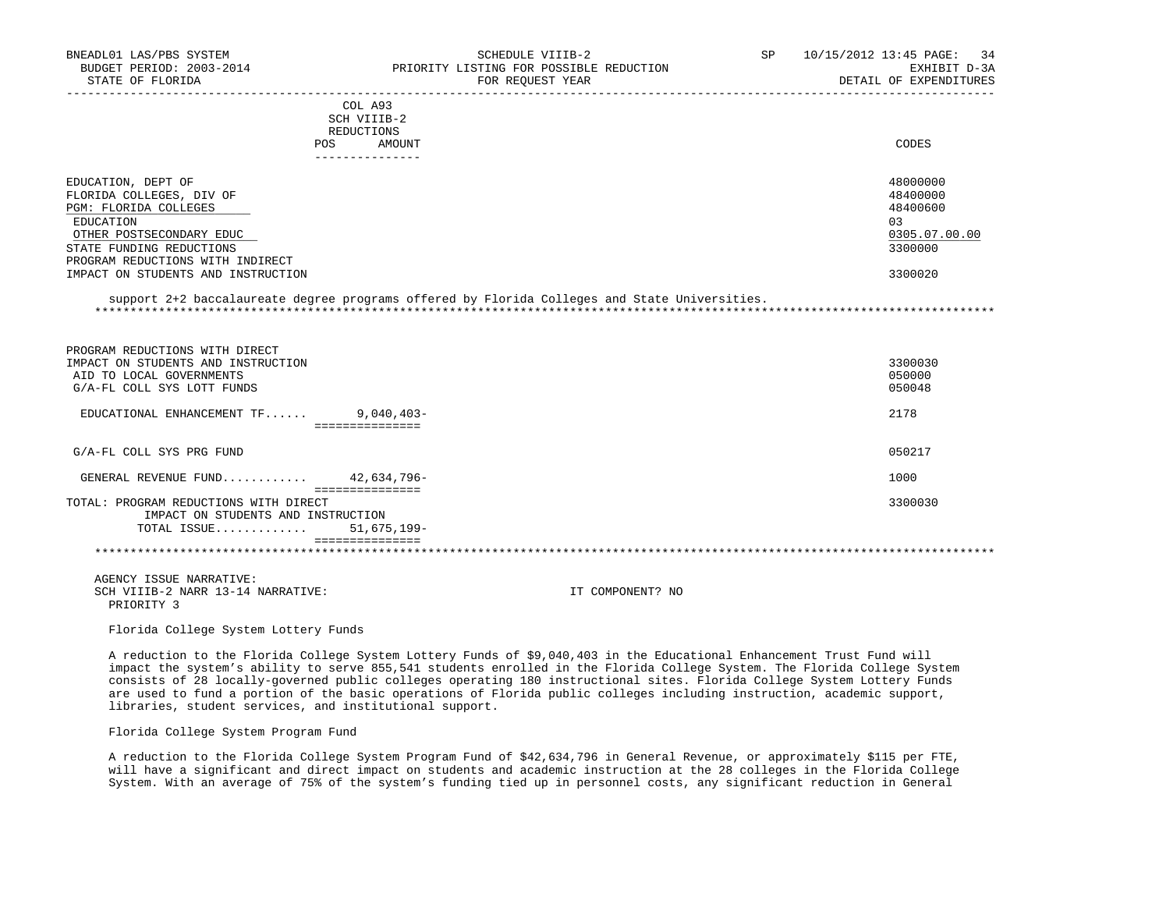| BNEADL01 LAS/PBS SYSTEM<br>BUDGET PERIOD: 2003-2014                         | SCHEDULE VIIIB-2<br>PRIORITY LISTING FOR POSSIBLE REDUCTION                                   | SP <sub>2</sub> | 10/15/2012 13:45 PAGE:<br>34<br>EXHIBIT D-3A |
|-----------------------------------------------------------------------------|-----------------------------------------------------------------------------------------------|-----------------|----------------------------------------------|
| STATE OF FLORIDA                                                            | FOR REOUEST YEAR                                                                              |                 | DETAIL OF EXPENDITURES                       |
|                                                                             | COL A93                                                                                       |                 |                                              |
|                                                                             | SCH VIIIB-2                                                                                   |                 |                                              |
|                                                                             | REDUCTIONS                                                                                    |                 | CODES                                        |
|                                                                             | POS AMOUNT<br>_______________                                                                 |                 |                                              |
| EDUCATION, DEPT OF                                                          |                                                                                               |                 | 48000000                                     |
| FLORIDA COLLEGES, DIV OF                                                    |                                                                                               |                 | 48400000                                     |
| PGM: FLORIDA COLLEGES                                                       |                                                                                               |                 | 48400600                                     |
| EDUCATION                                                                   |                                                                                               |                 | 0.3                                          |
| OTHER POSTSECONDARY EDUC                                                    |                                                                                               |                 | 0305.07.00.00                                |
| STATE FUNDING REDUCTIONS                                                    |                                                                                               |                 | 3300000                                      |
| PROGRAM REDUCTIONS WITH INDIRECT<br>IMPACT ON STUDENTS AND INSTRUCTION      |                                                                                               |                 | 3300020                                      |
|                                                                             |                                                                                               |                 |                                              |
|                                                                             | support 2+2 baccalaureate degree programs offered by Florida Colleges and State Universities. |                 |                                              |
| PROGRAM REDUCTIONS WITH DIRECT                                              |                                                                                               |                 |                                              |
| IMPACT ON STUDENTS AND INSTRUCTION<br>AID TO LOCAL GOVERNMENTS              |                                                                                               |                 | 3300030<br>050000                            |
| G/A-FL COLL SYS LOTT FUNDS                                                  |                                                                                               |                 | 050048                                       |
|                                                                             |                                                                                               |                 |                                              |
| EDUCATIONAL ENHANCEMENT $TF$ 9,040,403-                                     | ---------------                                                                               |                 | 2178                                         |
| G/A-FL COLL SYS PRG FUND                                                    |                                                                                               |                 | 050217                                       |
| GENERAL REVENUE FUND $42.634.796-$                                          |                                                                                               |                 | 1000                                         |
|                                                                             | <b>EEEEEEEEEEEEEE</b>                                                                         |                 |                                              |
| TOTAL: PROGRAM REDUCTIONS WITH DIRECT<br>IMPACT ON STUDENTS AND INSTRUCTION |                                                                                               |                 | 3300030                                      |
| TOTAL ISSUE                                                                 | 51,675,199-                                                                                   |                 |                                              |
|                                                                             | ===============                                                                               |                 |                                              |
|                                                                             |                                                                                               |                 |                                              |

Florida College System Lottery Funds

 A reduction to the Florida College System Lottery Funds of \$9,040,403 in the Educational Enhancement Trust Fund will impact the system's ability to serve 855,541 students enrolled in the Florida College System. The Florida College System consists of 28 locally-governed public colleges operating 180 instructional sites. Florida College System Lottery Funds are used to fund a portion of the basic operations of Florida public colleges including instruction, academic support, libraries, student services, and institutional support.

Florida College System Program Fund

 A reduction to the Florida College System Program Fund of \$42,634,796 in General Revenue, or approximately \$115 per FTE, will have a significant and direct impact on students and academic instruction at the 28 colleges in the Florida College System. With an average of 75% of the system's funding tied up in personnel costs, any significant reduction in General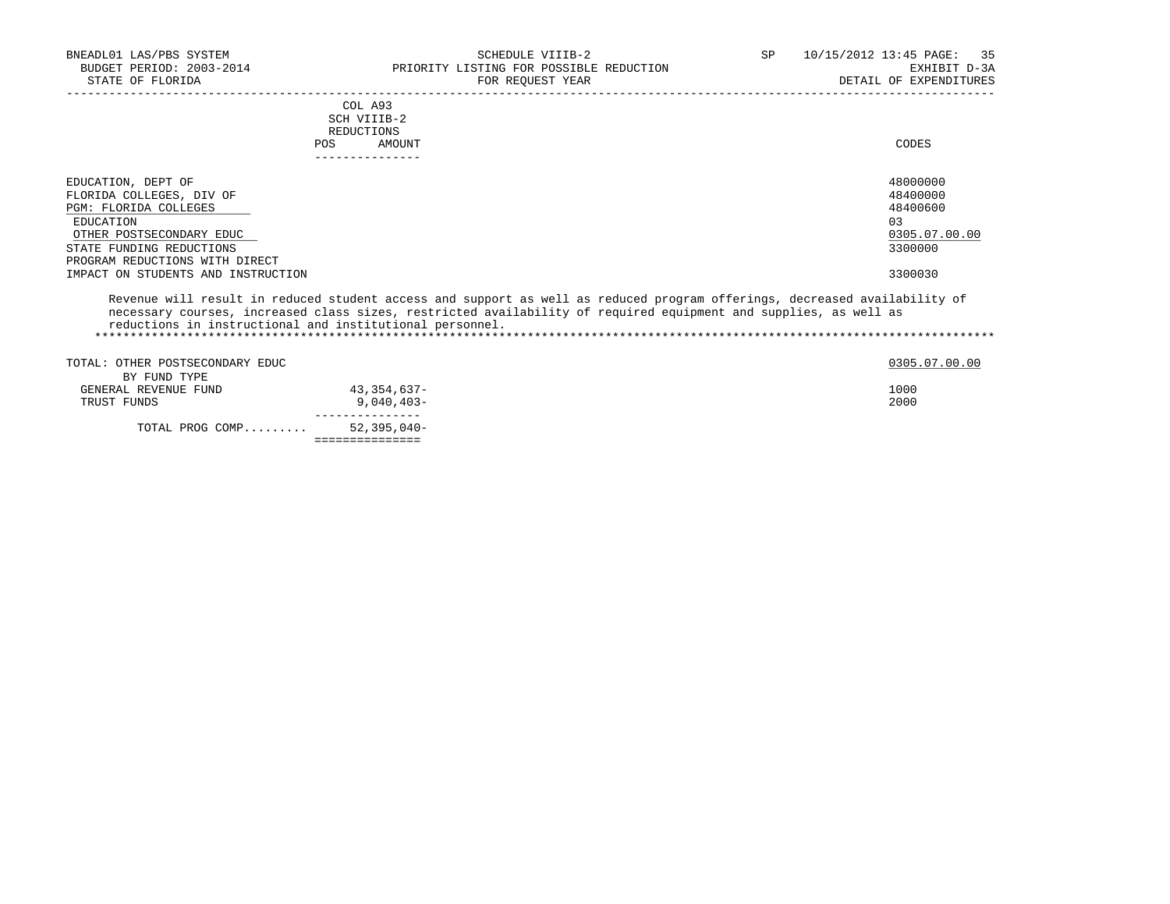| BNEADL01 LAS/PBS SYSTEM<br>BUDGET PERIOD: 2003-2014<br>STATE OF FLORIDA | SCHEDULE VIIIB-2<br>PRIORITY LISTING FOR POSSIBLE REDUCTION<br>FOR REQUEST YEAR                                                                                                                                                                                                                           | SP<br>10/15/2012 13:45 PAGE: 35<br>EXHIBIT D-3A<br>DETAIL OF EXPENDITURES |
|-------------------------------------------------------------------------|-----------------------------------------------------------------------------------------------------------------------------------------------------------------------------------------------------------------------------------------------------------------------------------------------------------|---------------------------------------------------------------------------|
|                                                                         | COL A93<br>SCH VIIIB-2                                                                                                                                                                                                                                                                                    |                                                                           |
|                                                                         | REDUCTIONS                                                                                                                                                                                                                                                                                                |                                                                           |
|                                                                         | POS<br>AMOUNT                                                                                                                                                                                                                                                                                             | CODES                                                                     |
|                                                                         |                                                                                                                                                                                                                                                                                                           |                                                                           |
| EDUCATION, DEPT OF                                                      |                                                                                                                                                                                                                                                                                                           | 48000000                                                                  |
| FLORIDA COLLEGES, DIV OF                                                |                                                                                                                                                                                                                                                                                                           | 48400000                                                                  |
| <b>PGM: FLORIDA COLLEGES</b>                                            |                                                                                                                                                                                                                                                                                                           | 48400600                                                                  |
| EDUCATION                                                               |                                                                                                                                                                                                                                                                                                           | 0.3                                                                       |
| OTHER POSTSECONDARY EDUC                                                |                                                                                                                                                                                                                                                                                                           | 0305.07.00.00                                                             |
| STATE FUNDING REDUCTIONS<br>PROGRAM REDUCTIONS WITH DIRECT              |                                                                                                                                                                                                                                                                                                           | 3300000                                                                   |
| IMPACT ON STUDENTS AND INSTRUCTION                                      |                                                                                                                                                                                                                                                                                                           | 3300030                                                                   |
|                                                                         |                                                                                                                                                                                                                                                                                                           |                                                                           |
|                                                                         | Revenue will result in reduced student access and support as well as reduced program offerings, decreased availability of<br>necessary courses, increased class sizes, restricted availability of required equipment and supplies, as well as<br>reductions in instructional and institutional personnel. |                                                                           |
|                                                                         |                                                                                                                                                                                                                                                                                                           |                                                                           |
| TOTAL: OTHER POSTSECONDARY EDUC                                         |                                                                                                                                                                                                                                                                                                           | 0305.07.00.00                                                             |
| BY FUND TYPE                                                            |                                                                                                                                                                                                                                                                                                           |                                                                           |
| $C$ המזה הזינות המזירות בתחומה ה                                        | $\Lambda$ $\Omega$ $\Omega$ $\Gamma$ $\Lambda$ $\Gamma$ $\Omega$ $\Gamma$                                                                                                                                                                                                                                 | 1000                                                                      |

|                      | . _ _ _ _ _ _ _ _ _ _ _ _ _      |      |
|----------------------|----------------------------------|------|
| TOTAL PROG COMP      | 52,395,040-                      |      |
| TRUST FUNDS          | $9.040.403 -$<br>--------------- | 2000 |
| GENERAL REVENUE FUND | 43,354,637-                      | 1000 |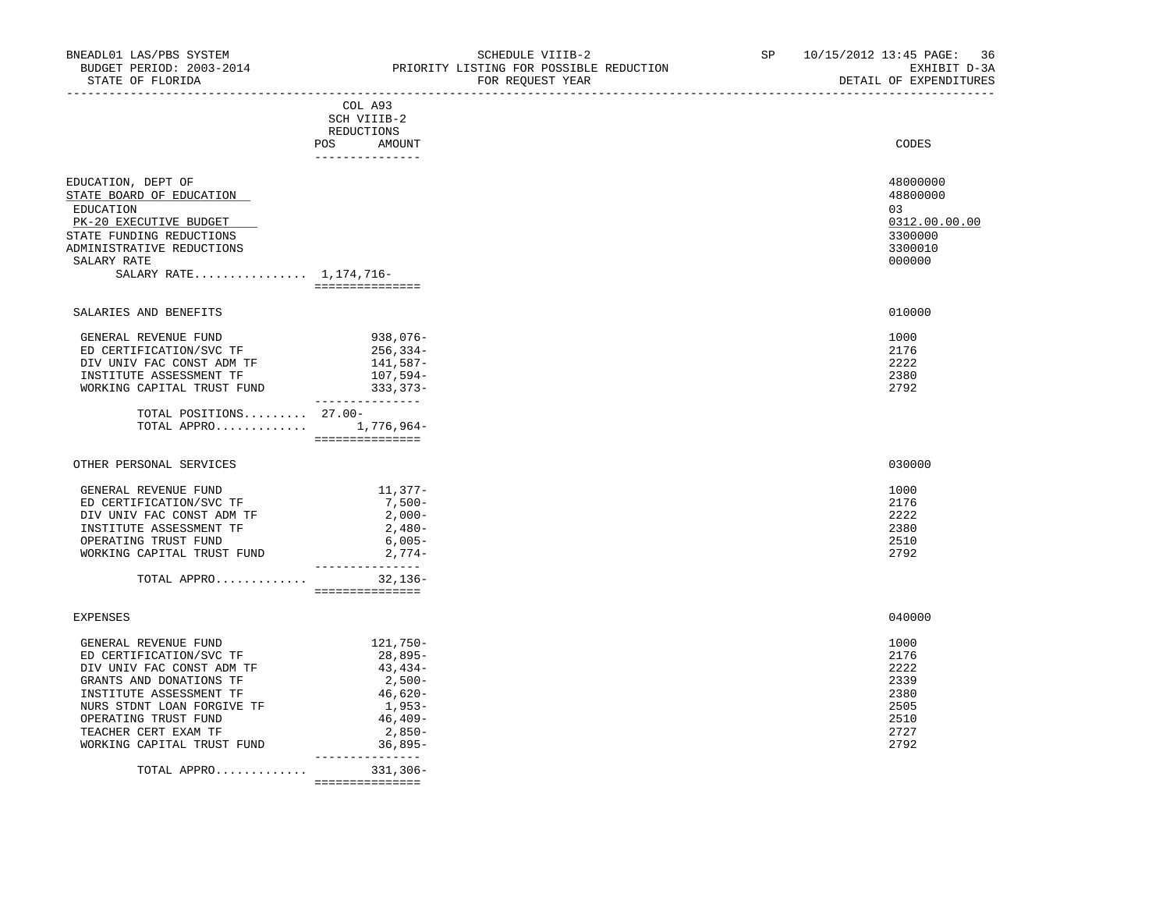| BNEADL01 LAS/PBS SYSTEM                              |                        | NEADL01 LAS/PBS SYSTEM<br>BUDGET PERIOD: 2003-2014<br>STATE OF FLORIDA<br>STATE OF FLORIDA<br>FOR PRIORITY LISTING FOR POSSIBLE REDUCTION<br>FOR PEOTECT VERTING TORREST USER THE CONTROL TO PEOTECT OF PEOTECTION | SP 10/15/2012 13:45 PAGE: 36<br>EXHIBIT D-3A<br>DETAIL OF EXPENDITURES |
|------------------------------------------------------|------------------------|--------------------------------------------------------------------------------------------------------------------------------------------------------------------------------------------------------------------|------------------------------------------------------------------------|
|                                                      | COL A93                |                                                                                                                                                                                                                    |                                                                        |
|                                                      | SCH VIIIB-2            |                                                                                                                                                                                                                    |                                                                        |
|                                                      | REDUCTIONS             |                                                                                                                                                                                                                    |                                                                        |
|                                                      | POS AMOUNT             |                                                                                                                                                                                                                    | CODES                                                                  |
|                                                      | _______________        |                                                                                                                                                                                                                    |                                                                        |
|                                                      |                        |                                                                                                                                                                                                                    |                                                                        |
| EDUCATION, DEPT OF                                   |                        |                                                                                                                                                                                                                    | 48000000                                                               |
| STATE BOARD OF EDUCATION                             |                        |                                                                                                                                                                                                                    | 48800000                                                               |
| EDUCATION                                            |                        |                                                                                                                                                                                                                    | 03                                                                     |
| PK-20 EXECUTIVE BUDGET                               |                        |                                                                                                                                                                                                                    | 0312.00.00.00                                                          |
| STATE FUNDING REDUCTIONS                             |                        |                                                                                                                                                                                                                    | 3300000                                                                |
| ADMINISTRATIVE REDUCTIONS                            |                        |                                                                                                                                                                                                                    | 3300010                                                                |
| SALARY RATE                                          |                        |                                                                                                                                                                                                                    | 000000                                                                 |
| SALARY RATE $1,174,716-$                             |                        |                                                                                                                                                                                                                    |                                                                        |
|                                                      |                        |                                                                                                                                                                                                                    |                                                                        |
| SALARIES AND BENEFITS                                |                        |                                                                                                                                                                                                                    | 010000                                                                 |
|                                                      |                        |                                                                                                                                                                                                                    |                                                                        |
| GENERAL REVENUE FUND                                 | 938,076-               |                                                                                                                                                                                                                    | 1000                                                                   |
| ED CERTIFICATION/SVC TF                              |                        |                                                                                                                                                                                                                    | 2176                                                                   |
|                                                      | 256, 334-<br>141, 587- |                                                                                                                                                                                                                    | 2222                                                                   |
| DIV UNIV FAC CONST ADM TF<br>INSTITUTE ASSESSMENT TF | 107,594-               |                                                                                                                                                                                                                    | 2380                                                                   |
| WORKING CAPITAL TRUST FUND 333, 373-                 |                        |                                                                                                                                                                                                                    | 2792                                                                   |
|                                                      | ________________       |                                                                                                                                                                                                                    |                                                                        |
| TOTAL POSITIONS 27.00-                               |                        |                                                                                                                                                                                                                    |                                                                        |
| TOTAL APPRO 1,776,964-                               |                        |                                                                                                                                                                                                                    |                                                                        |
|                                                      | _________________      |                                                                                                                                                                                                                    |                                                                        |
|                                                      |                        |                                                                                                                                                                                                                    |                                                                        |
| OTHER PERSONAL SERVICES                              |                        |                                                                                                                                                                                                                    | 030000                                                                 |
|                                                      |                        |                                                                                                                                                                                                                    | 1000                                                                   |
| GENERAL REVENUE FUND<br>ED CERTIFICATION/SVC TF      | 11,377-<br>$7,500-$    |                                                                                                                                                                                                                    | 2176                                                                   |
|                                                      | $2,000-$               |                                                                                                                                                                                                                    | 2222                                                                   |
| DIV UNIV FAC CONST ADM TF                            | $2,480-$               |                                                                                                                                                                                                                    | 2380                                                                   |
| INSTITUTE ASSESSMENT TF<br>OPERATING TRUST FUND      | 6,005-                 |                                                                                                                                                                                                                    | 2510                                                                   |
| WORKING CAPITAL TRUST FUND                           | – 100 , 6<br>- 2 , 774 |                                                                                                                                                                                                                    | 2792                                                                   |
|                                                      | ________________       |                                                                                                                                                                                                                    |                                                                        |
| TOTAL APPRO $32,136-$                                |                        |                                                                                                                                                                                                                    |                                                                        |
|                                                      | ===============        |                                                                                                                                                                                                                    |                                                                        |
|                                                      |                        |                                                                                                                                                                                                                    |                                                                        |
| <b>EXPENSES</b>                                      |                        |                                                                                                                                                                                                                    | 040000                                                                 |
|                                                      | 121,750-               |                                                                                                                                                                                                                    | 1000                                                                   |
| GENERAL REVENUE FUND<br>ED CERTIFICATION/SVC TF      | 28,895-                |                                                                                                                                                                                                                    | 2176                                                                   |
| DIV UNIV FAC CONST ADM TF                            | 43,434-                |                                                                                                                                                                                                                    | 2222                                                                   |
| GRANTS AND DONATIONS TF                              | $2,500-$               |                                                                                                                                                                                                                    | 2339                                                                   |
| INSTITUTE ASSESSMENT TF                              | 46,620-                |                                                                                                                                                                                                                    | 2380                                                                   |
| NURS STDNT LOAN FORGIVE TF                           | $1,953-$               |                                                                                                                                                                                                                    | 2505                                                                   |
| OPERATING TRUST FUND                                 | $46, 409-$             |                                                                                                                                                                                                                    | 2510                                                                   |
| TEACHER CERT EXAM TF                                 | $2,850-$               |                                                                                                                                                                                                                    | 2727                                                                   |
| WORKING CAPITAL TRUST FUND                           | $\frac{2}{36}$ , 895–  |                                                                                                                                                                                                                    | 2792                                                                   |
|                                                      | ________________       |                                                                                                                                                                                                                    |                                                                        |
| TOTAL APPRO 331,306-                                 |                        |                                                                                                                                                                                                                    |                                                                        |
|                                                      | ===============        |                                                                                                                                                                                                                    |                                                                        |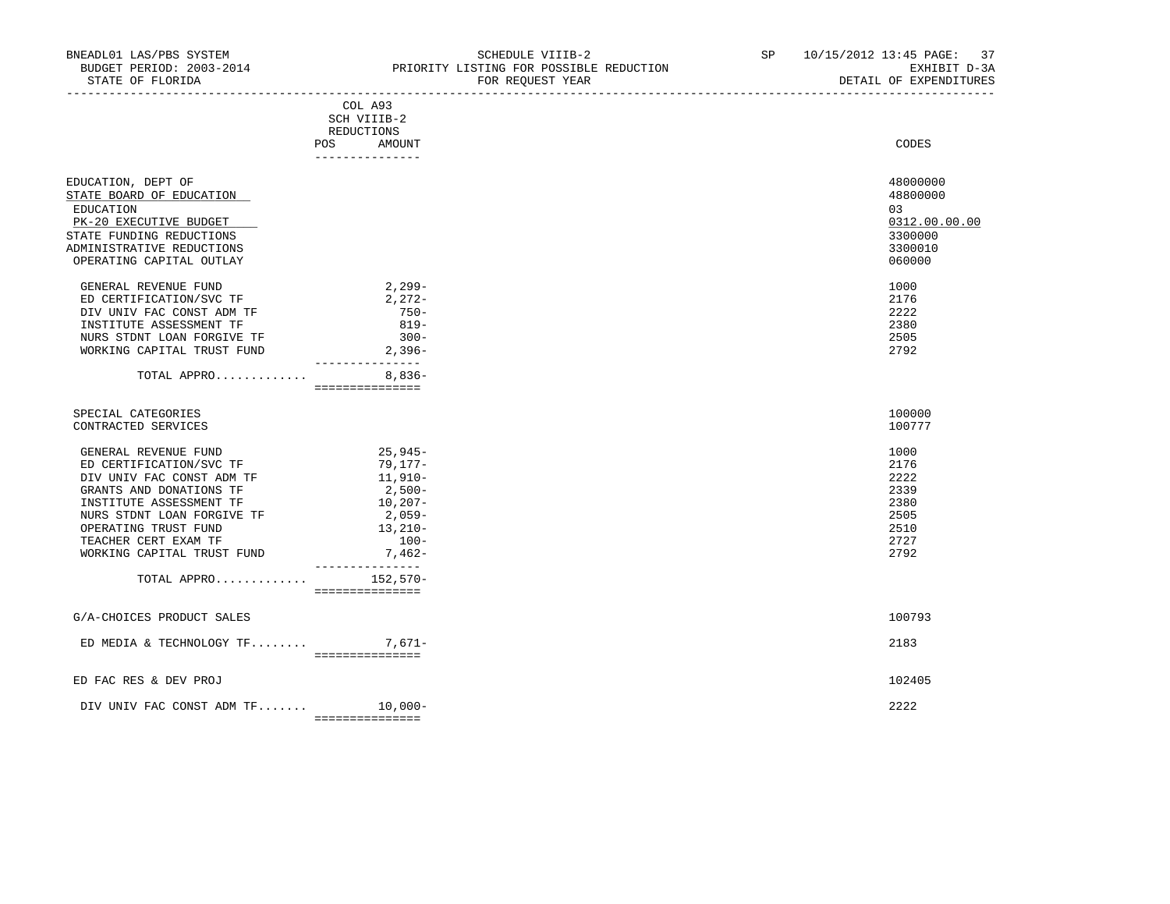STATE OF FLORIDA FOR REQUEST YEAR DETAIL OF EXPENDITURES

|                                              | COL A93<br>SCH VIIIB-2                           |               |  |
|----------------------------------------------|--------------------------------------------------|---------------|--|
|                                              | <b>REDUCTIONS</b>                                |               |  |
|                                              | POS.<br>AMOUNT                                   | CODES         |  |
|                                              | _______________                                  |               |  |
| EDUCATION, DEPT OF                           |                                                  | 48000000      |  |
| STATE BOARD OF EDUCATION                     |                                                  | 48800000      |  |
| EDUCATION                                    |                                                  | 03            |  |
| PK-20 EXECUTIVE BUDGET                       |                                                  | 0312.00.00.00 |  |
| STATE FUNDING REDUCTIONS                     |                                                  | 3300000       |  |
| ADMINISTRATIVE REDUCTIONS                    |                                                  | 3300010       |  |
| OPERATING CAPITAL OUTLAY                     |                                                  | 060000        |  |
| GENERAL REVENUE FUND                         | $2,299-$                                         | 1000          |  |
| ED CERTIFICATION/SVC TF                      | $2,272-$                                         | 2176          |  |
| DIV UNIV FAC CONST ADM TF                    | $750 -$                                          | 2222          |  |
| INSTITUTE ASSESSMENT TF                      | $819 -$                                          | 2380          |  |
| NURS STDNT LOAN FORGIVE TF                   | $300 -$                                          | 2505          |  |
| WORKING CAPITAL TRUST FUND                   | $2,396-$<br>_______________                      | 2792          |  |
| TOTAL APPRO                                  | $8.836-$                                         |               |  |
|                                              | ===============                                  |               |  |
| SPECIAL CATEGORIES                           |                                                  | 100000        |  |
| CONTRACTED SERVICES                          |                                                  | 100777        |  |
| GENERAL REVENUE FUND                         | 25,945-                                          | 1000          |  |
| ED CERTIFICATION/SVC TF                      | 79,177-                                          | 2176          |  |
| DIV UNIV FAC CONST ADM TF                    | $11,910-$                                        | 2222          |  |
| GRANTS AND DONATIONS TF                      | $2,500-$                                         | 2339          |  |
| INSTITUTE ASSESSMENT TF                      | $10, 207 -$                                      | 2380          |  |
| NURS STDNT LOAN FORGIVE TF                   | 2,059-                                           | 2505          |  |
| OPERATING TRUST FUND<br>TEACHER CERT EXAM TF | $13,210-$<br>$100-$                              | 2510<br>2727  |  |
| WORKING CAPITAL TRUST FUND                   | 7,462-                                           | 2792          |  |
| TOTAL APPRO                                  | _______________<br>$152,570-$<br>=============== |               |  |
|                                              |                                                  |               |  |
| G/A-CHOICES PRODUCT SALES                    |                                                  | 100793        |  |
| ED MEDIA & TECHNOLOGY $TF$                   | $7,671-$<br><b>EEEEEEEEEEEEEE</b>                | 2183          |  |
| ED FAC RES & DEV PROJ                        |                                                  | 102405        |  |
| DIV UNIV FAC CONST ADM TF                    | $10,000-$                                        | 2222          |  |
|                                              | ===============                                  |               |  |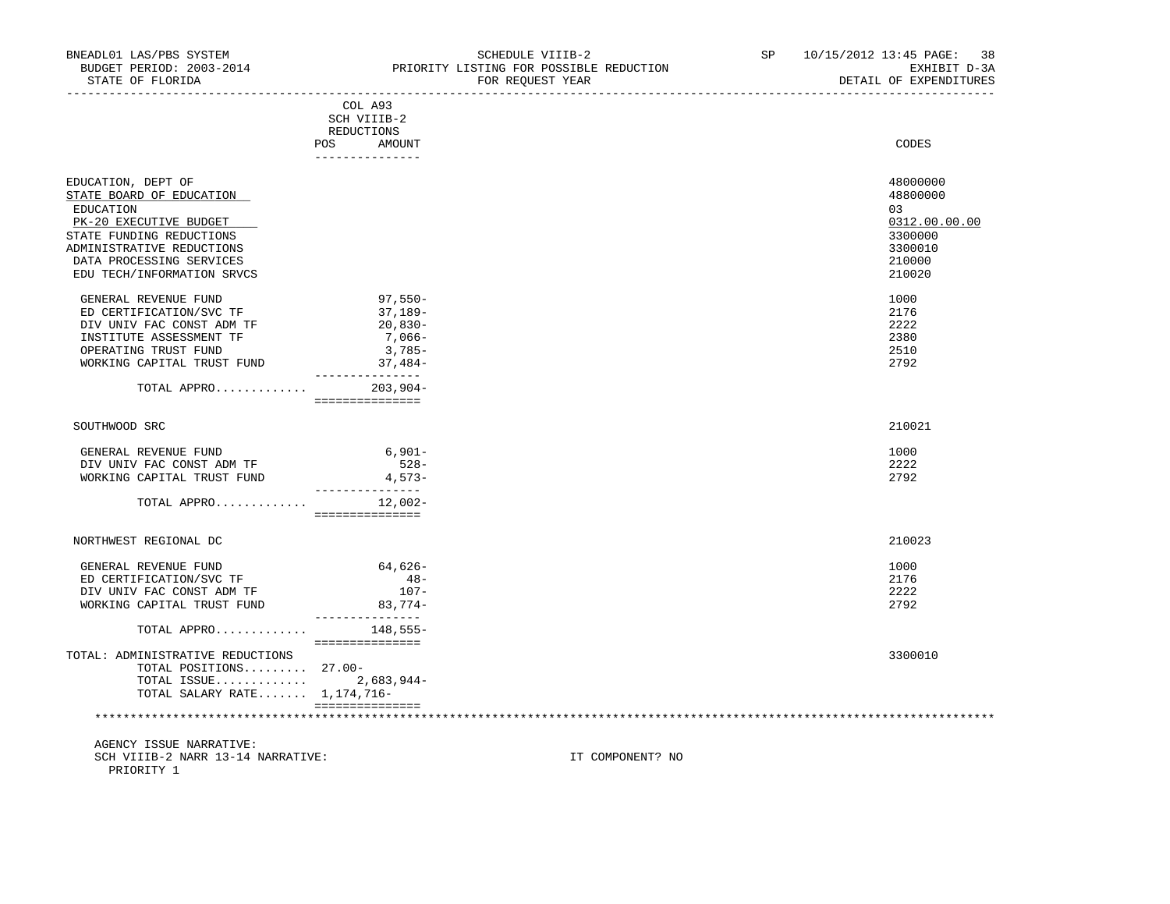|                                                                                                                                                                                                          | COL A93<br>SCH VIIIB-2<br>REDUCTIONS<br>AMOUNT<br>POS                | CODES                                                                                 |
|----------------------------------------------------------------------------------------------------------------------------------------------------------------------------------------------------------|----------------------------------------------------------------------|---------------------------------------------------------------------------------------|
| EDUCATION, DEPT OF<br>STATE BOARD OF EDUCATION<br>EDUCATION<br>PK-20 EXECUTIVE BUDGET<br>STATE FUNDING REDUCTIONS<br>ADMINISTRATIVE REDUCTIONS<br>DATA PROCESSING SERVICES<br>EDU TECH/INFORMATION SRVCS |                                                                      | 48000000<br>48800000<br>03<br>0312.00.00.00<br>3300000<br>3300010<br>210000<br>210020 |
| GENERAL REVENUE FUND<br>ED CERTIFICATION/SVC TF<br>DIV UNIV FAC CONST ADM TF<br>INSTITUTE ASSESSMENT TF<br>OPERATING TRUST FUND<br>WORKING CAPITAL TRUST FUND                                            | $97,550-$<br>37,189-<br>$20,830-$<br>7,066-<br>$3,785-$<br>$37,484-$ | 1000<br>2176<br>2222<br>2380<br>2510<br>2792                                          |

| SOUTHWOOD SRC | 210021 |
|---------------|--------|
|---------------|--------|

| TOTAL APPRO                | $12.002 -$ |      |
|----------------------------|------------|------|
| WORKING CAPITAL TRUST FUND | $4.573-$   | 2792 |
| DIV UNIV FAC CONST ADM TF  | $528 -$    | 2222 |
| GENERAL REVENUE FUND       | $6.901 -$  | 1000 |

TOTAL APPRO............. 203,904-

===============

| GENERAL REVENUE FUND             | 64,626-   | 1000    |  |
|----------------------------------|-----------|---------|--|
| ED CERTIFICATION/SVC TF          | $48 -$    | 2176    |  |
| DIV UNIV FAC CONST ADM TF        | $107 -$   | 2222    |  |
| WORKING CAPITAL TRUST FUND       | $83.774-$ | 2792    |  |
|                                  |           |         |  |
| TOTAL APPRO                      | 148,555-  |         |  |
|                                  |           |         |  |
| TOTAL: ADMINISTRATIVE REDUCTIONS |           | 3300010 |  |
| TOTAL POSITIONS 27.00-           |           |         |  |
| TOTAL ISSUE 2,683,944-           |           |         |  |
| TOTAL SALARY RATE 1,174,716-     |           |         |  |
|                                  |           |         |  |

| GENERAL REVENUE FUND       | $6,901-$  |  |
|----------------------------|-----------|--|
| DIV UNIV FAC CONST ADM TF  | $528 -$   |  |
| WORKING CAPITAL TRUST FUND | $4,573-$  |  |
| TOTAL APPRO                | $12,002-$ |  |
|                            |           |  |
| NORTHWEST REGIONAL DC      |           |  |
| GENERAL REVENUE FUND       | 64,626-   |  |
| ED CERTIFICATION/SVC TF    | $48 -$    |  |
| RIVITIV RAC CONST ADM TR   | $107 -$   |  |

\*\*\*\*\*\*\*\*\*\*\*\*\*\*\*\*\*\*\*\*\*\*\*\*\*\*\*\*\*\*\*\*\*\*\*\*\*\*\*\*\*\*\*\*\*\*\*\*\*\*\*\*\*\*\*\*\*\*\*\*\*\*\*\*\*\*\*\*\*\*\*\*\*\*\*\*\*\*\*\*\*\*\*\*\*\*\*\*\*\*\*\*\*\*\*\*\*\*\*\*\*\*\*\*\*\*\*\*\*\*\*\*\*\*\*\*\*\*\*\*\*\*\*\*\*\*\*

 AGENCY ISSUE NARRATIVE: SCH VIIIB-2 NARR 13-14 NARRATIVE: IT COMPONENT? NO PRIORITY 1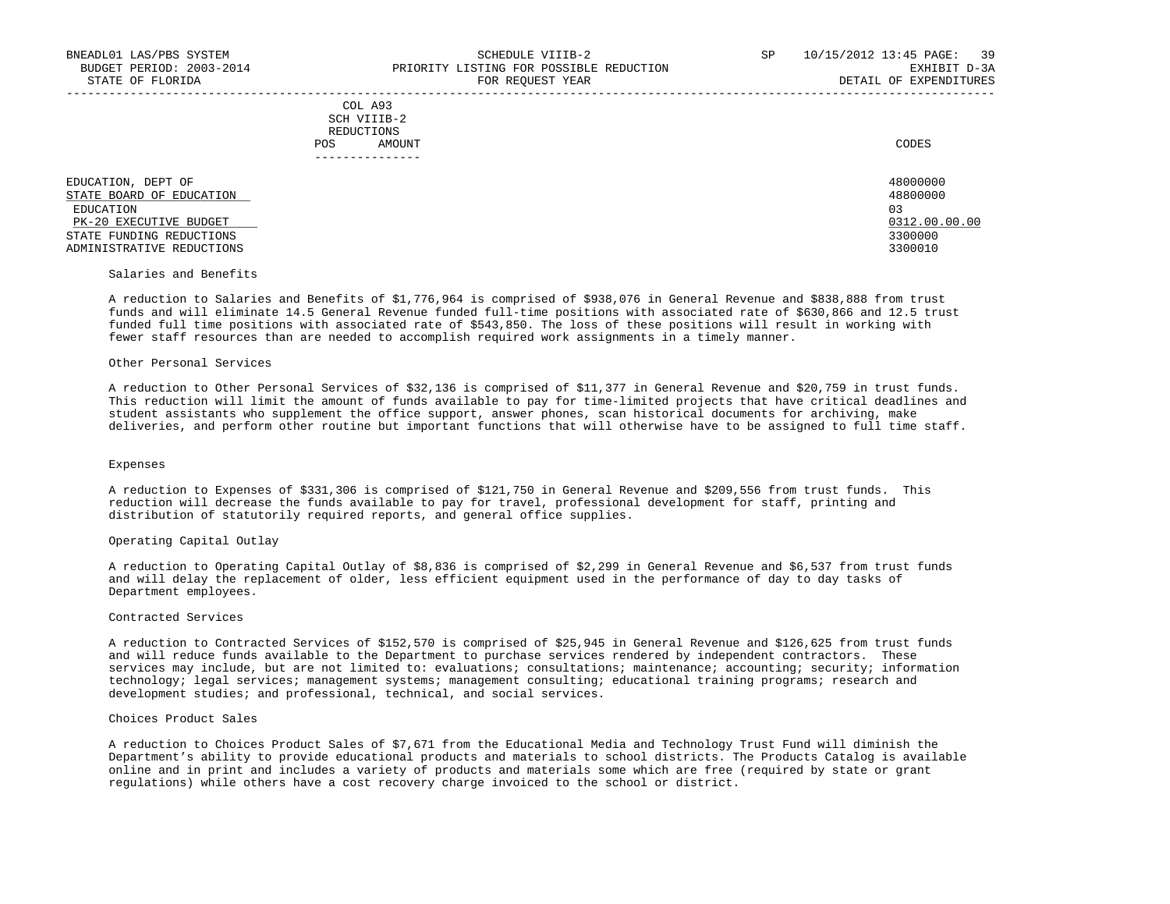-----------------------------------------------------------------------------------------------------------------------------------

 COL A93 SCH VIIIB-2 REDUCTIONS POS AMOUNT CODES ---------------

 EDUCATION, DEPT OF 48000000  $\frac{\text{STATE} \quad \text{BORD} \quad \text{OF} \quad \text{EDUCATION}}{ \text{RDIICATION}}$  EDUCATION 03 PK-20 EXECUTIVE BUDGET 0312.00.00.00 \_\_\_\_\_\_\_\_\_\_\_\_\_\_\_\_\_\_\_\_\_\_\_\_\_\_ \_\_\_\_\_\_\_\_\_\_\_\_\_ STATE FUNDING REDUCTIONS 3300000<br>ADMINISTRATIVE REDUCTIONS 3300010 ADMINISTRATIVE REDUCTIONS

# Salaries and Benefits

 A reduction to Salaries and Benefits of \$1,776,964 is comprised of \$938,076 in General Revenue and \$838,888 from trust funds and will eliminate 14.5 General Revenue funded full-time positions with associated rate of \$630,866 and 12.5 trust funded full time positions with associated rate of \$543,850. The loss of these positions will result in working with fewer staff resources than are needed to accomplish required work assignments in a timely manner.

#### Other Personal Services

 A reduction to Other Personal Services of \$32,136 is comprised of \$11,377 in General Revenue and \$20,759 in trust funds. This reduction will limit the amount of funds available to pay for time-limited projects that have critical deadlines and student assistants who supplement the office support, answer phones, scan historical documents for archiving, make deliveries, and perform other routine but important functions that will otherwise have to be assigned to full time staff.

#### Expenses

 A reduction to Expenses of \$331,306 is comprised of \$121,750 in General Revenue and \$209,556 from trust funds. This reduction will decrease the funds available to pay for travel, professional development for staff, printing and distribution of statutorily required reports, and general office supplies.

#### Operating Capital Outlay

 A reduction to Operating Capital Outlay of \$8,836 is comprised of \$2,299 in General Revenue and \$6,537 from trust funds and will delay the replacement of older, less efficient equipment used in the performance of day to day tasks of Department employees.

#### Contracted Services

 A reduction to Contracted Services of \$152,570 is comprised of \$25,945 in General Revenue and \$126,625 from trust funds and will reduce funds available to the Department to purchase services rendered by independent contractors. These services may include, but are not limited to: evaluations; consultations; maintenance; accounting; security; information technology; legal services; management systems; management consulting; educational training programs; research and development studies; and professional, technical, and social services.

#### Choices Product Sales

 A reduction to Choices Product Sales of \$7,671 from the Educational Media and Technology Trust Fund will diminish the Department's ability to provide educational products and materials to school districts. The Products Catalog is available online and in print and includes a variety of products and materials some which are free (required by state or grant regulations) while others have a cost recovery charge invoiced to the school or district.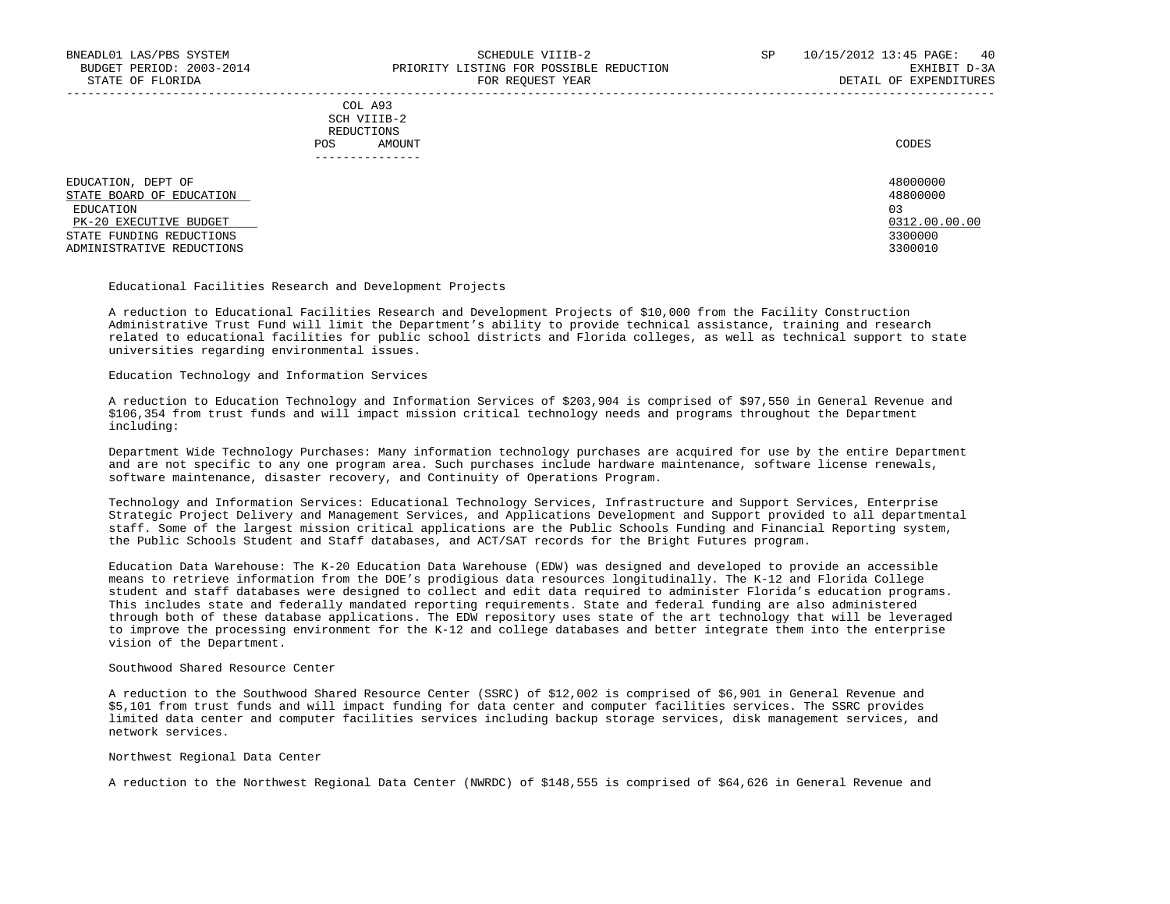-----------------------------------------------------------------------------------------------------------------------------------

 COL A93 SCH VIIIB-2 REDUCTIONS POS AMOUNT CODES ---------------

 EDUCATION, DEPT OF 48000000  $\frac{\text{STATE} \quad \text{BORD} \quad \text{OF} \quad \text{EDUCATION}}{ \text{RDIICATION}}$  EDUCATION 03 PK-20 EXECUTIVE BUDGET 0312.00.00.00 \_\_\_\_\_\_\_\_\_\_\_\_\_\_\_\_\_\_\_\_\_\_\_\_\_\_ \_\_\_\_\_\_\_\_\_\_\_\_\_ STATE FUNDING REDUCTIONS 3300000<br>ADMINISTRATIVE REDUCTIONS 3300000 ADMINISTRATIVE REDUCTIONS

## Educational Facilities Research and Development Projects

 A reduction to Educational Facilities Research and Development Projects of \$10,000 from the Facility Construction Administrative Trust Fund will limit the Department's ability to provide technical assistance, training and research related to educational facilities for public school districts and Florida colleges, as well as technical support to state universities regarding environmental issues.

#### Education Technology and Information Services

 A reduction to Education Technology and Information Services of \$203,904 is comprised of \$97,550 in General Revenue and \$106,354 from trust funds and will impact mission critical technology needs and programs throughout the Department including:

 Department Wide Technology Purchases: Many information technology purchases are acquired for use by the entire Department and are not specific to any one program area. Such purchases include hardware maintenance, software license renewals, software maintenance, disaster recovery, and Continuity of Operations Program.

 Technology and Information Services: Educational Technology Services, Infrastructure and Support Services, Enterprise Strategic Project Delivery and Management Services, and Applications Development and Support provided to all departmental staff. Some of the largest mission critical applications are the Public Schools Funding and Financial Reporting system, the Public Schools Student and Staff databases, and ACT/SAT records for the Bright Futures program.

 Education Data Warehouse: The K-20 Education Data Warehouse (EDW) was designed and developed to provide an accessible means to retrieve information from the DOE's prodigious data resources longitudinally. The K-12 and Florida College student and staff databases were designed to collect and edit data required to administer Florida's education programs. This includes state and federally mandated reporting requirements. State and federal funding are also administered through both of these database applications. The EDW repository uses state of the art technology that will be leveraged to improve the processing environment for the K-12 and college databases and better integrate them into the enterprise vision of the Department.

#### Southwood Shared Resource Center

 A reduction to the Southwood Shared Resource Center (SSRC) of \$12,002 is comprised of \$6,901 in General Revenue and \$5,101 from trust funds and will impact funding for data center and computer facilities services. The SSRC provides limited data center and computer facilities services including backup storage services, disk management services, and network services.

## Northwest Regional Data Center

A reduction to the Northwest Regional Data Center (NWRDC) of \$148,555 is comprised of \$64,626 in General Revenue and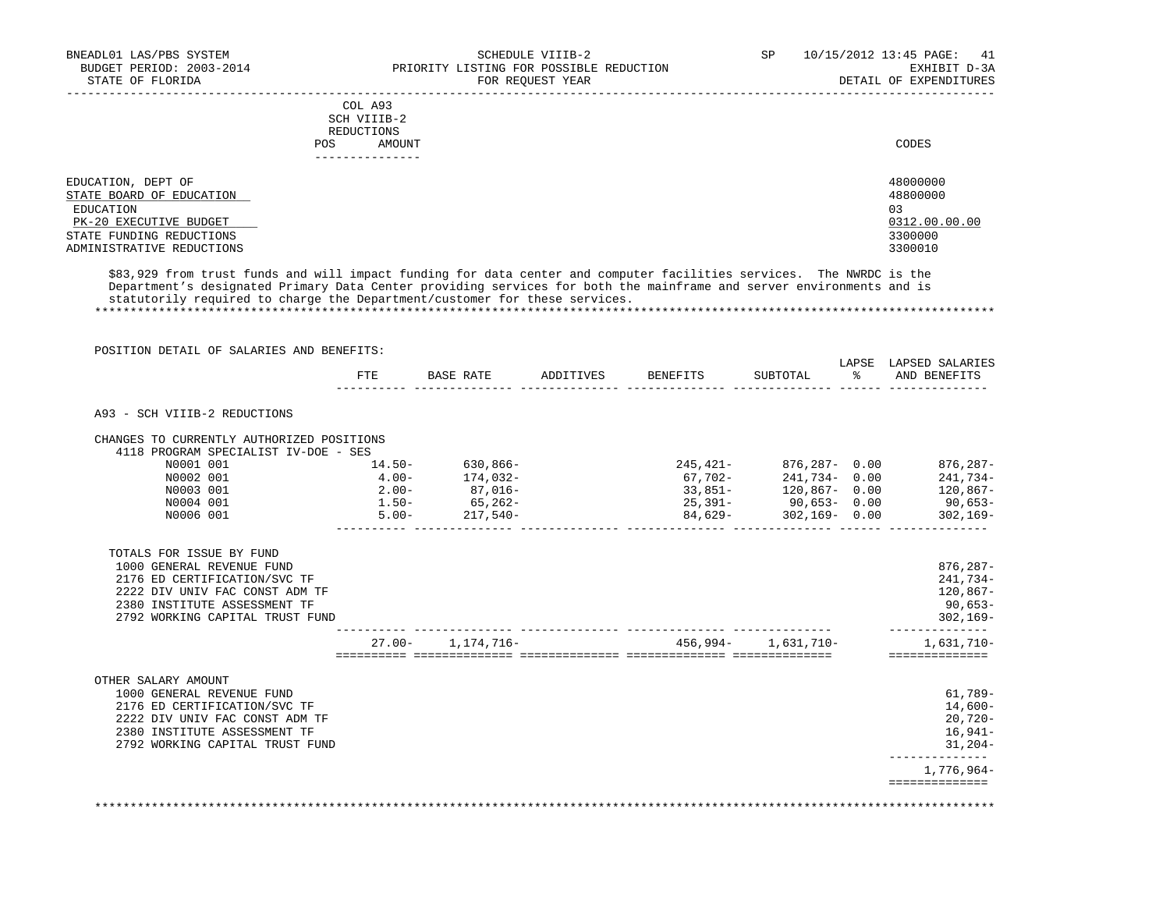|                                                | COL A93<br>SCH VIIIB-2<br>REDUCTIONS<br>AMOUNT<br><b>POS</b><br>. | CODES                |
|------------------------------------------------|-------------------------------------------------------------------|----------------------|
| EDUCATION, DEPT OF<br>STATE BOARD OF EDUCATION |                                                                   | 48000000<br>48800000 |
| EDUCATION                                      |                                                                   | 03                   |
| PK-20 EXECUTIVE BUDGET                         |                                                                   | 0312.00.00.00        |
| STATE FUNDING REDUCTIONS                       |                                                                   | 3300000              |
| ADMINISTRATIVE REDUCTIONS                      |                                                                   | 3300010              |

 \$83,929 from trust funds and will impact funding for data center and computer facilities services. The NWRDC is the Department's designated Primary Data Center providing services for both the mainframe and server environments and is statutorily required to charge the Department/customer for these services.

\*\*\*\*\*\*\*\*\*\*\*\*\*\*\*\*\*\*\*\*\*\*\*\*\*\*\*\*\*\*\*\*\*\*\*\*\*\*\*\*\*\*\*\*\*\*\*\*\*\*\*\*\*\*\*\*\*\*\*\*\*\*\*\*\*\*\*\*\*\*\*\*\*\*\*\*\*\*\*\*\*\*\*\*\*\*\*\*\*\*\*\*\*\*\*\*\*\*\*\*\*\*\*\*\*\*\*\*\*\*\*\*\*\*\*\*\*\*\*\*\*\*\*\*\*\*\*

 POSITION DETAIL OF SALARIES AND BENEFITS: LAPSE LAPSED SALARIES FTE BASE RATE ADDITIVES BENEFITS SUBTOTAL % AND BENEFITS ---------- -------------- -------------- -------------- -------------- ------ -------------- A93 - SCH VIIIB-2 REDUCTIONS CHANGES TO CURRENTLY AUTHORIZED POSITIONS 4118 PROGRAM SPECIALIST IV-DOE - SES N0001 001 14.50- 630,866- 245,421- 876,287- 0.00 876,287- N0002 001 4.00- 174,032- 67,702- 241,734- 0.00 241,734- N0003 001 2.00- 87,016- 33,851- 120,867- 0.00 120,867- N0004 001 1.50- 65,262- 25,391- 90,653- 0.00 90,653- N0006 001 5.00- 217,540- 84,629- 302,169- 0.00 302,169-  $\begin{array}{cccccccc} 14.50-&630,866-&245,421-&876,287-&0.00&876,287-&\ 4.00-&174,032-&67,702-&241,734-&0.00&241,734-&\ 2.00-&87,016-&33,851-&120,867-&0.00&120,867-&\ 1.50-&65,262-&25,391-&90,653-&0.00&90,653-&\ 1.50-&217,540-&&&84,62$  TOTALS FOR ISSUE BY FUND 1000 GENERAL REVENUE FUND 876,287-<br>2176 ED CERTIFICATION/SVC TF 2176 ED CERTIFICATION/SVC TF 241,734- 2222 DIV UNIV FAC CONST ADM TF 120,067-12022 DIV UNIV FAC CONST ADM TF 120,067-120 ASSESSMENT TF 120,067-1200,067-<br>2380 INSTITUTE ASSESSMENT TF 2380 INSTITUTE ASSESSMENT TF 2792 WORKING CAPITAL TRUST FUND 302,169- ---------- -------------- -------------- -------------- -------------- -------------- 27.00- 1,174,716- 456,994- 1,631,710- 1,631,710- ========== ============== ============== ============== ============== ============== OTHER SALARY AMOUNT 1000 GENERAL REVENUE FUND 61,789- 2176 ED CERTIFICATION/SVC TF 2222 DIV UNIV FAC CONST ADM TF 20,720- 2380 INSTITUTE ASSESSMENT TF 2792 WORKING CAPITAL TRUST FUND 31,204- -------------- 1,776,964- ==============

\*\*\*\*\*\*\*\*\*\*\*\*\*\*\*\*\*\*\*\*\*\*\*\*\*\*\*\*\*\*\*\*\*\*\*\*\*\*\*\*\*\*\*\*\*\*\*\*\*\*\*\*\*\*\*\*\*\*\*\*\*\*\*\*\*\*\*\*\*\*\*\*\*\*\*\*\*\*\*\*\*\*\*\*\*\*\*\*\*\*\*\*\*\*\*\*\*\*\*\*\*\*\*\*\*\*\*\*\*\*\*\*\*\*\*\*\*\*\*\*\*\*\*\*\*\*\*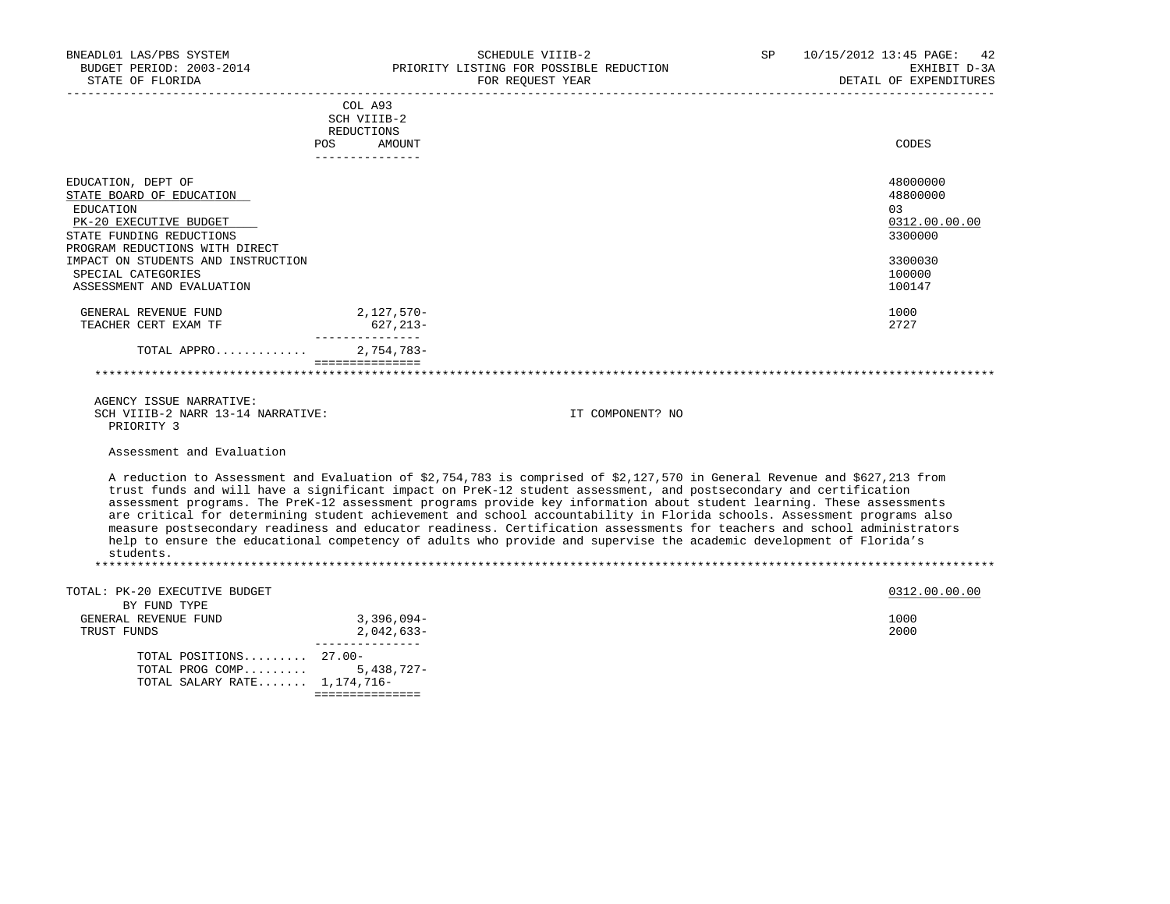| BNEADL01 LAS/PBS SYSTEM<br>BUDGET PERIOD: 2003-2014          |                                    | SCHEDULE VIIIB-2<br>PRIORITY LISTING FOR POSSIBLE REDUCTION                                                               | SP | 10/15/2012 13:45 PAGE:<br>42<br>EXHIBIT D-3A |
|--------------------------------------------------------------|------------------------------------|---------------------------------------------------------------------------------------------------------------------------|----|----------------------------------------------|
| STATE OF FLORIDA<br>_____________________                    |                                    | FOR REQUEST YEAR                                                                                                          |    | DETAIL OF EXPENDITURES                       |
|                                                              | COL A93                            |                                                                                                                           |    |                                              |
|                                                              | SCH VIIIB-2                        |                                                                                                                           |    |                                              |
|                                                              | REDUCTIONS<br><b>POS</b><br>AMOUNT |                                                                                                                           |    | CODES                                        |
|                                                              | _______________                    |                                                                                                                           |    |                                              |
| EDUCATION, DEPT OF                                           |                                    |                                                                                                                           |    | 48000000                                     |
| STATE BOARD OF EDUCATION                                     |                                    |                                                                                                                           |    | 48800000                                     |
| <b>EDUCATION</b>                                             |                                    |                                                                                                                           |    | 03                                           |
| PK-20 EXECUTIVE BUDGET                                       |                                    |                                                                                                                           |    | 0312.00.00.00                                |
| STATE FUNDING REDUCTIONS                                     |                                    |                                                                                                                           |    | 3300000                                      |
| PROGRAM REDUCTIONS WITH DIRECT                               |                                    |                                                                                                                           |    |                                              |
| IMPACT ON STUDENTS AND INSTRUCTION                           |                                    |                                                                                                                           |    | 3300030                                      |
| SPECIAL CATEGORIES                                           |                                    |                                                                                                                           |    | 100000                                       |
| ASSESSMENT AND EVALUATION                                    |                                    |                                                                                                                           |    | 100147                                       |
| GENERAL REVENUE FUND                                         | 2,127,570-                         |                                                                                                                           |    | 1000                                         |
| TEACHER CERT EXAM TF                                         | 627, 213-                          |                                                                                                                           |    | 2727                                         |
| TOTAL APPRO                                                  | _______________<br>$2.754.783-$    |                                                                                                                           |    |                                              |
|                                                              | ===============                    |                                                                                                                           |    |                                              |
|                                                              |                                    |                                                                                                                           |    |                                              |
| AGENCY ISSUE NARRATIVE:<br>SCH VIIIB-2 NARR 13-14 NARRATIVE: |                                    | IT COMPONENT? NO                                                                                                          |    |                                              |
| PRIORITY 3                                                   |                                    |                                                                                                                           |    |                                              |
| Assessment and Evaluation                                    |                                    |                                                                                                                           |    |                                              |
|                                                              |                                    | A reduction to Assessment and Evaluation of \$2,754,783 is comprised of \$2,127,570 in General Revenue and \$627,213 from |    |                                              |
|                                                              |                                    | trust funds and will have a significant impact on PreK-12 student assessment, and postsecondary and certification         |    |                                              |
|                                                              |                                    | assessment programs. The PreK-12 assessment programs provide key information about student learning. These assessments    |    |                                              |
|                                                              |                                    | are critical for determining student achievement and school accountability in Florida schools. Assessment programs also   |    |                                              |
|                                                              |                                    | measure postsecondary readiness and educator readiness. Certification assessments for teachers and school administrators  |    |                                              |
|                                                              |                                    | help to ensure the educational competency of adults who provide and supervise the academic development of Florida's       |    |                                              |
| students.                                                    |                                    |                                                                                                                           |    |                                              |
|                                                              |                                    |                                                                                                                           |    |                                              |
| TOTAL: PK-20 EXECUTIVE BUDGET                                |                                    |                                                                                                                           |    | 0312.00.00.00                                |
| BY FUND TYPE                                                 |                                    |                                                                                                                           |    |                                              |
| GENERAL REVENUE FUND                                         | 3,396,094-                         |                                                                                                                           |    | 1000                                         |
| TRUST FUNDS                                                  | $2,042,633-$<br>________________   |                                                                                                                           |    | 2000                                         |
| TOTAL POSITIONS $27.00 -$                                    |                                    |                                                                                                                           |    |                                              |
| TOTAL PROG COMP                                              | $5,438,727-$                       |                                                                                                                           |    |                                              |
| TOTAL SALARY RATE 1,174,716-                                 |                                    |                                                                                                                           |    |                                              |

===============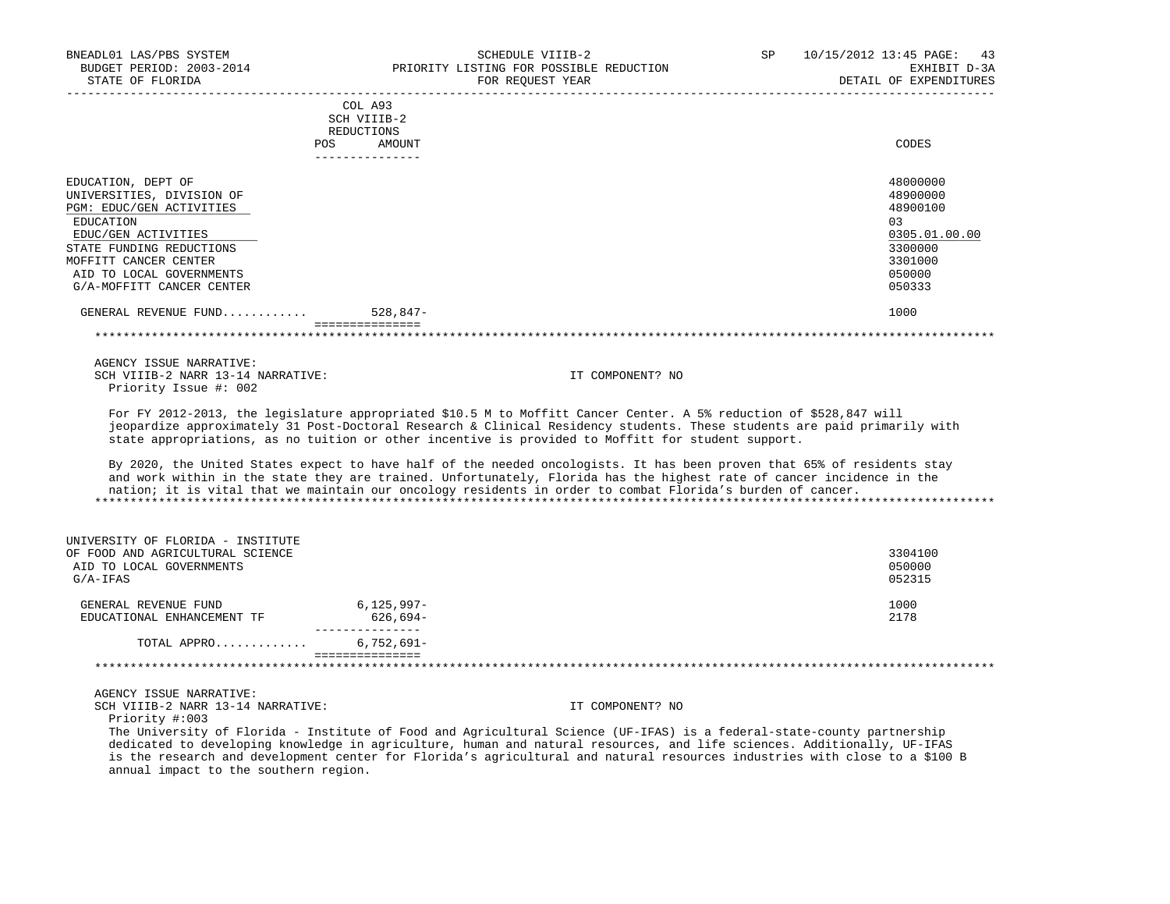| BNEADL01 LAS/PBS SYSTEM<br>BUDGET PERIOD: 2003-2014<br>STATE OF FLORIDA                                         | SCHEDULE VIIIB-2<br>PRIORITY LISTING FOR POSSIBLE REDUCTION<br>FOR REQUEST YEAR                                                                                                                                                                                                                                                                                | <b>SP</b>        | 10/15/2012 13:45 PAGE:<br>43<br>EXHIBIT D-3A<br>DETAIL OF EXPENDITURES |
|-----------------------------------------------------------------------------------------------------------------|----------------------------------------------------------------------------------------------------------------------------------------------------------------------------------------------------------------------------------------------------------------------------------------------------------------------------------------------------------------|------------------|------------------------------------------------------------------------|
| ___________________                                                                                             | COL A93                                                                                                                                                                                                                                                                                                                                                        |                  |                                                                        |
|                                                                                                                 | SCH VIIIB-2                                                                                                                                                                                                                                                                                                                                                    |                  |                                                                        |
|                                                                                                                 | REDUCTIONS                                                                                                                                                                                                                                                                                                                                                     |                  |                                                                        |
| POS                                                                                                             | AMOUNT<br>---------------                                                                                                                                                                                                                                                                                                                                      |                  | CODES                                                                  |
| EDUCATION, DEPT OF                                                                                              |                                                                                                                                                                                                                                                                                                                                                                |                  | 48000000                                                               |
| UNIVERSITIES, DIVISION OF                                                                                       |                                                                                                                                                                                                                                                                                                                                                                |                  | 48900000                                                               |
| PGM: EDUC/GEN ACTIVITIES                                                                                        |                                                                                                                                                                                                                                                                                                                                                                |                  | 48900100                                                               |
| EDUCATION                                                                                                       |                                                                                                                                                                                                                                                                                                                                                                |                  | 03                                                                     |
| EDUC/GEN ACTIVITIES                                                                                             |                                                                                                                                                                                                                                                                                                                                                                |                  | 0305.01.00.00                                                          |
| STATE FUNDING REDUCTIONS                                                                                        |                                                                                                                                                                                                                                                                                                                                                                |                  | 3300000                                                                |
| MOFFITT CANCER CENTER                                                                                           |                                                                                                                                                                                                                                                                                                                                                                |                  | 3301000                                                                |
| AID TO LOCAL GOVERNMENTS<br>G/A-MOFFITT CANCER CENTER                                                           |                                                                                                                                                                                                                                                                                                                                                                |                  | 050000<br>050333                                                       |
|                                                                                                                 |                                                                                                                                                                                                                                                                                                                                                                |                  |                                                                        |
| GENERAL REVENUE FUND                                                                                            | 528,847-<br>===============                                                                                                                                                                                                                                                                                                                                    |                  | 1000                                                                   |
|                                                                                                                 |                                                                                                                                                                                                                                                                                                                                                                |                  |                                                                        |
| AGENCY ISSUE NARRATIVE:                                                                                         |                                                                                                                                                                                                                                                                                                                                                                |                  |                                                                        |
| SCH VIIIB-2 NARR 13-14 NARRATIVE:                                                                               |                                                                                                                                                                                                                                                                                                                                                                | IT COMPONENT? NO |                                                                        |
| Priority Issue #: 002                                                                                           |                                                                                                                                                                                                                                                                                                                                                                |                  |                                                                        |
|                                                                                                                 | For FY 2012-2013, the legislature appropriated \$10.5 M to Moffitt Cancer Center. A 5% reduction of \$528,847 will<br>jeopardize approximately 31 Post-Doctoral Research & Clinical Residency students. These students are paid primarily with<br>state appropriations, as no tuition or other incentive is provided to Moffitt for student support.           |                  |                                                                        |
|                                                                                                                 | By 2020, the United States expect to have half of the needed oncologists. It has been proven that 65% of residents stay<br>and work within in the state they are trained. Unfortunately, Florida has the highest rate of cancer incidence in the<br>nation; it is vital that we maintain our oncology residents in order to combat Florida's burden of cancer. |                  |                                                                        |
| UNIVERSITY OF FLORIDA - INSTITUTE<br>OF FOOD AND AGRICULTURAL SCIENCE<br>AID TO LOCAL GOVERNMENTS<br>$G/A-IFAS$ |                                                                                                                                                                                                                                                                                                                                                                |                  | 3304100<br>050000<br>052315                                            |
| GENERAL REVENUE FUND                                                                                            | $6,125,997-$                                                                                                                                                                                                                                                                                                                                                   |                  | 1000                                                                   |
| EDUCATIONAL ENHANCEMENT TF                                                                                      | 626,694-<br>________________                                                                                                                                                                                                                                                                                                                                   |                  | 2178                                                                   |
| TOTAL APPRO                                                                                                     | $6,752,691 -$                                                                                                                                                                                                                                                                                                                                                  |                  |                                                                        |
|                                                                                                                 | ===============                                                                                                                                                                                                                                                                                                                                                |                  |                                                                        |
| AGENCY ISSUE NARRATIVE:                                                                                         |                                                                                                                                                                                                                                                                                                                                                                |                  |                                                                        |
| SCH VIIIB-2 NARR 13-14 NARRATIVE:<br>Priority #:003                                                             |                                                                                                                                                                                                                                                                                                                                                                | IT COMPONENT? NO |                                                                        |
|                                                                                                                 | The University of Florida - Institute of Food and Agricultural Science (UF-IFAS) is a federal-state-county partnership                                                                                                                                                                                                                                         |                  |                                                                        |

 dedicated to developing knowledge in agriculture, human and natural resources, and life sciences. Additionally, UF-IFAS is the research and development center for Florida's agricultural and natural resources industries with close to a \$100 B annual impact to the southern region.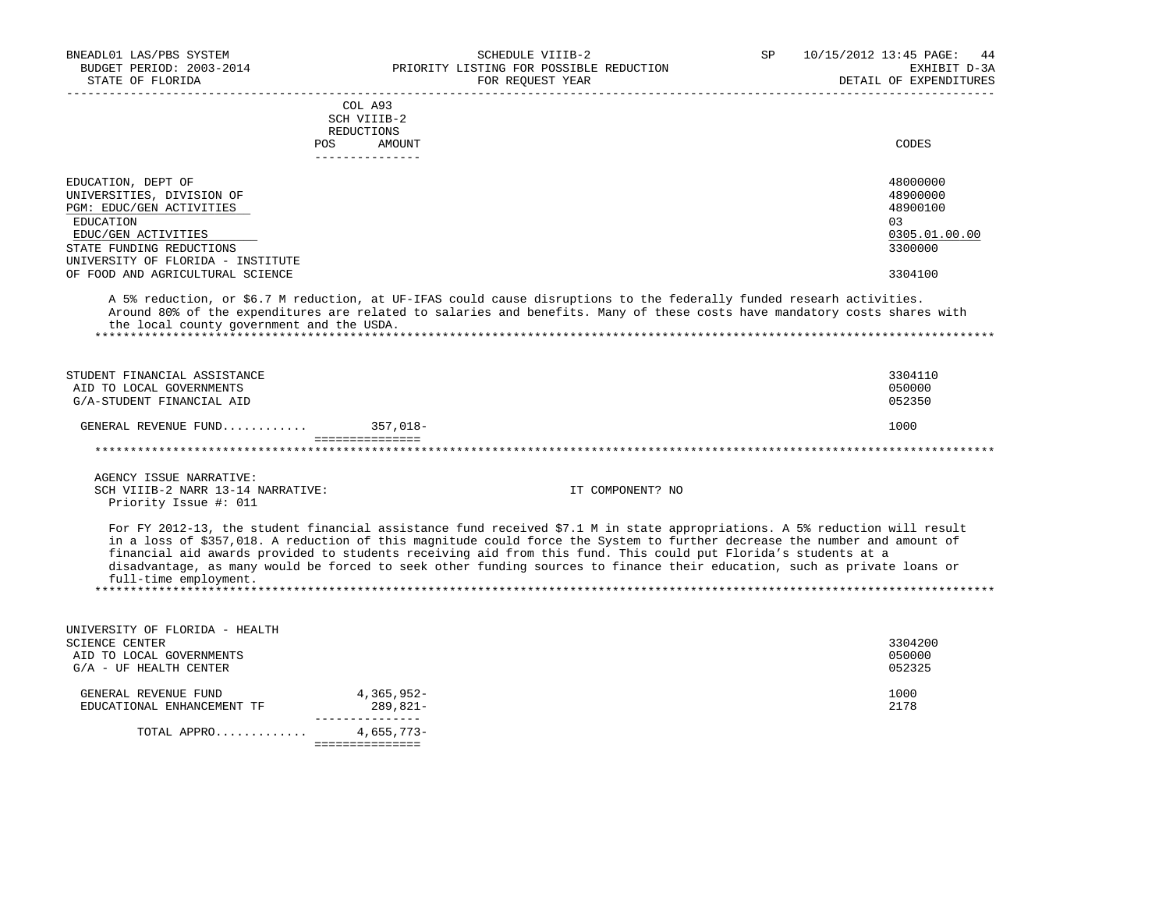| BNEADL01 LAS/PBS SYSTEM<br>BUDGET PERIOD: 2003-2014<br>STATE OF FLORIDA<br>----------------------                                                                                                                                                                 | SCHEDULE VIIIB-2<br>PRIORITY LISTING FOR POSSIBLE REDUCTION<br>FOR REQUEST YEAR<br>----------------------                                                                                                                                                                                                                                                                                                                                                                                             | SP | ______________________ | 10/15/2012 13:45 PAGE:<br>-44<br>EXHIBIT D-3A<br>DETAIL OF EXPENDITURES       |
|-------------------------------------------------------------------------------------------------------------------------------------------------------------------------------------------------------------------------------------------------------------------|-------------------------------------------------------------------------------------------------------------------------------------------------------------------------------------------------------------------------------------------------------------------------------------------------------------------------------------------------------------------------------------------------------------------------------------------------------------------------------------------------------|----|------------------------|-------------------------------------------------------------------------------|
|                                                                                                                                                                                                                                                                   | COL A93<br>SCH VIIIB-2<br>REDUCTIONS<br><b>POS</b><br>AMOUNT<br>---------------                                                                                                                                                                                                                                                                                                                                                                                                                       |    |                        | CODES                                                                         |
| EDUCATION, DEPT OF<br>UNIVERSITIES, DIVISION OF<br>PGM: EDUC/GEN ACTIVITIES<br>EDUCATION<br>EDUC/GEN ACTIVITIES<br>STATE FUNDING REDUCTIONS<br>UNIVERSITY OF FLORIDA - INSTITUTE<br>OF FOOD AND AGRICULTURAL SCIENCE<br>the local county government and the USDA. | A 5% reduction, or \$6.7 M reduction, at UF-IFAS could cause disruptions to the federally funded researh activities.<br>Around 80% of the expenditures are related to salaries and benefits. Many of these costs have mandatory costs shares with                                                                                                                                                                                                                                                     |    |                        | 48000000<br>48900000<br>48900100<br>03<br>0305.01.00.00<br>3300000<br>3304100 |
| STUDENT FINANCIAL ASSISTANCE<br>AID TO LOCAL GOVERNMENTS<br>G/A-STUDENT FINANCIAL AID                                                                                                                                                                             |                                                                                                                                                                                                                                                                                                                                                                                                                                                                                                       |    |                        | 3304110<br>050000<br>052350                                                   |
| GENERAL REVENUE FUND                                                                                                                                                                                                                                              | $357,018-$<br>===============                                                                                                                                                                                                                                                                                                                                                                                                                                                                         |    |                        | 1000                                                                          |
|                                                                                                                                                                                                                                                                   |                                                                                                                                                                                                                                                                                                                                                                                                                                                                                                       |    |                        |                                                                               |
| AGENCY ISSUE NARRATIVE:<br>SCH VIIIB-2 NARR 13-14 NARRATIVE:<br>Priority Issue #: 011                                                                                                                                                                             | IT COMPONENT? NO                                                                                                                                                                                                                                                                                                                                                                                                                                                                                      |    |                        |                                                                               |
| full-time employment.                                                                                                                                                                                                                                             | For FY 2012-13, the student financial assistance fund received \$7.1 M in state appropriations. A 5% reduction will result<br>in a loss of \$357,018. A reduction of this magnitude could force the System to further decrease the number and amount of<br>financial aid awards provided to students receiving aid from this fund. This could put Florida's students at a<br>disadvantage, as many would be forced to seek other funding sources to finance their education, such as private loans or |    |                        |                                                                               |
| UNIVERSITY OF FLORIDA - HEALTH<br><b>SCIENCE CENTER</b><br>AID TO LOCAL GOVERNMENTS<br>G/A - UF HEALTH CENTER                                                                                                                                                     |                                                                                                                                                                                                                                                                                                                                                                                                                                                                                                       |    |                        | 3304200<br>050000<br>052325                                                   |
| GENERAL REVENUE FUND<br>EDUCATIONAL ENHANCEMENT TF                                                                                                                                                                                                                | 4,365,952-<br>289,821-                                                                                                                                                                                                                                                                                                                                                                                                                                                                                |    |                        | 1000<br>2178                                                                  |
| TOTAL APPRO                                                                                                                                                                                                                                                       | _______________<br>4,655,773-<br>===============                                                                                                                                                                                                                                                                                                                                                                                                                                                      |    |                        |                                                                               |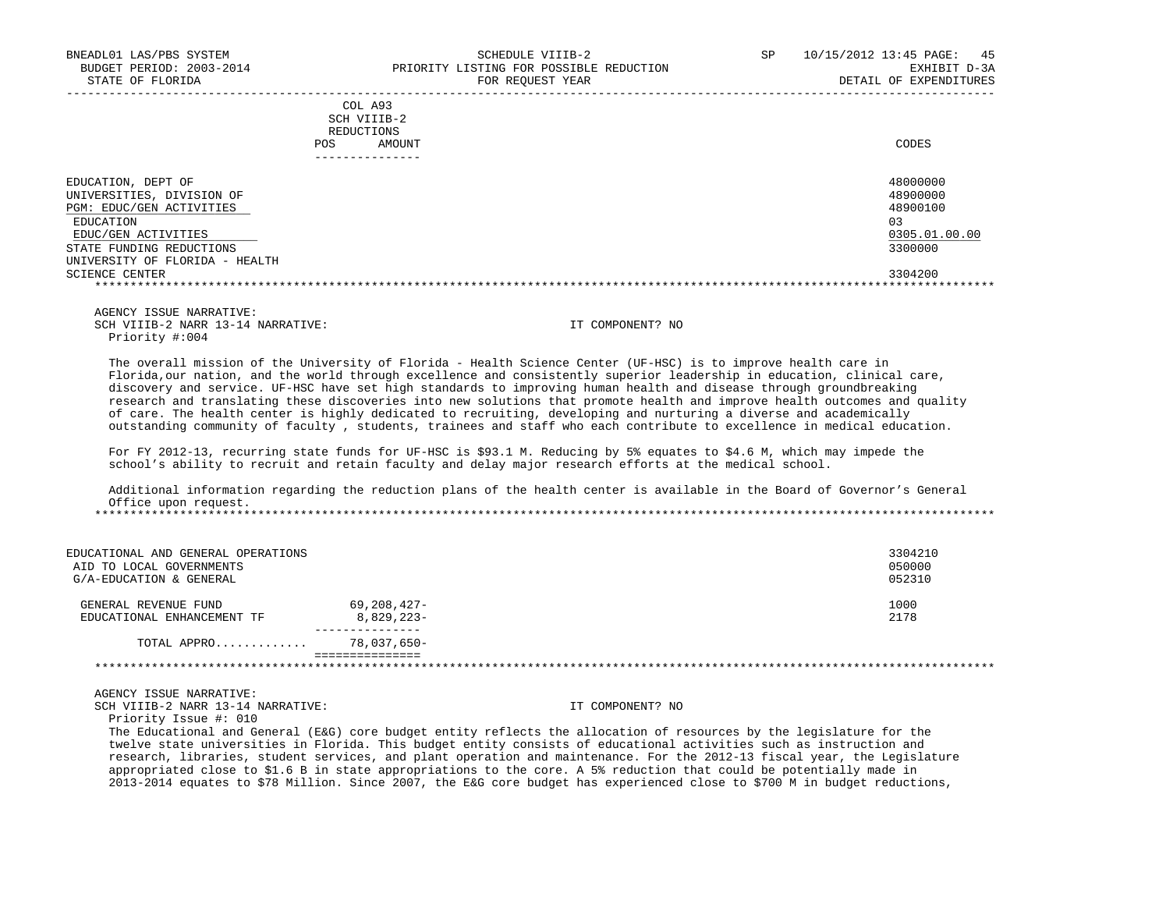|                                                                                                                                                                               | COL A93<br>SCH VIIIB-2<br>REDUCTIONS<br>AMOUNT<br>POS | CODES                                                              |
|-------------------------------------------------------------------------------------------------------------------------------------------------------------------------------|-------------------------------------------------------|--------------------------------------------------------------------|
|                                                                                                                                                                               |                                                       |                                                                    |
| EDUCATION, DEPT OF<br>UNIVERSITIES, DIVISION OF<br>PGM: EDUC/GEN ACTIVITIES<br>EDUCATION<br>EDUC/GEN ACTIVITIES<br>STATE FUNDING REDUCTIONS<br>UNIVERSITY OF FLORIDA - HEALTH |                                                       | 48000000<br>48900000<br>48900100<br>03<br>0305.01.00.00<br>3300000 |
| SCIENCE CENTER                                                                                                                                                                |                                                       | 3304200                                                            |
|                                                                                                                                                                               |                                                       |                                                                    |

 AGENCY ISSUE NARRATIVE: SCH VIIIB-2 NARR 13-14 NARRATIVE: IT COMPONENT? NO Priority #:004

 The overall mission of the University of Florida - Health Science Center (UF-HSC) is to improve health care in Florida,our nation, and the world through excellence and consistently superior leadership in education, clinical care, discovery and service. UF-HSC have set high standards to improving human health and disease through groundbreaking research and translating these discoveries into new solutions that promote health and improve health outcomes and quality of care. The health center is highly dedicated to recruiting, developing and nurturing a diverse and academically outstanding community of faculty , students, trainees and staff who each contribute to excellence in medical education.

 For FY 2012-13, recurring state funds for UF-HSC is \$93.1 M. Reducing by 5% equates to \$4.6 M, which may impede the school's ability to recruit and retain faculty and delay major research efforts at the medical school.

 Additional information regarding the reduction plans of the health center is available in the Board of Governor's General Office upon request. \*\*\*\*\*\*\*\*\*\*\*\*\*\*\*\*\*\*\*\*\*\*\*\*\*\*\*\*\*\*\*\*\*\*\*\*\*\*\*\*\*\*\*\*\*\*\*\*\*\*\*\*\*\*\*\*\*\*\*\*\*\*\*\*\*\*\*\*\*\*\*\*\*\*\*\*\*\*\*\*\*\*\*\*\*\*\*\*\*\*\*\*\*\*\*\*\*\*\*\*\*\*\*\*\*\*\*\*\*\*\*\*\*\*\*\*\*\*\*\*\*\*\*\*\*\*\*

| EDUCATIONAL AND GENERAL OPERATIONS<br>AID TO LOCAL GOVERNMENTS<br>G/A-EDUCATION & GENERAL |                           | 3304210<br>050000<br>052310 |
|-------------------------------------------------------------------------------------------|---------------------------|-----------------------------|
| GENERAL REVENUE FUND<br>EDUCATIONAL ENHANCEMENT TF                                        | 69,208,427-<br>8,829,223- | 1000<br>2178                |
| TOTAL APPRO                                                                               | 78,037,650-               |                             |
|                                                                                           |                           |                             |

AGENCY ISSUE NARRATIVE:

SCH VIIIB-2 NARR 13-14 NARRATIVE: IT COMPONENT? NO

Priority Issue #: 010

 The Educational and General (E&G) core budget entity reflects the allocation of resources by the legislature for the twelve state universities in Florida. This budget entity consists of educational activities such as instruction and research, libraries, student services, and plant operation and maintenance. For the 2012-13 fiscal year, the Legislature appropriated close to \$1.6 B in state appropriations to the core. A 5% reduction that could be potentially made in 2013-2014 equates to \$78 Million. Since 2007, the E&G core budget has experienced close to \$700 M in budget reductions,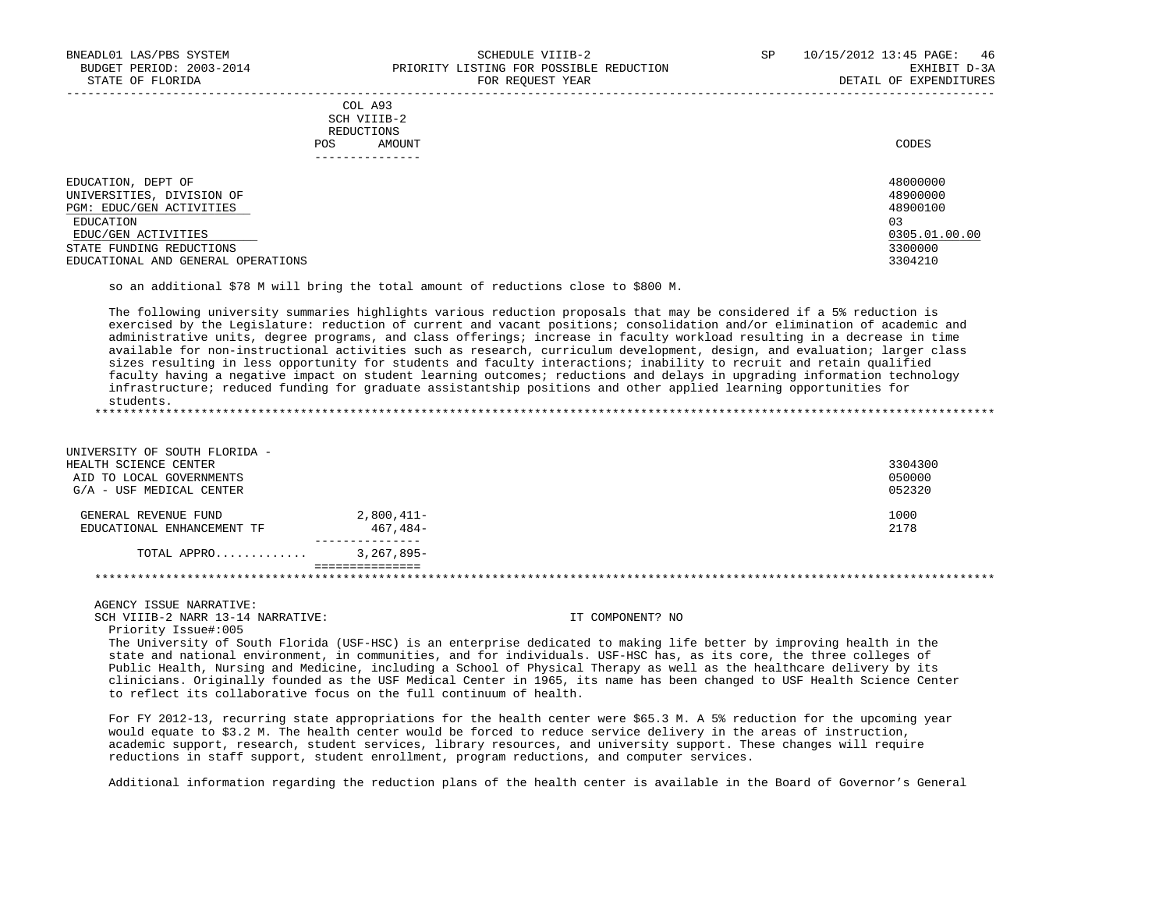| COL A93<br>SCH VIIIB-2<br>REDUCTIONS<br>AMOUNT<br><b>POS</b>                             | CODES                                  |
|------------------------------------------------------------------------------------------|----------------------------------------|
| EDUCATION, DEPT OF<br>UNIVERSITIES, DIVISION OF<br>PGM: EDUC/GEN ACTIVITIES<br>EDUCATION | 48000000<br>48900000<br>48900100<br>03 |
| EDUC/GEN ACTIVITIES<br>STATE FUNDING REDUCTIONS                                          | 0305.01.00.00<br>3300000               |
| EDUCATIONAL AND GENERAL OPERATIONS                                                       | 3304210                                |

so an additional \$78 M will bring the total amount of reductions close to \$800 M.

 The following university summaries highlights various reduction proposals that may be considered if a 5% reduction is exercised by the Legislature: reduction of current and vacant positions; consolidation and/or elimination of academic and administrative units, degree programs, and class offerings; increase in faculty workload resulting in a decrease in time available for non-instructional activities such as research, curriculum development, design, and evaluation; larger class sizes resulting in less opportunity for students and faculty interactions; inability to recruit and retain qualified faculty having a negative impact on student learning outcomes; reductions and delays in upgrading information technology infrastructure; reduced funding for graduate assistantship positions and other applied learning opportunities for students. \*\*\*\*\*\*\*\*\*\*\*\*\*\*\*\*\*\*\*\*\*\*\*\*\*\*\*\*\*\*\*\*\*\*\*\*\*\*\*\*\*\*\*\*\*\*\*\*\*\*\*\*\*\*\*\*\*\*\*\*\*\*\*\*\*\*\*\*\*\*\*\*\*\*\*\*\*\*\*\*\*\*\*\*\*\*\*\*\*\*\*\*\*\*\*\*\*\*\*\*\*\*\*\*\*\*\*\*\*\*\*\*\*\*\*\*\*\*\*\*\*\*\*\*\*\*\*

 UNIVERSITY OF SOUTH FLORIDA - HEALTH SCIENCE CENTER 3304300 AID TO LOCAL GOVERNMENTS 650000 (1999) AND TO LOCAL GOVERNMENTS 650000 (1999) AND TO LOCAL GOVERNMENTS AND RESERVED ASSESSED FOR A SECOND USE OF A SECOND USE OF A SECOND USE OF A SECOND USE OF A SECOND USE OF A SECOND USE  $G/A$  - USF MEDICAL CENTER GENERAL REVENUE FUND 2,800,411-<br>EDUCATIONAL ENHANCEMENT TF 467.484-<br>2178 EDUCATIONAL ENHANCEMENT TF ----------------<br>-3.267.895. TOTAL APPRO............. =============== \*\*\*\*\*\*\*\*\*\*\*\*\*\*\*\*\*\*\*\*\*\*\*\*\*\*\*\*\*\*\*\*\*\*\*\*\*\*\*\*\*\*\*\*\*\*\*\*\*\*\*\*\*\*\*\*\*\*\*\*\*\*\*\*\*\*\*\*\*\*\*\*\*\*\*\*\*\*\*\*\*\*\*\*\*\*\*\*\*\*\*\*\*\*\*\*\*\*\*\*\*\*\*\*\*\*\*\*\*\*\*\*\*\*\*\*\*\*\*\*\*\*\*\*\*\*\*

 AGENCY ISSUE NARRATIVE: SCH VIIIB-2 NARR 13-14 NARRATIVE: IT COMPONENT? NO

Priority Issue#:005

 The University of South Florida (USF-HSC) is an enterprise dedicated to making life better by improving health in the state and national environment, in communities, and for individuals. USF-HSC has, as its core, the three colleges of Public Health, Nursing and Medicine, including a School of Physical Therapy as well as the healthcare delivery by its clinicians. Originally founded as the USF Medical Center in 1965, its name has been changed to USF Health Science Center to reflect its collaborative focus on the full continuum of health.

 For FY 2012-13, recurring state appropriations for the health center were \$65.3 M. A 5% reduction for the upcoming year would equate to \$3.2 M. The health center would be forced to reduce service delivery in the areas of instruction, academic support, research, student services, library resources, and university support. These changes will require reductions in staff support, student enrollment, program reductions, and computer services.

Additional information regarding the reduction plans of the health center is available in the Board of Governor's General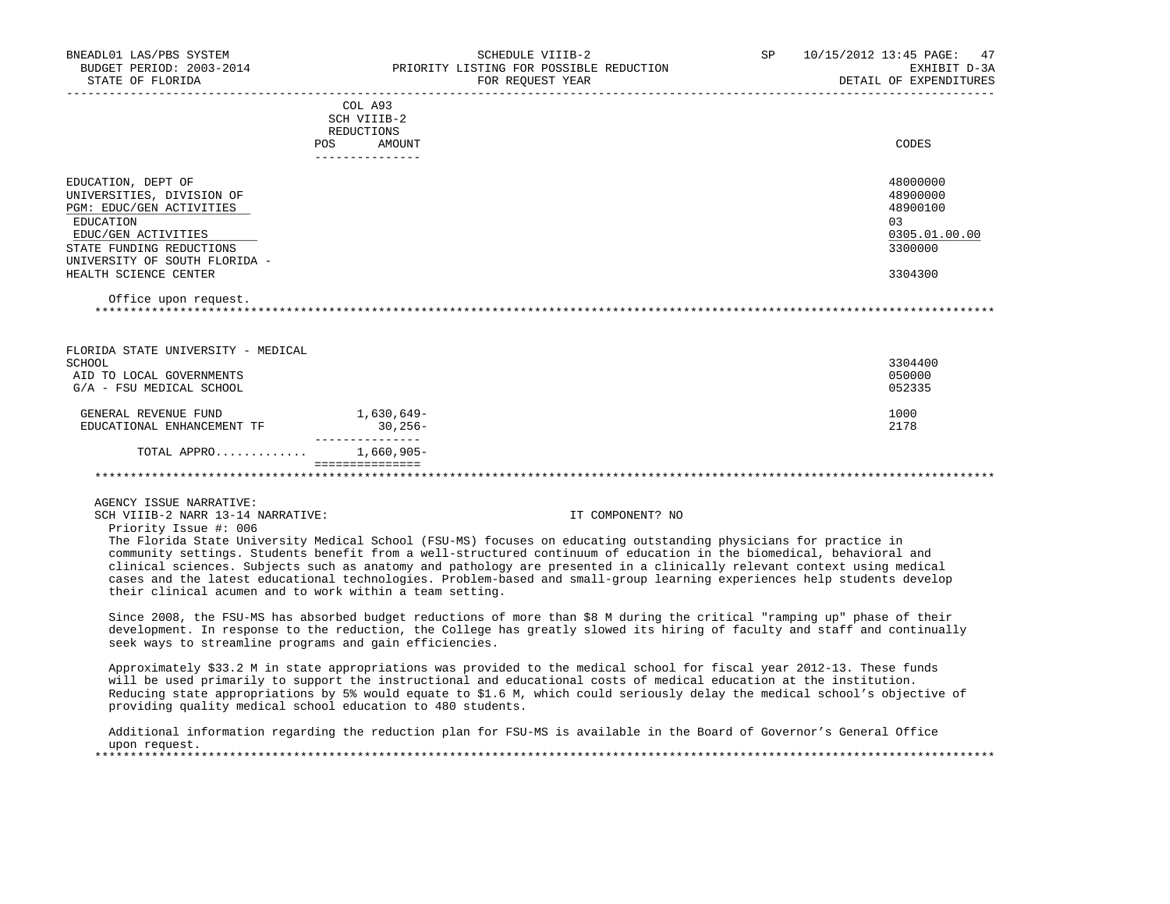| BNEADL01 LAS/PBS SYSTEM<br>BUDGET PERIOD: 2003-2014<br>STATE OF FLORIDA                                                                                                                                                       | SCHEDULE VIIIB-2<br>PRIORITY LISTING FOR POSSIBLE REDUCTION<br>FOR REOUEST YEAR | SP<br>10/15/2012 13:45 PAGE:<br>47<br>EXHIBIT D-3A<br>DETAIL OF EXPENDITURES   |
|-------------------------------------------------------------------------------------------------------------------------------------------------------------------------------------------------------------------------------|---------------------------------------------------------------------------------|--------------------------------------------------------------------------------|
| POS                                                                                                                                                                                                                           | COL A93<br>SCH VIIIB-2<br>REDUCTIONS<br>AMOUNT                                  | CODES                                                                          |
|                                                                                                                                                                                                                               |                                                                                 |                                                                                |
| EDUCATION, DEPT OF<br>UNIVERSITIES, DIVISION OF<br>PGM: EDUC/GEN ACTIVITIES<br>EDUCATION<br>EDUC/GEN ACTIVITIES<br>STATE FUNDING REDUCTIONS<br>UNIVERSITY OF SOUTH FLORIDA -<br>HEALTH SCIENCE CENTER<br>Office upon request. |                                                                                 | 48000000<br>48900000<br>48900100<br>0.3<br>0305.01.00.00<br>3300000<br>3304300 |
|                                                                                                                                                                                                                               |                                                                                 |                                                                                |
| FLORIDA STATE UNIVERSITY - MEDICAL<br>SCHOOL<br>AID TO LOCAL GOVERNMENTS<br>G/A - FSU MEDICAL SCHOOL                                                                                                                          |                                                                                 | 3304400<br>050000<br>052335                                                    |
| GENERAL REVENUE FUND<br>EDUCATIONAL ENHANCEMENT TF                                                                                                                                                                            | 1,630,649–<br>$30,256-$                                                         | 1000<br>2178                                                                   |
| TOTAL APPRO                                                                                                                                                                                                                   | 1,660,905-                                                                      |                                                                                |
|                                                                                                                                                                                                                               |                                                                                 |                                                                                |

AGENCY ISSUE NARRATIVE:

SCH VIIIB-2 NARR 13-14 NARRATIVE: IT COMPONENT? NO

Priority Issue #: 006

 The Florida State University Medical School (FSU-MS) focuses on educating outstanding physicians for practice in community settings. Students benefit from a well-structured continuum of education in the biomedical, behavioral and clinical sciences. Subjects such as anatomy and pathology are presented in a clinically relevant context using medical cases and the latest educational technologies. Problem-based and small-group learning experiences help students develop their clinical acumen and to work within a team setting.

 Since 2008, the FSU-MS has absorbed budget reductions of more than \$8 M during the critical "ramping up" phase of their development. In response to the reduction, the College has greatly slowed its hiring of faculty and staff and continually seek ways to streamline programs and gain efficiencies.

 Approximately \$33.2 M in state appropriations was provided to the medical school for fiscal year 2012-13. These funds will be used primarily to support the instructional and educational costs of medical education at the institution. Reducing state appropriations by 5% would equate to \$1.6 M, which could seriously delay the medical school's objective of providing quality medical school education to 480 students.

 Additional information regarding the reduction plan for FSU-MS is available in the Board of Governor's General Office upon request.<br>\*\*\*\*\*\*\*\*\*\*\*\*\*\*\*\*\*\*\* \*\*\*\*\*\*\*\*\*\*\*\*\*\*\*\*\*\*\*\*\*\*\*\*\*\*\*\*\*\*\*\*\*\*\*\*\*\*\*\*\*\*\*\*\*\*\*\*\*\*\*\*\*\*\*\*\*\*\*\*\*\*\*\*\*\*\*\*\*\*\*\*\*\*\*\*\*\*\*\*\*\*\*\*\*\*\*\*\*\*\*\*\*\*\*\*\*\*\*\*\*\*\*\*\*\*\*\*\*\*\*\*\*\*\*\*\*\*\*\*\*\*\*\*\*\*\*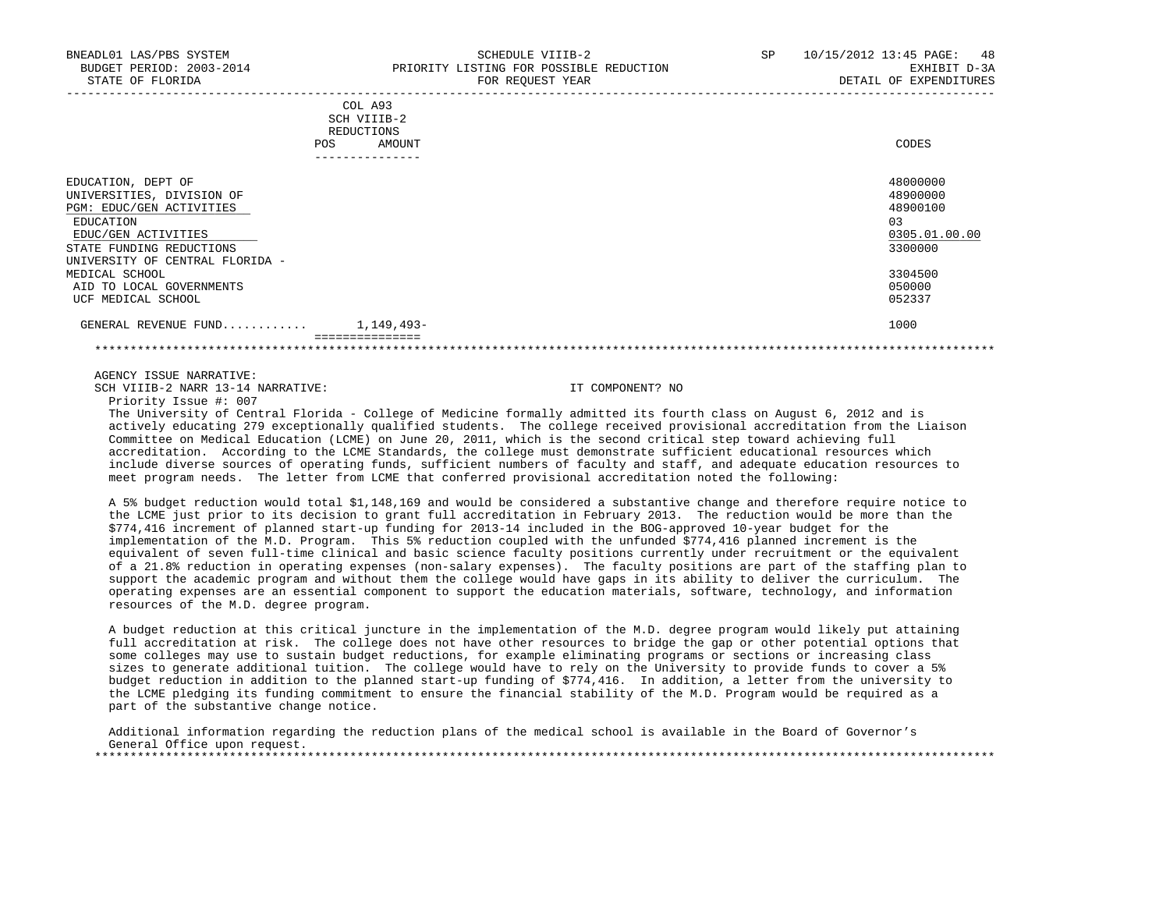| STATE OF FLORIDA                                                                                                                                                               |                                                                    | FOR REQUEST YEAR | DETAIL OF EXPENDITURES                                             |
|--------------------------------------------------------------------------------------------------------------------------------------------------------------------------------|--------------------------------------------------------------------|------------------|--------------------------------------------------------------------|
| POS                                                                                                                                                                            | COL A93<br>SCH VIIIB-2<br>REDUCTIONS<br>AMOUNT<br>---------------- |                  | CODES                                                              |
| EDUCATION, DEPT OF<br>UNIVERSITIES, DIVISION OF<br>PGM: EDUC/GEN ACTIVITIES<br>EDUCATION<br>EDUC/GEN ACTIVITIES<br>STATE FUNDING REDUCTIONS<br>UNIVERSITY OF CENTRAL FLORIDA - |                                                                    |                  | 48000000<br>48900000<br>48900100<br>03<br>0305.01.00.00<br>3300000 |
| MEDICAL SCHOOL<br>AID TO LOCAL GOVERNMENTS<br>UCF MEDICAL SCHOOL                                                                                                               |                                                                    |                  | 3304500<br>050000<br>052337                                        |
| GENERAL REVENUE FUND $1,149,493-$                                                                                                                                              | ===============                                                    |                  | 1000                                                               |

\*\*\*\*\*\*\*\*\*\*\*\*\*\*\*\*\*\*\*\*\*\*\*\*\*\*\*\*\*\*\*\*\*\*\*\*\*\*\*\*\*\*\*\*\*\*\*\*\*\*\*\*\*\*\*\*\*\*\*\*\*\*\*\*\*\*\*\*\*\*\*\*\*\*\*\*\*\*\*\*\*\*\*\*\*\*\*\*\*\*\*\*\*\*\*\*\*\*\*\*\*\*\*\*\*\*\*\*\*\*\*\*\*\*\*\*\*\*\*\*\*\*\*\*\*\*\*

#### AGENCY ISSUE NARRATIVE:

SCH VIIIB-2 NARR 13-14 NARRATIVE: IT COMPONENT? NO

Priority Issue #: 007

 The University of Central Florida - College of Medicine formally admitted its fourth class on August 6, 2012 and is actively educating 279 exceptionally qualified students. The college received provisional accreditation from the Liaison Committee on Medical Education (LCME) on June 20, 2011, which is the second critical step toward achieving full accreditation. According to the LCME Standards, the college must demonstrate sufficient educational resources which include diverse sources of operating funds, sufficient numbers of faculty and staff, and adequate education resources to meet program needs. The letter from LCME that conferred provisional accreditation noted the following:

 A 5% budget reduction would total \$1,148,169 and would be considered a substantive change and therefore require notice to the LCME just prior to its decision to grant full accreditation in February 2013. The reduction would be more than the \$774,416 increment of planned start-up funding for 2013-14 included in the BOG-approved 10-year budget for the implementation of the M.D. Program. This 5% reduction coupled with the unfunded \$774,416 planned increment is the equivalent of seven full-time clinical and basic science faculty positions currently under recruitment or the equivalent of a 21.8% reduction in operating expenses (non-salary expenses). The faculty positions are part of the staffing plan to support the academic program and without them the college would have gaps in its ability to deliver the curriculum. The operating expenses are an essential component to support the education materials, software, technology, and information resources of the M.D. degree program.

 A budget reduction at this critical juncture in the implementation of the M.D. degree program would likely put attaining full accreditation at risk. The college does not have other resources to bridge the gap or other potential options that some colleges may use to sustain budget reductions, for example eliminating programs or sections or increasing class sizes to generate additional tuition. The college would have to rely on the University to provide funds to cover a 5% budget reduction in addition to the planned start-up funding of \$774,416. In addition, a letter from the university to the LCME pledging its funding commitment to ensure the financial stability of the M.D. Program would be required as a part of the substantive change notice.

 Additional information regarding the reduction plans of the medical school is available in the Board of Governor's General Office upon request. \*\*\*\*\*\*\*\*\*\*\*\*\*\*\*\*\*\*\*\*\*\*\*\*\*\*\*\*\*\*\*\*\*\*\*\*\*\*\*\*\*\*\*\*\*\*\*\*\*\*\*\*\*\*\*\*\*\*\*\*\*\*\*\*\*\*\*\*\*\*\*\*\*\*\*\*\*\*\*\*\*\*\*\*\*\*\*\*\*\*\*\*\*\*\*\*\*\*\*\*\*\*\*\*\*\*\*\*\*\*\*\*\*\*\*\*\*\*\*\*\*\*\*\*\*\*\*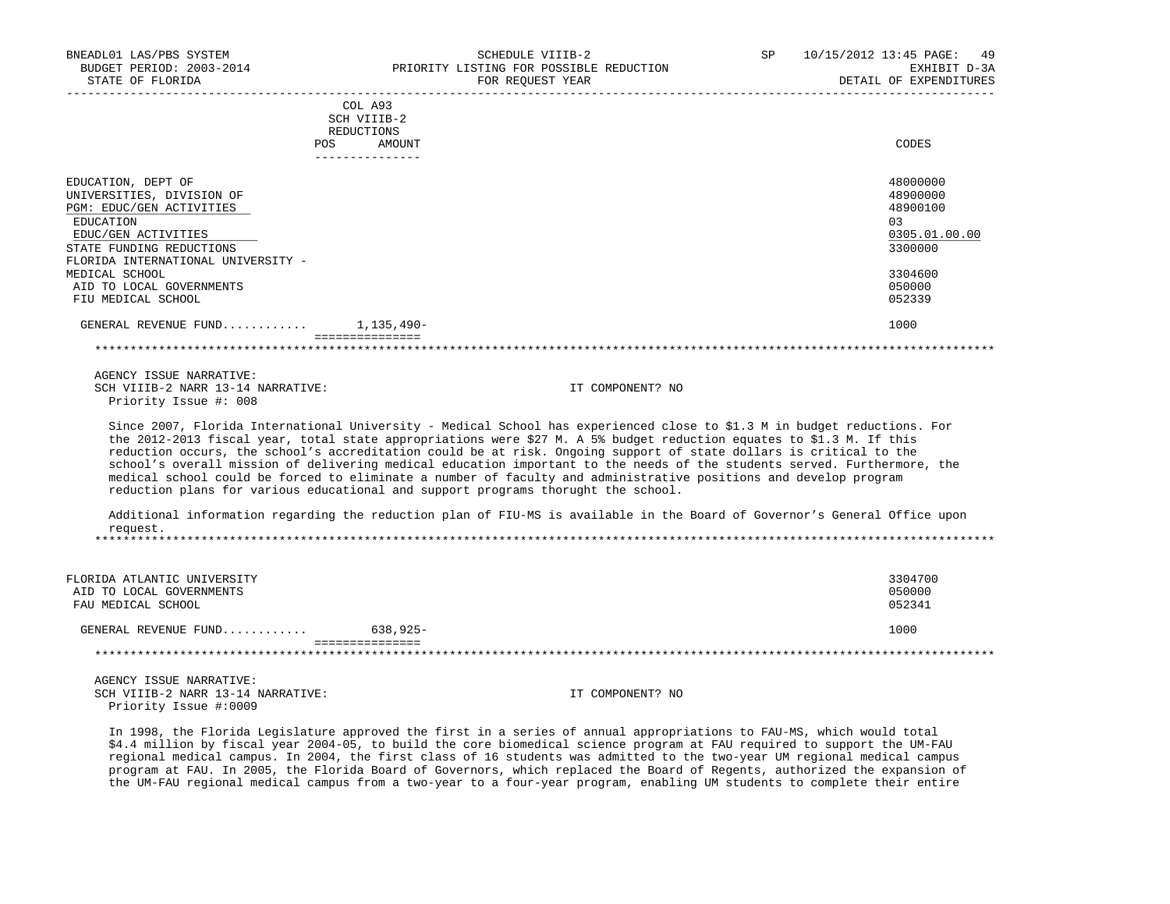| BNEADL01 LAS/PBS SYSTEM<br>BUDGET PERIOD: 2003-2014<br>STATE OF FLORIDA           |                           | SCHEDULE VIIIB-2<br>PRIORITY LISTING FOR POSSIBLE REDUCTION<br>FOR REQUEST YEAR                                                                                                                                                                                                                                                                                                                                                                                                                    | SP. | 10/15/2012 13:45 PAGE:<br>49<br>EXHIBIT D-3A<br>DETAIL OF EXPENDITURES |
|-----------------------------------------------------------------------------------|---------------------------|----------------------------------------------------------------------------------------------------------------------------------------------------------------------------------------------------------------------------------------------------------------------------------------------------------------------------------------------------------------------------------------------------------------------------------------------------------------------------------------------------|-----|------------------------------------------------------------------------|
|                                                                                   | COL A93                   |                                                                                                                                                                                                                                                                                                                                                                                                                                                                                                    |     |                                                                        |
|                                                                                   | SCH VIIIB-2               |                                                                                                                                                                                                                                                                                                                                                                                                                                                                                                    |     |                                                                        |
|                                                                                   | REDUCTIONS<br>POS         |                                                                                                                                                                                                                                                                                                                                                                                                                                                                                                    |     | CODES                                                                  |
|                                                                                   | AMOUNT<br>--------------- |                                                                                                                                                                                                                                                                                                                                                                                                                                                                                                    |     |                                                                        |
| EDUCATION, DEPT OF                                                                |                           |                                                                                                                                                                                                                                                                                                                                                                                                                                                                                                    |     | 48000000                                                               |
| UNIVERSITIES, DIVISION OF                                                         |                           |                                                                                                                                                                                                                                                                                                                                                                                                                                                                                                    |     | 48900000                                                               |
| PGM: EDUC/GEN ACTIVITIES                                                          |                           |                                                                                                                                                                                                                                                                                                                                                                                                                                                                                                    |     | 48900100                                                               |
| EDUCATION                                                                         |                           |                                                                                                                                                                                                                                                                                                                                                                                                                                                                                                    |     | 03                                                                     |
| EDUC/GEN ACTIVITIES                                                               |                           |                                                                                                                                                                                                                                                                                                                                                                                                                                                                                                    |     | 0305.01.00.00                                                          |
| STATE FUNDING REDUCTIONS                                                          |                           |                                                                                                                                                                                                                                                                                                                                                                                                                                                                                                    |     | 3300000                                                                |
| FLORIDA INTERNATIONAL UNIVERSITY -                                                |                           |                                                                                                                                                                                                                                                                                                                                                                                                                                                                                                    |     |                                                                        |
| MEDICAL SCHOOL                                                                    |                           |                                                                                                                                                                                                                                                                                                                                                                                                                                                                                                    |     | 3304600                                                                |
| AID TO LOCAL GOVERNMENTS<br>FIU MEDICAL SCHOOL                                    |                           |                                                                                                                                                                                                                                                                                                                                                                                                                                                                                                    |     | 050000<br>052339                                                       |
|                                                                                   |                           |                                                                                                                                                                                                                                                                                                                                                                                                                                                                                                    |     |                                                                        |
| GENERAL REVENUE FUND $1.135.490 -$                                                | ===============           |                                                                                                                                                                                                                                                                                                                                                                                                                                                                                                    |     | 1000                                                                   |
|                                                                                   |                           |                                                                                                                                                                                                                                                                                                                                                                                                                                                                                                    |     |                                                                        |
| AGENCY ISSUE NARRATIVE:                                                           |                           |                                                                                                                                                                                                                                                                                                                                                                                                                                                                                                    |     |                                                                        |
| SCH VIIIB-2 NARR 13-14 NARRATIVE:                                                 |                           | IT COMPONENT? NO                                                                                                                                                                                                                                                                                                                                                                                                                                                                                   |     |                                                                        |
| Priority Issue #: 008                                                             |                           |                                                                                                                                                                                                                                                                                                                                                                                                                                                                                                    |     |                                                                        |
|                                                                                   |                           |                                                                                                                                                                                                                                                                                                                                                                                                                                                                                                    |     |                                                                        |
|                                                                                   |                           | Since 2007, Florida International University - Medical School has experienced close to \$1.3 M in budget reductions. For<br>the 2012-2013 fiscal year, total state appropriations were \$27 M. A 5% budget reduction equates to \$1.3 M. If this<br>reduction occurs, the school's accreditation could be at risk. Ongoing support of state dollars is critical to the<br>school's overall mission of delivering medical education important to the needs of the students served. Furthermore, the |     |                                                                        |
| reduction plans for various educational and support programs thorught the school. |                           | medical school could be forced to eliminate a number of faculty and administrative positions and develop program                                                                                                                                                                                                                                                                                                                                                                                   |     |                                                                        |
| request.                                                                          |                           | Additional information regarding the reduction plan of FIU-MS is available in the Board of Governor's General Office upon                                                                                                                                                                                                                                                                                                                                                                          |     |                                                                        |
|                                                                                   |                           |                                                                                                                                                                                                                                                                                                                                                                                                                                                                                                    |     |                                                                        |
|                                                                                   |                           |                                                                                                                                                                                                                                                                                                                                                                                                                                                                                                    |     |                                                                        |
| FLORIDA ATLANTIC UNIVERSITY                                                       |                           |                                                                                                                                                                                                                                                                                                                                                                                                                                                                                                    |     | 3304700                                                                |
| AID TO LOCAL GOVERNMENTS                                                          |                           |                                                                                                                                                                                                                                                                                                                                                                                                                                                                                                    |     | 050000                                                                 |
| FAU MEDICAL SCHOOL                                                                |                           |                                                                                                                                                                                                                                                                                                                                                                                                                                                                                                    |     | 052341                                                                 |
| GENERAL REVENUE FUND                                                              | 638,925-                  |                                                                                                                                                                                                                                                                                                                                                                                                                                                                                                    |     | 1000                                                                   |
| ***********************************                                               | ===============           |                                                                                                                                                                                                                                                                                                                                                                                                                                                                                                    |     |                                                                        |
|                                                                                   |                           |                                                                                                                                                                                                                                                                                                                                                                                                                                                                                                    |     |                                                                        |

 AGENCY ISSUE NARRATIVE: SCH VIIIB-2 NARR 13-14 NARRATIVE: IT COMPONENT? NO Priority Issue #:0009

 In 1998, the Florida Legislature approved the first in a series of annual appropriations to FAU-MS, which would total \$4.4 million by fiscal year 2004-05, to build the core biomedical science program at FAU required to support the UM-FAU regional medical campus. In 2004, the first class of 16 students was admitted to the two-year UM regional medical campus program at FAU. In 2005, the Florida Board of Governors, which replaced the Board of Regents, authorized the expansion of the UM-FAU regional medical campus from a two-year to a four-year program, enabling UM students to complete their entire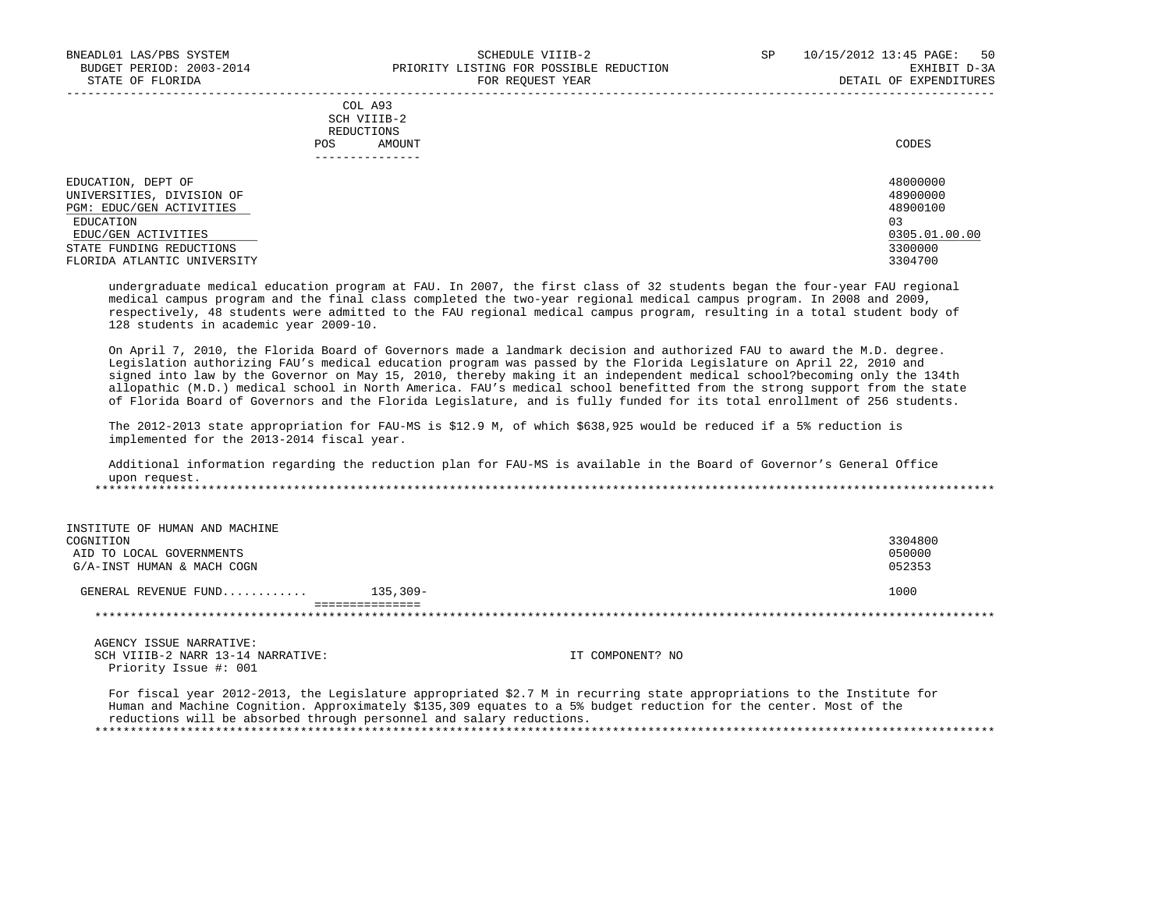-----------------------------------------------------------------------------------------------------------------------------------

|            | _______________ |       |
|------------|-----------------|-------|
| POS        | AMOUNT          | CODES |
| REDUCTIONS |                 |       |
|            | SCH VIIIB-2     |       |
|            | COL A93         |       |

| EDUCATION, DEPT OF          | 48000000      |
|-----------------------------|---------------|
| UNIVERSITIES, DIVISION OF   | 48900000      |
| PGM: EDUC/GEN ACTIVITIES    | 48900100      |
| EDUCATION                   | 03            |
| EDUC/GEN ACTIVITIES         | 0305.01.00.00 |
| STATE FUNDING REDUCTIONS    | 3300000       |
| FLORIDA ATLANTIC UNIVERSITY | 3304700       |

 undergraduate medical education program at FAU. In 2007, the first class of 32 students began the four-year FAU regional medical campus program and the final class completed the two-year regional medical campus program. In 2008 and 2009, respectively, 48 students were admitted to the FAU regional medical campus program, resulting in a total student body of 128 students in academic year 2009-10.

 On April 7, 2010, the Florida Board of Governors made a landmark decision and authorized FAU to award the M.D. degree. Legislation authorizing FAU's medical education program was passed by the Florida Legislature on April 22, 2010 and signed into law by the Governor on May 15, 2010, thereby making it an independent medical school?becoming only the 134th allopathic (M.D.) medical school in North America. FAU's medical school benefitted from the strong support from the state of Florida Board of Governors and the Florida Legislature, and is fully funded for its total enrollment of 256 students.

 The 2012-2013 state appropriation for FAU-MS is \$12.9 M, of which \$638,925 would be reduced if a 5% reduction is implemented for the 2013-2014 fiscal year.

 Additional information regarding the reduction plan for FAU-MS is available in the Board of Governor's General Office upon request. \*\*\*\*\*\*\*\*\*\*\*\*\*\*\*\*\*\*\*\*\*\*\*\*\*\*\*\*\*\*\*\*\*\*\*\*\*\*\*\*\*\*\*\*\*\*\*\*\*\*\*\*\*\*\*\*\*\*\*\*\*\*\*\*\*\*\*\*\*\*\*\*\*\*\*\*\*\*\*\*\*\*\*\*\*\*\*\*\*\*\*\*\*\*\*\*\*\*\*\*\*\*\*\*\*\*\*\*\*\*\*\*\*\*\*\*\*\*\*\*\*\*\*\*\*\*\*

| INSTITUTE OF HUMAN AND MACHINE |            |         |
|--------------------------------|------------|---------|
| COGNITION                      |            | 3304800 |
| AID TO LOCAL GOVERNMENTS       |            | 050000  |
| G/A-INST HUMAN & MACH COGN     |            | 052353  |
| GENERAL REVENUE FUND           | $135,309-$ | 1000    |
|                                |            |         |
|                                |            |         |
|                                |            |         |

AGENCY ISSUE NARRATIVE:<br>SCH VIIIB-2 NARR 13-14 NARRATIVE: Priority Issue #: 001

IT COMPONENT? NO

 For fiscal year 2012-2013, the Legislature appropriated \$2.7 M in recurring state appropriations to the Institute for Human and Machine Cognition. Approximately \$135,309 equates to a 5% budget reduction for the center. Most of the reductions will be absorbed through personnel and salary reductions. \*\*\*\*\*\*\*\*\*\*\*\*\*\*\*\*\*\*\*\*\*\*\*\*\*\*\*\*\*\*\*\*\*\*\*\*\*\*\*\*\*\*\*\*\*\*\*\*\*\*\*\*\*\*\*\*\*\*\*\*\*\*\*\*\*\*\*\*\*\*\*\*\*\*\*\*\*\*\*\*\*\*\*\*\*\*\*\*\*\*\*\*\*\*\*\*\*\*\*\*\*\*\*\*\*\*\*\*\*\*\*\*\*\*\*\*\*\*\*\*\*\*\*\*\*\*\*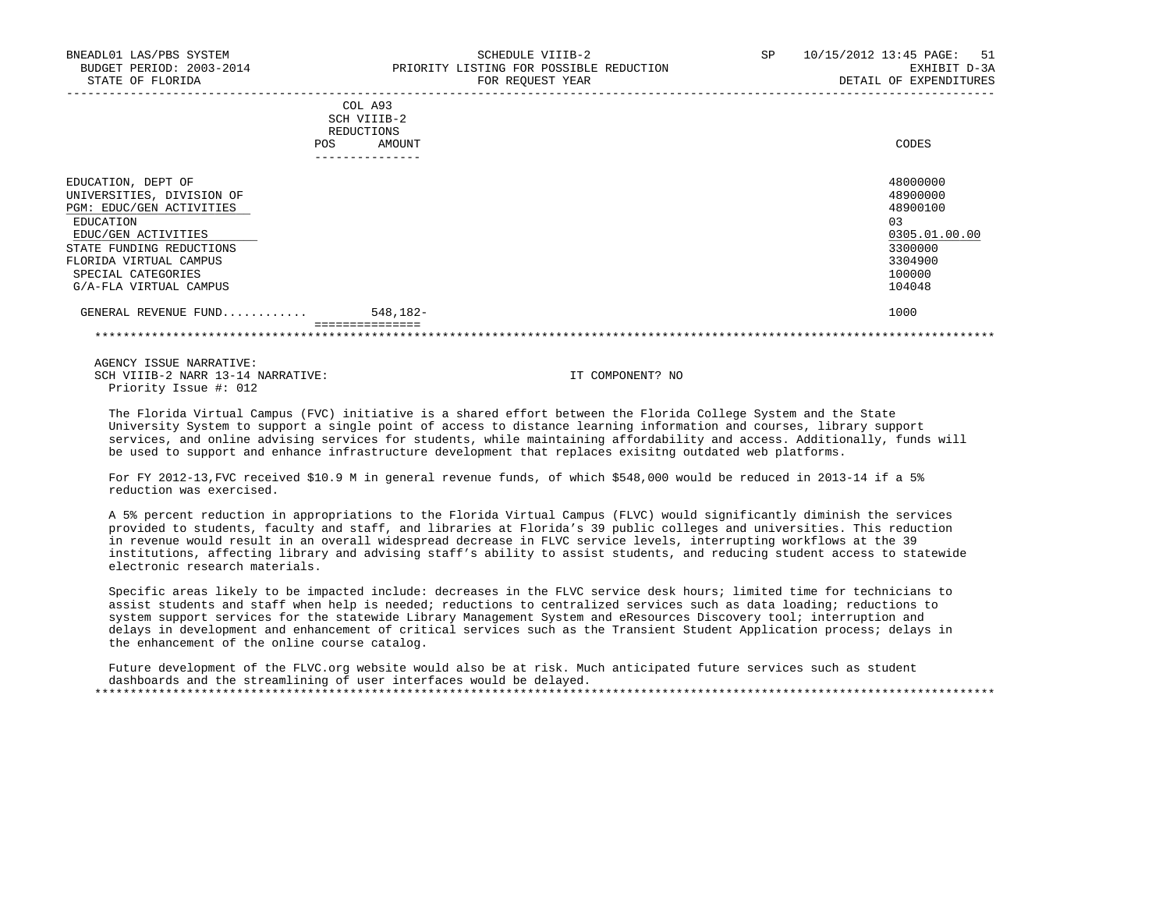| BNEADL01 LAS/PBS SYSTEM<br>BUDGET PERIOD: 2003-2014<br>STATE OF FLORIDA                                                                                               | SCHEDULE VIIIB-2<br>PRIORITY LISTING FOR POSSIBLE REDUCTION<br>FOR REOUEST YEAR | 10/15/2012 13:45 PAGE: 51<br>SP<br>EXHIBIT D-3A<br>DETAIL OF EXPENDITURES      |
|-----------------------------------------------------------------------------------------------------------------------------------------------------------------------|---------------------------------------------------------------------------------|--------------------------------------------------------------------------------|
|                                                                                                                                                                       | COL A93<br>SCH VIIIB-2<br>REDUCTIONS<br>AMOUNT<br>POS                           | CODES                                                                          |
| EDUCATION, DEPT OF<br>UNIVERSITIES, DIVISION OF<br>PGM: EDUC/GEN ACTIVITIES<br>EDUCATION<br>EDUC/GEN ACTIVITIES<br>STATE FUNDING REDUCTIONS<br>FLORIDA VIRTUAL CAMPUS |                                                                                 | 48000000<br>48900000<br>48900100<br>0.3<br>0305.01.00.00<br>3300000<br>3304900 |

SPECIAL CATEGORIES 100000 POSTAGORIES 100000 POSTAGORIES 100000 POSTAGORIES 100000 POSTAGORIES 100000 POSTAGORIES<br>G/A-FLA VIRTUAL CAMPUS G/A-FLA VIRTUAL CAMPUS

 GENERAL REVENUE FUND............ 548,182- 1000 ===============

\*\*\*\*\*\*\*\*\*\*\*\*\*\*\*\*\*\*\*\*\*\*\*\*\*\*\*\*\*\*\*\*\*\*\*\*\*\*\*\*\*\*\*\*\*\*\*\*\*\*\*\*\*\*\*\*\*\*\*\*\*\*\*\*\*\*\*\*\*\*\*\*\*\*\*\*\*\*\*\*\*\*\*\*\*\*\*\*\*\*\*\*\*\*\*\*\*\*\*\*\*\*\*\*\*\*\*\*\*\*\*\*\*\*\*\*\*\*\*\*\*\*\*\*\*\*\*

 AGENCY ISSUE NARRATIVE: SCH VIIIB-2 NARR 13-14 NARRATIVE: IT COMPONENT? NO Priority Issue #: 012

 The Florida Virtual Campus (FVC) initiative is a shared effort between the Florida College System and the State University System to support a single point of access to distance learning information and courses, library support services, and online advising services for students, while maintaining affordability and access. Additionally, funds will be used to support and enhance infrastructure development that replaces exisitng outdated web platforms.

 For FY 2012-13,FVC received \$10.9 M in general revenue funds, of which \$548,000 would be reduced in 2013-14 if a 5% reduction was exercised.

 A 5% percent reduction in appropriations to the Florida Virtual Campus (FLVC) would significantly diminish the services provided to students, faculty and staff, and libraries at Florida's 39 public colleges and universities. This reduction in revenue would result in an overall widespread decrease in FLVC service levels, interrupting workflows at the 39 institutions, affecting library and advising staff's ability to assist students, and reducing student access to statewide electronic research materials.

 Specific areas likely to be impacted include: decreases in the FLVC service desk hours; limited time for technicians to assist students and staff when help is needed; reductions to centralized services such as data loading; reductions to system support services for the statewide Library Management System and eResources Discovery tool; interruption and delays in development and enhancement of critical services such as the Transient Student Application process; delays in the enhancement of the online course catalog.

Future development of the FLVC.org website would also be at risk. Much anticipated future services such as student dashboards and the streamlining of user interfaces would be delayed. \*\*\*\*\*\*\*\*\*\*\*\*\*\*\*\*\*\*\*\*\*\*\*\*\*\*\*\*\*\*\*\*\*\*\*\*\*\*\*\*\*\*\*\*\*\*\*\*\*\*\*\*\*\*\*\*\*\*\*\*\*\*\*\*\*\*\*\*\*\*\*\*\*\*\*\*\*\*\*\*\*\*\*\*\*\*\*\*\*\*\*\*\*\*\*\*\*\*\*\*\*\*\*\*\*\*\*\*\*\*\*\*\*\*\*\*\*\*\*\*\*\*\*\*\*\*\*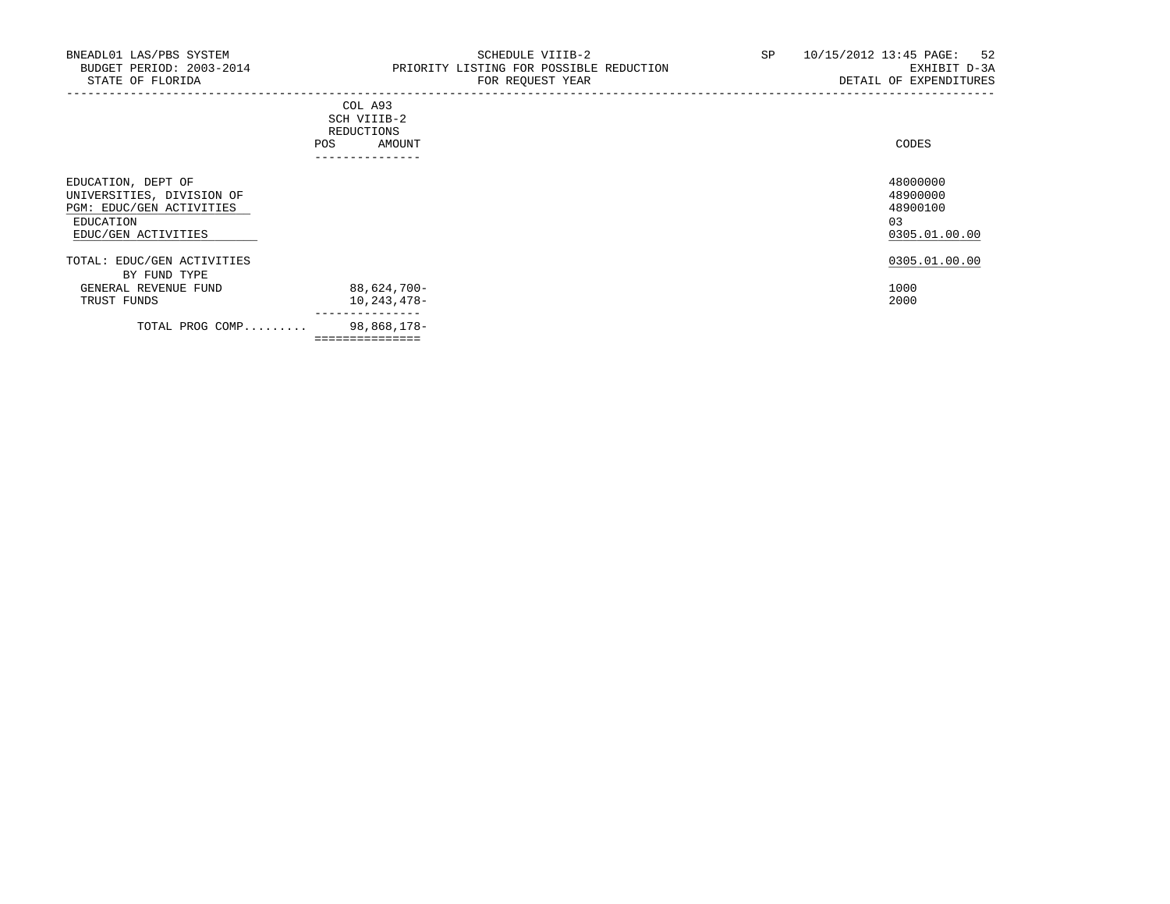-----------------------------------------------------------------------------------------------------------------------------------

|                    | COL A93<br>SCH VIIIB-2<br>REDUCTIONS |        |
|--------------------|--------------------------------------|--------|
|                    | AMOUNT<br>POS                        | CODES  |
| EDUCATION, DEPT OF | --------------                       | 480000 |

|                                      | ---------------- |                     |
|--------------------------------------|------------------|---------------------|
| TOTAL PROG COMP                      | 98,868,178-      |                     |
| TRUST FUNDS                          | $10, 243, 478 -$ | 2000                |
| BY FUND TYPE<br>GENERAL REVENUE FUND | 88,624,700-      | 1000                |
| TOTAL: EDUC/GEN ACTIVITIES           |                  | 0305.01.00.00       |
| EDUCATION<br>EDUC/GEN ACTIVITIES     |                  | 03<br>0305.01.00.00 |
| PGM: EDUC/GEN ACTIVITIES             |                  | 48900100            |
| UNIVERSITIES, DIVISION OF            |                  | 48900000            |
| EDUCATION, DEPT OF                   |                  | 48000000            |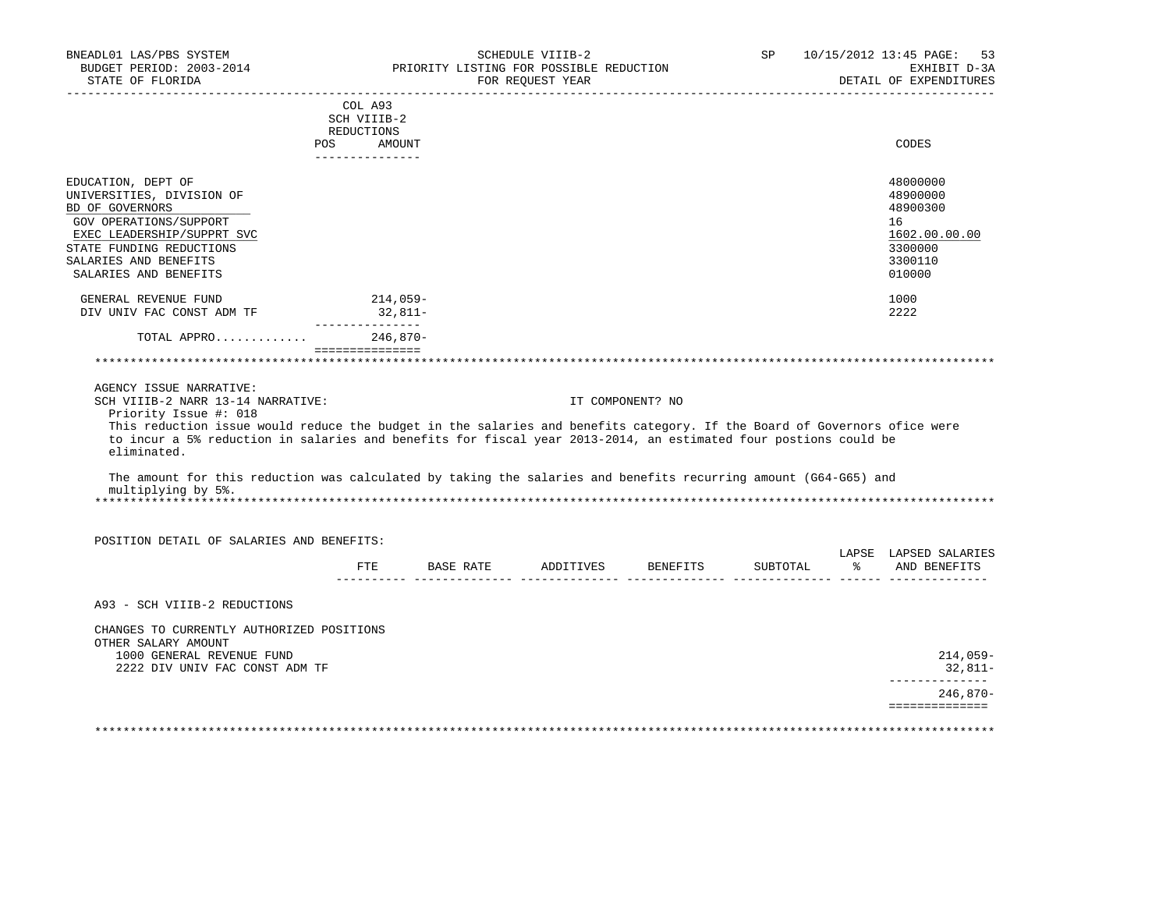| BNEADL01 LAS/PBS SYSTEM<br>BUDGET PERIOD: 2003-2014<br>STATE OF FLORIDA                                                                                                                                                                                                                                                  |                                                                       | PRIORITY LISTING FOR POSSIBLE REDUCTION | SCHEDULE VIIIB-2<br>FOR REQUEST YEAR |                  | SP       | 10/15/2012 13:45 PAGE:<br>53<br>EXHIBIT D-3A<br>DETAIL OF EXPENDITURES                                  |
|--------------------------------------------------------------------------------------------------------------------------------------------------------------------------------------------------------------------------------------------------------------------------------------------------------------------------|-----------------------------------------------------------------------|-----------------------------------------|--------------------------------------|------------------|----------|---------------------------------------------------------------------------------------------------------|
|                                                                                                                                                                                                                                                                                                                          | COL A93<br>SCH VIIIB-2<br>REDUCTIONS<br>POS AMOUNT<br>_______________ |                                         |                                      |                  |          | CODES                                                                                                   |
| EDUCATION, DEPT OF<br>UNIVERSITIES, DIVISION OF<br>BD OF GOVERNORS<br>GOV OPERATIONS/SUPPORT<br>EXEC LEADERSHIP/SUPPRT SVC<br>STATE FUNDING REDUCTIONS<br>SALARIES AND BENEFITS<br>SALARIES AND BENEFITS<br>GENERAL REVENUE FUND<br>DIV UNIV FAC CONST ADM TF                                                            | 214,059-<br>32,811-                                                   |                                         |                                      |                  |          | 48000000<br>48900000<br>48900300<br>16<br>1602.00.00.00<br>3300000<br>3300110<br>010000<br>1000<br>2222 |
| TOTAL APPRO                                                                                                                                                                                                                                                                                                              | ________________<br>$246,870-$                                        |                                         |                                      |                  |          |                                                                                                         |
| AGENCY ISSUE NARRATIVE:                                                                                                                                                                                                                                                                                                  | ===============                                                       |                                         |                                      |                  |          |                                                                                                         |
| SCH VIIIB-2 NARR 13-14 NARRATIVE:<br>Priority Issue #: 018<br>This reduction issue would reduce the budget in the salaries and benefits category. If the Board of Governors ofice were<br>to incur a 5% reduction in salaries and benefits for fiscal year 2013-2014, an estimated four postions could be<br>eliminated. |                                                                       |                                         |                                      | IT COMPONENT? NO |          |                                                                                                         |
| The amount for this reduction was calculated by taking the salaries and benefits recurring amount (G64-G65) and<br>multiplying by 5%.                                                                                                                                                                                    |                                                                       |                                         |                                      |                  |          |                                                                                                         |
| POSITION DETAIL OF SALARIES AND BENEFITS:                                                                                                                                                                                                                                                                                |                                                                       |                                         |                                      |                  |          |                                                                                                         |
|                                                                                                                                                                                                                                                                                                                          | FTE                                                                   |                                         |                                      |                  | SUBTOTAL | LAPSE LAPSED SALARIES<br>% AND BENEFITS                                                                 |
| A93 - SCH VIIIB-2 REDUCTIONS                                                                                                                                                                                                                                                                                             |                                                                       |                                         |                                      |                  |          |                                                                                                         |
| CHANGES TO CURRENTLY AUTHORIZED POSITIONS<br>OTHER SALARY AMOUNT<br>1000 GENERAL REVENUE FUND<br>2222 DIV UNIV FAC CONST ADM TF                                                                                                                                                                                          |                                                                       |                                         |                                      |                  |          | $214,059-$<br>32,811-                                                                                   |
|                                                                                                                                                                                                                                                                                                                          |                                                                       |                                         |                                      |                  |          | ______________<br>$246,870-$<br>==============                                                          |
|                                                                                                                                                                                                                                                                                                                          |                                                                       |                                         |                                      |                  |          |                                                                                                         |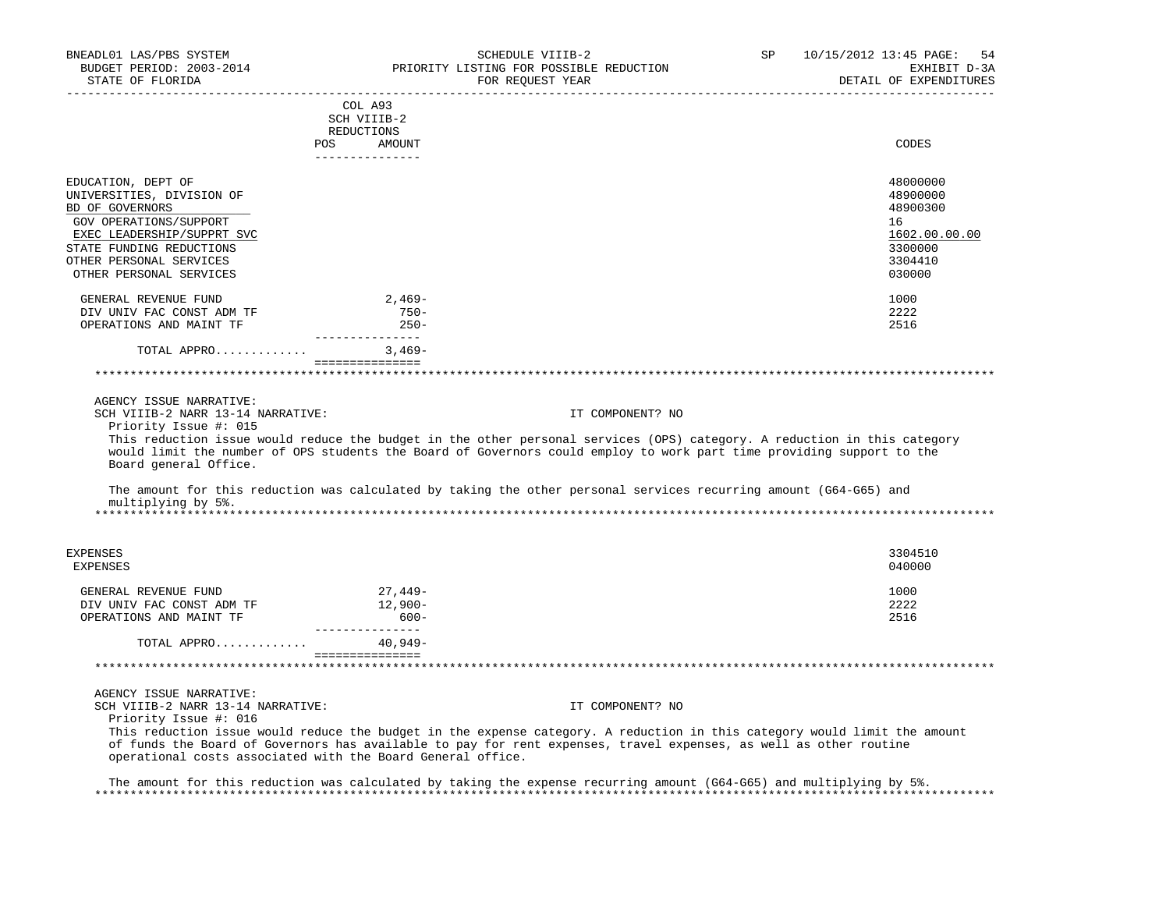| BNEADL01 LAS/PBS SYSTEM<br>BUDGET PERIOD: 2003-2014<br>STATE OF FLORIDA | SCHEDULE VIIIB-2<br>PRIORITY LISTING FOR POSSIBLE REDUCTION<br>FOR REQUEST YEAR                                                                                                                                                                   | SP<br>10/15/2012 13:45 PAGE:<br>54<br>EXHIBIT D-3A<br>DETAIL OF EXPENDITURES |
|-------------------------------------------------------------------------|---------------------------------------------------------------------------------------------------------------------------------------------------------------------------------------------------------------------------------------------------|------------------------------------------------------------------------------|
|                                                                         | COL A93                                                                                                                                                                                                                                           |                                                                              |
|                                                                         | SCH VIIIB-2                                                                                                                                                                                                                                       |                                                                              |
|                                                                         | REDUCTIONS                                                                                                                                                                                                                                        |                                                                              |
| <b>POS</b>                                                              | AMOUNT<br>---------------                                                                                                                                                                                                                         | CODES                                                                        |
| EDUCATION, DEPT OF                                                      |                                                                                                                                                                                                                                                   | 48000000                                                                     |
| UNIVERSITIES, DIVISION OF                                               |                                                                                                                                                                                                                                                   | 48900000                                                                     |
| BD OF GOVERNORS                                                         |                                                                                                                                                                                                                                                   | 48900300                                                                     |
| GOV OPERATIONS/SUPPORT                                                  |                                                                                                                                                                                                                                                   | 16                                                                           |
| EXEC LEADERSHIP/SUPPRT SVC<br>STATE FUNDING REDUCTIONS                  |                                                                                                                                                                                                                                                   | 1602.00.00.00<br>3300000                                                     |
| OTHER PERSONAL SERVICES                                                 |                                                                                                                                                                                                                                                   | 3304410                                                                      |
| OTHER PERSONAL SERVICES                                                 |                                                                                                                                                                                                                                                   | 030000                                                                       |
|                                                                         |                                                                                                                                                                                                                                                   |                                                                              |
| GENERAL REVENUE FUND                                                    | 2,469-<br>$750 -$                                                                                                                                                                                                                                 | 1000                                                                         |
| DIV UNIV FAC CONST ADM TF<br>OPERATIONS AND MAINT TF                    | $250 -$                                                                                                                                                                                                                                           | 2222<br>2516                                                                 |
|                                                                         | _______________                                                                                                                                                                                                                                   |                                                                              |
| TOTAL APPRO                                                             | 3,469-                                                                                                                                                                                                                                            |                                                                              |
|                                                                         | ===============                                                                                                                                                                                                                                   |                                                                              |
|                                                                         |                                                                                                                                                                                                                                                   |                                                                              |
| AGENCY ISSUE NARRATIVE:                                                 |                                                                                                                                                                                                                                                   |                                                                              |
| SCH VIIIB-2 NARR 13-14 NARRATIVE:                                       | IT COMPONENT? NO                                                                                                                                                                                                                                  |                                                                              |
| Priority Issue #: 015<br>Board general Office.                          | This reduction issue would reduce the budget in the other personal services (OPS) category. A reduction in this category<br>would limit the number of OPS students the Board of Governors could employ to work part time providing support to the |                                                                              |
| multiplying by 5%.                                                      | The amount for this reduction was calculated by taking the other personal services recurring amount (G64-G65) and                                                                                                                                 |                                                                              |
|                                                                         |                                                                                                                                                                                                                                                   |                                                                              |
| EXPENSES                                                                |                                                                                                                                                                                                                                                   | 3304510                                                                      |
| <b>EXPENSES</b>                                                         |                                                                                                                                                                                                                                                   | 040000                                                                       |
| GENERAL REVENUE FUND                                                    | 27,449-                                                                                                                                                                                                                                           | 1000                                                                         |
| DIV UNIV FAC CONST ADM TF                                               | 12,900-                                                                                                                                                                                                                                           | 2222                                                                         |
| OPERATIONS AND MAINT TF                                                 | $600 -$                                                                                                                                                                                                                                           | 2516                                                                         |
| TOTAL APPRO                                                             | ________________<br>$40,949-$                                                                                                                                                                                                                     |                                                                              |
|                                                                         | ===============                                                                                                                                                                                                                                   |                                                                              |
|                                                                         |                                                                                                                                                                                                                                                   |                                                                              |
| AGENCY ISSUE NARRATIVE:                                                 |                                                                                                                                                                                                                                                   |                                                                              |
| SCH VIIIB-2 NARR 13-14 NARRATIVE:                                       | IT COMPONENT? NO                                                                                                                                                                                                                                  |                                                                              |
| Priority Issue #: 016                                                   |                                                                                                                                                                                                                                                   |                                                                              |
| operational costs associated with the Board General office.             | This reduction issue would reduce the budget in the expense category. A reduction in this category would limit the amount<br>of funds the Board of Governors has available to pay for rent expenses, travel expenses, as well as other routine    |                                                                              |
|                                                                         | The amount for this reduction was calculated by taking the expense recurring amount (G64-G65) and multiplying by 5%.                                                                                                                              |                                                                              |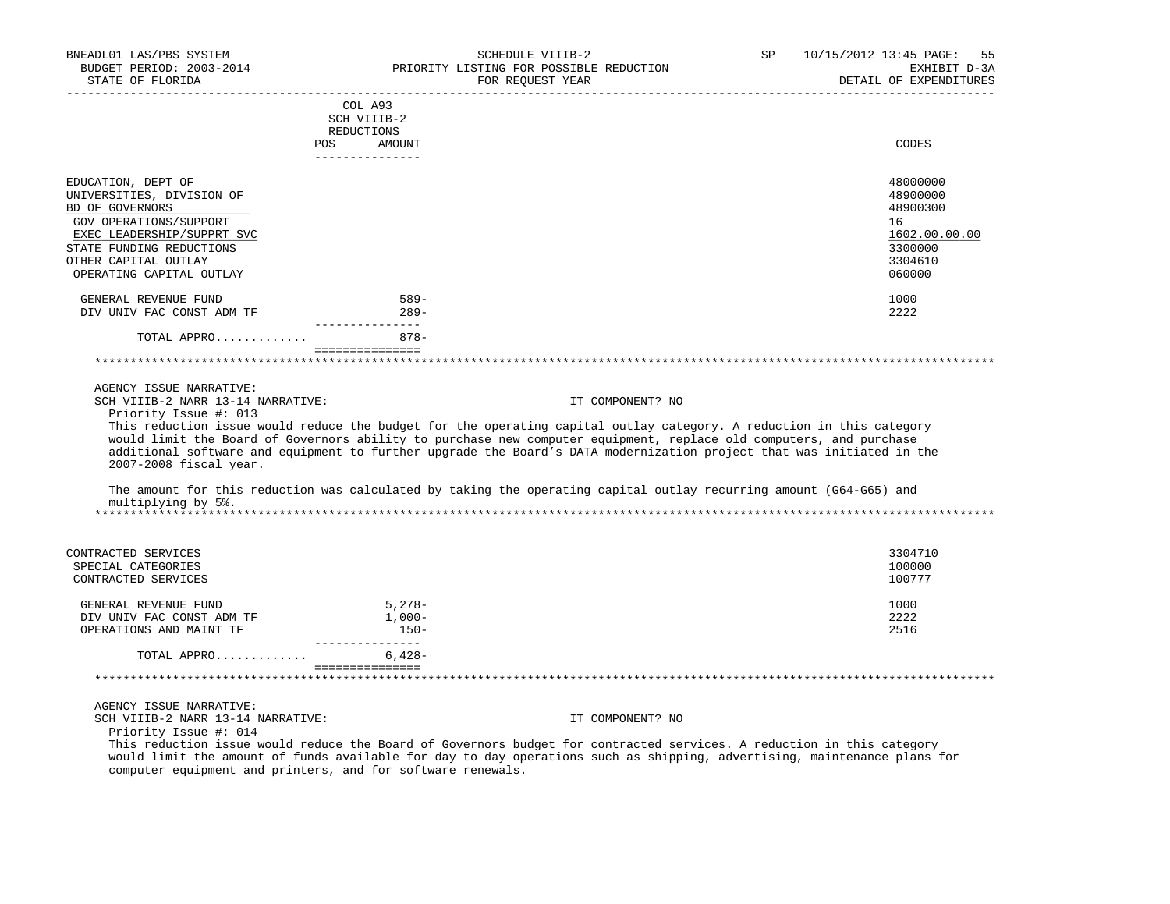| BNEADL01 LAS/PBS SYSTEM<br>STATE OF FLORIDA                                                                | SCHEDULE VIIIB-2<br>BUDGET PERIOD: 2003-2014 PRIORITY LISTING FOR POSSIBLE REDUCTION<br>FOR REOUEST YEAR                                                                                                                                                                                                                                                            | SP               | 10/15/2012 13:45 PAGE: 55<br>EXHIBIT D-3A<br>DETAIL OF EXPENDITURES |
|------------------------------------------------------------------------------------------------------------|---------------------------------------------------------------------------------------------------------------------------------------------------------------------------------------------------------------------------------------------------------------------------------------------------------------------------------------------------------------------|------------------|---------------------------------------------------------------------|
|                                                                                                            | COL A93<br>SCH VIIIB-2<br>REDUCTIONS<br>POS<br>AMOUNT                                                                                                                                                                                                                                                                                                               |                  | CODES                                                               |
|                                                                                                            | _______________                                                                                                                                                                                                                                                                                                                                                     |                  |                                                                     |
| EDUCATION, DEPT OF<br>UNIVERSITIES, DIVISION OF<br>BD OF GOVERNORS<br>GOV OPERATIONS/SUPPORT               |                                                                                                                                                                                                                                                                                                                                                                     |                  | 48000000<br>48900000<br>48900300<br>16                              |
| EXEC LEADERSHIP/SUPPRT SVC<br>STATE FUNDING REDUCTIONS<br>OTHER CAPITAL OUTLAY<br>OPERATING CAPITAL OUTLAY |                                                                                                                                                                                                                                                                                                                                                                     |                  | 1602.00.00.00<br>3300000<br>3304610<br>060000                       |
| GENERAL REVENUE FUND<br>DIV UNIV FAC CONST ADM TF                                                          | 589-<br>$289-$                                                                                                                                                                                                                                                                                                                                                      |                  | 1000<br>2222                                                        |
| TOTAL APPRO                                                                                                | ________________<br>$878 -$                                                                                                                                                                                                                                                                                                                                         |                  |                                                                     |
|                                                                                                            | ________________                                                                                                                                                                                                                                                                                                                                                    |                  |                                                                     |
| AGENCY ISSUE NARRATIVE:<br>SCH VIIIB-2 NARR 13-14 NARRATIVE:<br>Priority Issue #: 013                      |                                                                                                                                                                                                                                                                                                                                                                     | IT COMPONENT? NO |                                                                     |
| 2007-2008 fiscal year.                                                                                     | This reduction issue would reduce the budget for the operating capital outlay category. A reduction in this category<br>would limit the Board of Governors ability to purchase new computer equipment, replace old computers, and purchase<br>additional software and equipment to further upgrade the Board's DATA modernization project that was initiated in the |                  |                                                                     |
| multiplying by 5%.                                                                                         | The amount for this reduction was calculated by taking the operating capital outlay recurring amount (G64-G65) and                                                                                                                                                                                                                                                  |                  |                                                                     |
|                                                                                                            |                                                                                                                                                                                                                                                                                                                                                                     |                  |                                                                     |
| CONTRACTED SERVICES<br>SPECIAL CATEGORIES<br>CONTRACTED SERVICES                                           |                                                                                                                                                                                                                                                                                                                                                                     |                  | 3304710<br>100000<br>100777                                         |
| GENERAL REVENUE FUND<br>DIV UNIV FAC CONST ADM TF<br>OPERATIONS AND MAINT TF                               | 5,278-<br>$1,000-$<br>$150-$                                                                                                                                                                                                                                                                                                                                        |                  | 1000<br>2222<br>2516                                                |
| TOTAL APPRO                                                                                                | ________________<br>$6,428-$                                                                                                                                                                                                                                                                                                                                        |                  |                                                                     |
|                                                                                                            | ===============                                                                                                                                                                                                                                                                                                                                                     |                  |                                                                     |
| AGENCY ISSUE NARRATIVE:<br>SCH VIIIB-2 NARR 13-14 NARRATIVE:<br>Priority Issue #: 014                      |                                                                                                                                                                                                                                                                                                                                                                     | IT COMPONENT? NO |                                                                     |

 This reduction issue would reduce the Board of Governors budget for contracted services. A reduction in this category would limit the amount of funds available for day to day operations such as shipping, advertising, maintenance plans for computer equipment and printers, and for software renewals.